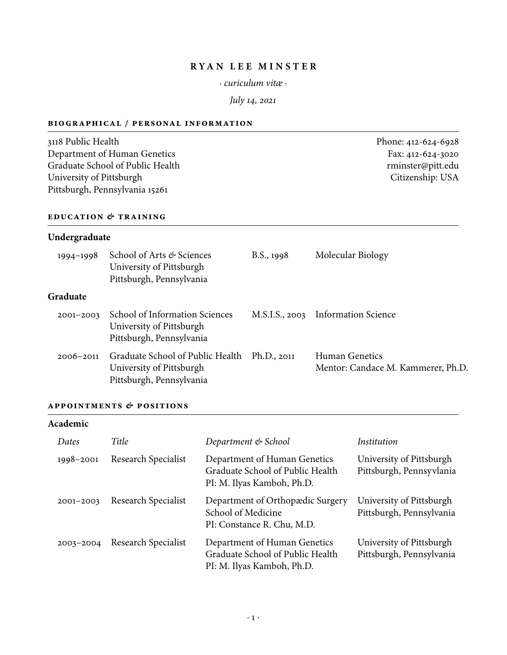## **R Y A N L E E M I N S T E R**

· curiculum vitæ ·

July 14, 2021

### **biographical / personal information**

3118 Public Health Phone: 412-624-6928 Department of Human Genetics Fax: 412-624-3020 Graduate School of Public Health **rminster@pitt.edu** University of Pittsburgh Citizenship: USA Pittsburgh, Pennsylvania 15261

### **education & training**

### **Undergraduate**

| 1994-1998     | School of Arts & Sciences<br>University of Pittsburgh<br>Pittsburgh, Pennsylvania             | B.S., 1998  | Molecular Biology                                    |
|---------------|-----------------------------------------------------------------------------------------------|-------------|------------------------------------------------------|
| Graduate      |                                                                                               |             |                                                      |
| $2001 - 2003$ | <b>School of Information Sciences</b><br>University of Pittsburgh<br>Pittsburgh, Pennsylvania |             | M.S.I.S., 2003 Information Science                   |
| $2006 - 2011$ | Graduate School of Public Health<br>University of Pittsburgh<br>Pittsburgh, Pennsylvania      | Ph.D., 2011 | Human Genetics<br>Mentor: Candace M. Kammerer, Ph.D. |

### **appointments & positions**

### **Academic**

| Dates     | Title               | Department & School                                                                            | Institution                                          |
|-----------|---------------------|------------------------------------------------------------------------------------------------|------------------------------------------------------|
| 1998-2001 | Research Specialist | Department of Human Genetics<br>Graduate School of Public Health<br>PI: M. Ilyas Kamboh, Ph.D. | University of Pittsburgh<br>Pittsburgh, Pennsyvlania |
| 2001-2003 | Research Specialist | Department of Orthopædic Surgery<br>School of Medicine<br>PI: Constance R. Chu, M.D.           | University of Pittsburgh<br>Pittsburgh, Pennsylvania |
| 2003-2004 | Research Specialist | Department of Human Genetics<br>Graduate School of Public Health<br>PI: M. Ilyas Kamboh, Ph.D. | University of Pittsburgh<br>Pittsburgh, Pennsylvania |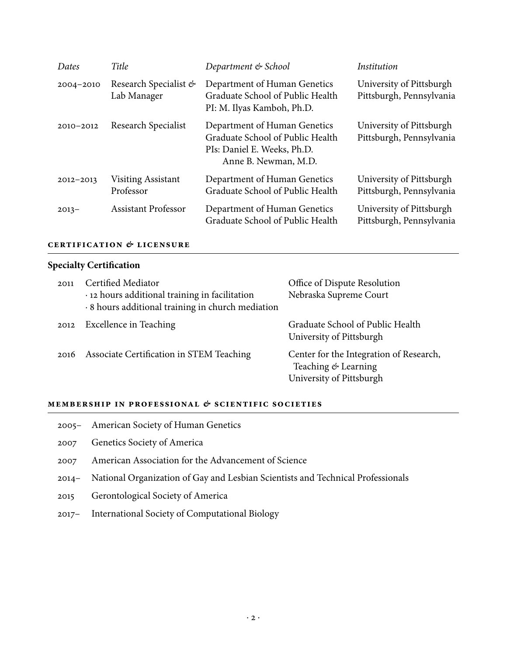| Dates         | Title                                  | Department & School                                                                                                     | Institution                                          |
|---------------|----------------------------------------|-------------------------------------------------------------------------------------------------------------------------|------------------------------------------------------|
| 2004-2010     | Research Specialist &<br>Lab Manager   | Department of Human Genetics<br>Graduate School of Public Health<br>PI: M. Ilyas Kamboh, Ph.D.                          | University of Pittsburgh<br>Pittsburgh, Pennsylvania |
| $2010 - 2012$ | Research Specialist                    | Department of Human Genetics<br>Graduate School of Public Health<br>PIs: Daniel E. Weeks, Ph.D.<br>Anne B. Newman, M.D. | University of Pittsburgh<br>Pittsburgh, Pennsylvania |
| $2012 - 2013$ | <b>Visiting Assistant</b><br>Professor | Department of Human Genetics<br>Graduate School of Public Health                                                        | University of Pittsburgh<br>Pittsburgh, Pennsylvania |
| $2013 -$      | <b>Assistant Professor</b>             | Department of Human Genetics<br>Graduate School of Public Health                                                        | University of Pittsburgh<br>Pittsburgh, Pennsylvania |

### **certification & licensure**

### **Specialty Certification**

| 2011 | Certified Mediator<br>· 12 hours additional training in facilitation<br>· 8 hours additional training in church mediation | Office of Dispute Resolution<br>Nebraska Supreme Court                                        |
|------|---------------------------------------------------------------------------------------------------------------------------|-----------------------------------------------------------------------------------------------|
| 2012 | <b>Excellence in Teaching</b>                                                                                             | Graduate School of Public Health<br>University of Pittsburgh                                  |
| 2016 | <b>Associate Certification in STEM Teaching</b>                                                                           | Center for the Integration of Research,<br>Teaching $\&$ Learning<br>University of Pittsburgh |

### **membership in professional & scientific societies**

- 2005– American Society of Human Genetics
- 2007 Genetics Society of America
- 2007 American Association for the Advancement of Science
- 2014– National Organization of Gay and Lesbian Scientists and Technical Professionals
- 2015 Gerontological Society of America
- 2017– International Society of Computational Biology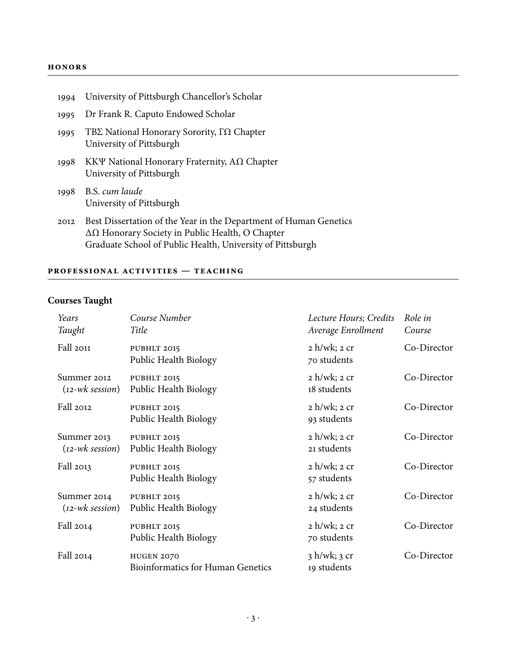### **honors**

| 1994 | University of Pittsburgh Chancellor's Scholar                                                                                                                                                  |
|------|------------------------------------------------------------------------------------------------------------------------------------------------------------------------------------------------|
| 1995 | Dr Frank R. Caputo Endowed Scholar                                                                                                                                                             |
| 1995 | TBZ National Honorary Sorority, $\Gamma\Omega$ Chapter<br>University of Pittsburgh                                                                                                             |
| 1998 | KKY National Honorary Fraternity, $A\Omega$ Chapter<br>University of Pittsburgh                                                                                                                |
|      | 1998 B.S. cum laude<br>University of Pittsburgh                                                                                                                                                |
| 2012 | Best Dissertation of the Year in the Department of Human Genetics<br>$\Delta\Omega$ Honorary Society in Public Health, O Chapter<br>Graduate School of Public Health, University of Pittsburgh |

# **professional activities — teaching**

## **Courses Taught**

| Years<br>Taught                         | Course Number<br>Title                                        | Lecture Hours; Credits<br>Average Enrollment | Role in<br>Course |
|-----------------------------------------|---------------------------------------------------------------|----------------------------------------------|-------------------|
| Fall 2011                               | PUBHLT 2015<br>Public Health Biology                          | 2 h/wk; 2 cr<br>70 students                  | Co-Director       |
| Summer 2012<br>$(12\text{-}wk session)$ | PUBHLT 2015<br>Public Health Biology                          | $2 h/wk$ ; $2 cr$<br>18 students             | Co-Director       |
| Fall 2012                               | PUBHLT 2015<br>Public Health Biology                          | $2 h/wk$ ; $2 cr$<br>93 students             | Co-Director       |
| Summer 2013<br>$(12\text{-}wk session)$ | PUBHLT 2015<br>Public Health Biology                          | $2 h/wk$ ; $2 cr$<br>21 students             | Co-Director       |
| Fall 2013                               | PUBHLT 2015<br>Public Health Biology                          | $2 h/wk$ ; $2 cr$<br>57 students             | Co-Director       |
| Summer 2014<br>$(12\text{-}wk session)$ | PUBHLT 2015<br>Public Health Biology                          | $2 h/wk$ ; $2 cr$<br>24 students             | Co-Director       |
| Fall 2014                               | PUBHLT 2015<br>Public Health Biology                          | $2 h/wk$ ; $2 cr$<br>70 students             | Co-Director       |
| Fall 2014                               | <b>HUGEN 2070</b><br><b>Bioinformatics for Human Genetics</b> | $3 h/wk$ ; $3 cr$<br>19 students             | Co-Director       |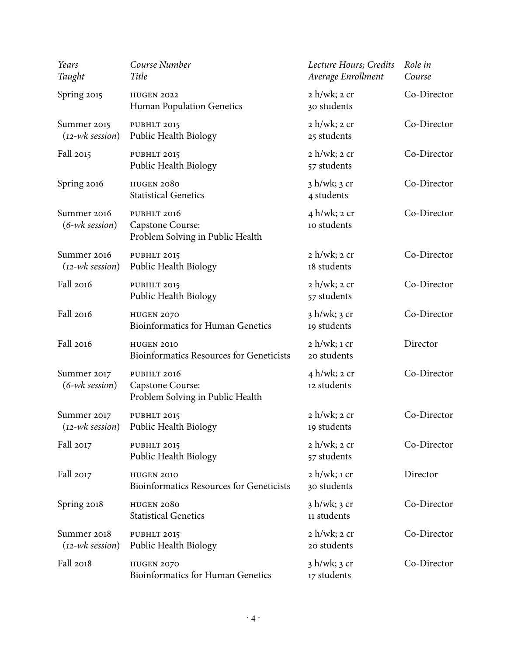| Years<br>Taught                         | Course Number<br>Title                                               | Lecture Hours; Credits<br>Average Enrollment | Role in<br>Course |
|-----------------------------------------|----------------------------------------------------------------------|----------------------------------------------|-------------------|
| Spring 2015                             | <b>HUGEN 2022</b><br><b>Human Population Genetics</b>                | $2 h/wk$ ; $2 cr$<br>30 students             | Co-Director       |
| Summer 2015<br>$(12-wk$ session)        | PUBHLT 2015<br>Public Health Biology                                 | $2 h/wk$ ; $2 cr$<br>25 students             | Co-Director       |
| Fall 2015                               | PUBHLT 2015<br>Public Health Biology                                 | $2 h/wk$ ; $2 cr$<br>57 students             | Co-Director       |
| Spring 2016                             | <b>HUGEN 2080</b><br><b>Statistical Genetics</b>                     | 3 h/wk; 3 cr<br>4 students                   | Co-Director       |
| Summer 2016<br>$(6-wk$ session)         | PUBHLT 2016<br>Capstone Course:<br>Problem Solving in Public Health  | $4 h/wk$ ; 2 cr<br>10 students               | Co-Director       |
| Summer 2016<br>$(12\text{-}wk session)$ | PUBHLT 2015<br>Public Health Biology                                 | $2 h/wk$ ; $2 cr$<br>18 students             | Co-Director       |
| Fall 2016                               | PUBHLT 2015<br>Public Health Biology                                 | $2 h/wk$ ; $2 cr$<br>57 students             | Co-Director       |
| Fall 2016                               | <b>HUGEN 2070</b><br><b>Bioinformatics for Human Genetics</b>        | 3 h/wk; 3 cr<br>19 students                  | Co-Director       |
| Fall 2016                               | <b>HUGEN 2010</b><br>Bioinformatics Resources for Geneticists        | $2 h/wk$ ; $1 cr$<br>20 students             | Director          |
| Summer 2017<br>$(6-wk$ session)         | PUBHLT 2016<br>Capstone Course:<br>Problem Solving in Public Health  | $4 h/wk$ ; 2 cr<br>12 students               | Co-Director       |
| Summer 2017                             | PUBHLT 2015<br>(12-wk session) Public Health Biology                 | $2 h/wk$ ; $2 cr$<br>19 students             | Co-Director       |
| Fall 2017                               | PUBHLT 2015<br>Public Health Biology                                 | $2 h/wk$ ; $2 cr$<br>57 students             | Co-Director       |
| Fall 2017                               | <b>HUGEN 2010</b><br><b>Bioinformatics Resources for Geneticists</b> | $2 h/wk$ ; $1 cr$<br>30 students             | Director          |
| Spring 2018                             | <b>HUGEN 2080</b><br><b>Statistical Genetics</b>                     | $3 h/wk$ ; $3 cr$<br>11 students             | Co-Director       |
| Summer 2018<br>$(12-wk$ session)        | PUBHLT 2015<br>Public Health Biology                                 | $2 h/wk$ ; $2 cr$<br>20 students             | Co-Director       |
| Fall 2018                               | <b>HUGEN 2070</b><br><b>Bioinformatics for Human Genetics</b>        | $3 h/wk$ ; $3 cr$<br>17 students             | Co-Director       |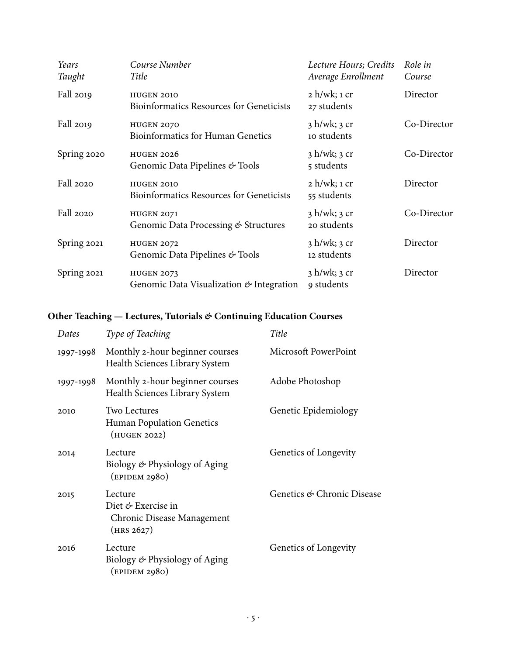| Years<br>Taught | Course Number<br>Title                                                     | Lecture Hours; Credits<br>Average Enrollment | Role in<br>Course |
|-----------------|----------------------------------------------------------------------------|----------------------------------------------|-------------------|
| Fall 2019       | <b>HUGEN 2010</b><br><b>Bioinformatics Resources for Geneticists</b>       | $2 h/wk$ ; 1 cr<br>27 students               | Director          |
| Fall 2019       | <b>HUGEN 2070</b><br><b>Bioinformatics for Human Genetics</b>              | 3 h/wk; 3 cr<br>10 students                  | Co-Director       |
| Spring 2020     | <b>HUGEN 2026</b><br>Genomic Data Pipelines & Tools                        | $3 h/wk$ ; $3 cr$<br>5 students              | Co-Director       |
| Fall 2020       | <b>HUGEN 2010</b><br><b>Bioinformatics Resources for Geneticists</b>       | $2 h/wk$ ; 1 cr<br>55 students               | Director          |
| Fall 2020       | <b>HUGEN 2071</b><br>Genomic Data Processing & Structures                  | $3 h/wk$ ; $3 cr$<br>20 students             | Co-Director       |
| Spring 2021     | <b>HUGEN 2072</b><br>Genomic Data Pipelines & Tools                        | $3 h/wk$ ; $3 cr$<br>12 students             | Director          |
| Spring 2021     | <b>HUGEN 2073</b><br>Genomic Data Visualization $\mathfrak{G}$ Integration | $3 h/wk$ ; $3 cr$<br>9 students              | Director          |

# **Other Teaching — Lectures, Tutorials & Continuing Education Courses**

| Dates     | Type of Teaching                                                             | Title                      |
|-----------|------------------------------------------------------------------------------|----------------------------|
| 1997-1998 | Monthly 2-hour beginner courses<br>Health Sciences Library System            | Microsoft PowerPoint       |
| 1997-1998 | Monthly 2-hour beginner courses<br>Health Sciences Library System            | Adobe Photoshop            |
| 2010      | <b>Two Lectures</b><br><b>Human Population Genetics</b><br>(HUGEN 2022)      | Genetic Epidemiology       |
| 2014      | Lecture<br>Biology $\&$ Physiology of Aging<br>(EPIDEM 2980)                 | Genetics of Longevity      |
| 2015      | Lecture<br>Diet $\&$ Exercise in<br>Chronic Disease Management<br>(HRS 2627) | Genetics & Chronic Disease |
| 2016      | Lecture<br>Biology $\&$ Physiology of Aging<br>(EPIDEM 2980)                 | Genetics of Longevity      |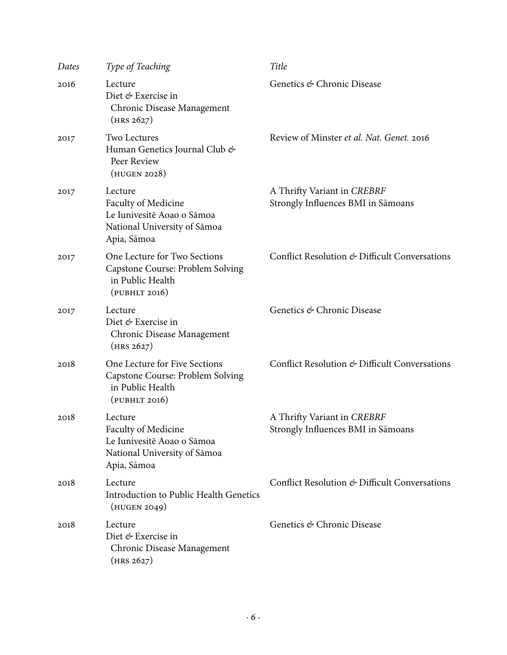| Dates | Type of Teaching                                                                                                   | Title                                                             |
|-------|--------------------------------------------------------------------------------------------------------------------|-------------------------------------------------------------------|
| 2016  | Lecture<br>Diet & Exercise in<br>Chronic Disease Management<br>(HRS 2627)                                          | Genetics & Chronic Disease                                        |
| 2017  | Two Lectures<br>Human Genetics Journal Club &<br>Peer Review<br>(HUGEN 2028)                                       | Review of Minster et al. Nat. Genet. 2016                         |
| 2017  | Lecture<br>Faculty of Medicine<br>Le Iunivesitē Aoao o Sāmoa<br>National University of Sāmoa<br>Apia, Sāmoa        | A Thrifty Variant in CREBRF<br>Strongly Influences BMI in Sāmoans |
| 2017  | One Lecture for Two Sections<br>Capstone Course: Problem Solving<br>in Public Health<br>(PUBHLT 2016)              | Conflict Resolution & Difficult Conversations                     |
| 2017  | Lecture<br>Diet & Exercise in<br>Chronic Disease Management<br>(HRS 2627)                                          | Genetics & Chronic Disease                                        |
| 2018  | One Lecture for Five Sections<br>Capstone Course: Problem Solving<br>in Public Health<br>(PUBHLT 2016)             | Conflict Resolution & Difficult Conversations                     |
| 2018  | Lecture<br><b>Faculty of Medicine</b><br>Le Iunivesite Aoao o Sāmoa<br>National University of Sāmoa<br>Apia, Sāmoa | A Thrifty Variant in CREBRF<br>Strongly Influences BMI in Sāmoans |
| 2018  | Lecture<br>Introduction to Public Health Genetics<br>(HUGEN 2049)                                                  | Conflict Resolution & Difficult Conversations                     |
| 2018  | Lecture<br>Diet & Exercise in<br>Chronic Disease Management<br>(HRS 2627)                                          | Genetics & Chronic Disease                                        |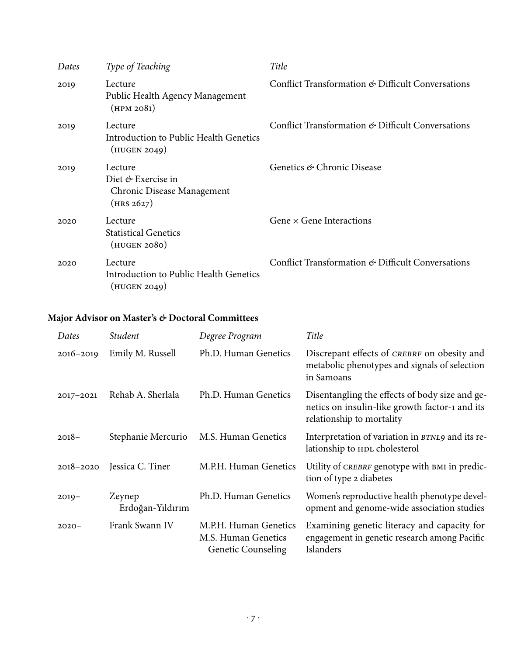| Dates | Type of Teaching                                                          | Title                                             |
|-------|---------------------------------------------------------------------------|---------------------------------------------------|
| 2019  | Lecture<br>Public Health Agency Management<br>(HPM 2081)                  | Conflict Transformation & Difficult Conversations |
| 2019  | Lecture<br>Introduction to Public Health Genetics<br>(HUGEN 2049)         | Conflict Transformation & Difficult Conversations |
| 2019  | Lecture<br>Diet & Exercise in<br>Chronic Disease Management<br>(HRS 2627) | Genetics & Chronic Disease                        |
| 2020  | Lecture<br><b>Statistical Genetics</b><br>(HUGEN 2080)                    | Gene $\times$ Gene Interactions                   |
| 2020  | Lecture<br>Introduction to Public Health Genetics<br>(HUGEN 2049)         | Conflict Transformation & Difficult Conversations |

# **Major Advisor on Master's & Doctoral Committees**

| Dates         | <b>Student</b>             | Degree Program                                                            | Title                                                                                                                         |
|---------------|----------------------------|---------------------------------------------------------------------------|-------------------------------------------------------------------------------------------------------------------------------|
| $2016 - 2019$ | Emily M. Russell           | Ph.D. Human Genetics                                                      | Discrepant effects of CREBRF on obesity and<br>metabolic phenotypes and signals of selection<br>in Samoans                    |
| 2017-2021     | Rehab A. Sherlala          | Ph.D. Human Genetics                                                      | Disentangling the effects of body size and ge-<br>netics on insulin-like growth factor-1 and its<br>relationship to mortality |
| $2018-$       | Stephanie Mercurio         | M.S. Human Genetics                                                       | Interpretation of variation in BTNL9 and its re-<br>lationship to HDL cholesterol                                             |
| $2018 - 2020$ | Jessica C. Tiner           | M.P.H. Human Genetics                                                     | Utility of CREBRF genotype with BMI in predic-<br>tion of type 2 diabetes                                                     |
| $2019-$       | Zeynep<br>Erdoğan-Yıldırım | Ph.D. Human Genetics                                                      | Women's reproductive health phenotype devel-<br>opment and genome-wide association studies                                    |
| $2020 -$      | Frank Swann IV             | M.P.H. Human Genetics<br>M.S. Human Genetics<br><b>Genetic Counseling</b> | Examining genetic literacy and capacity for<br>engagement in genetic research among Pacific<br>Islanders                      |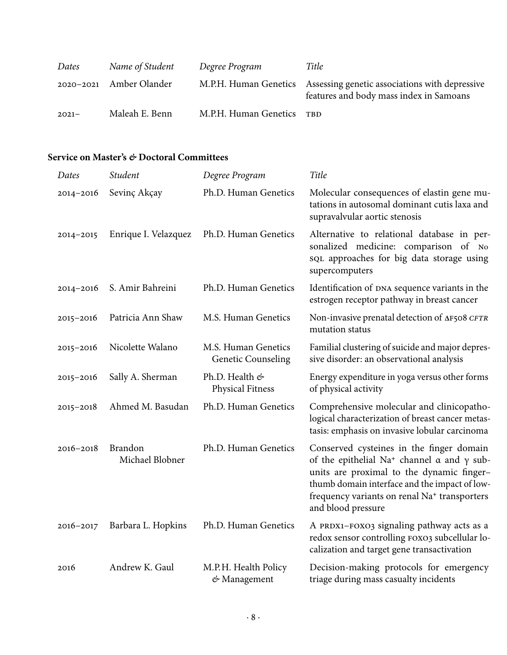| Dates    | Name of Student         | Degree Program        | Title                                                                                                           |
|----------|-------------------------|-----------------------|-----------------------------------------------------------------------------------------------------------------|
|          | 2020–2021 Amber Olander |                       | M.P.H. Human Genetics Assessing genetic associations with depressive<br>features and body mass index in Samoans |
| $2021 -$ | Maleah E. Benn          | M.P.H. Human Genetics | <b>TBD</b>                                                                                                      |

# **Service on Master's & Doctoral Committees**

| Dates         | Student                    | Degree Program                                   | Title                                                                                                                                                                                                                                                                                            |
|---------------|----------------------------|--------------------------------------------------|--------------------------------------------------------------------------------------------------------------------------------------------------------------------------------------------------------------------------------------------------------------------------------------------------|
| 2014-2016     | Sevinç Akçay               | Ph.D. Human Genetics                             | Molecular consequences of elastin gene mu-<br>tations in autosomal dominant cutis laxa and<br>supravalvular aortic stenosis                                                                                                                                                                      |
| 2014-2015     | Enrique I. Velazquez       | Ph.D. Human Genetics                             | Alternative to relational database in per-<br>sonalized medicine: comparison of No<br>sqL approaches for big data storage using<br>supercomputers                                                                                                                                                |
| $2014 - 2016$ | S. Amir Bahreini           | Ph.D. Human Genetics                             | Identification of DNA sequence variants in the<br>estrogen receptor pathway in breast cancer                                                                                                                                                                                                     |
| 2015-2016     | Patricia Ann Shaw          | M.S. Human Genetics                              | Non-invasive prenatal detection of ΔF508 CFTR<br>mutation status                                                                                                                                                                                                                                 |
| 2015-2016     | Nicolette Walano           | M.S. Human Genetics<br><b>Genetic Counseling</b> | Familial clustering of suicide and major depres-<br>sive disorder: an observational analysis                                                                                                                                                                                                     |
| 2015-2016     | Sally A. Sherman           | Ph.D. Health &<br><b>Physical Fitness</b>        | Energy expenditure in yoga versus other forms<br>of physical activity                                                                                                                                                                                                                            |
| $2015 - 2018$ | Ahmed M. Basudan           | Ph.D. Human Genetics                             | Comprehensive molecular and clinicopatho-<br>logical characterization of breast cancer metas-<br>tasis: emphasis on invasive lobular carcinoma                                                                                                                                                   |
| $2016 - 2018$ | Brandon<br>Michael Blobner | Ph.D. Human Genetics                             | Conserved cysteines in the finger domain<br>of the epithelial Na <sup>+</sup> channel $\alpha$ and $\gamma$ sub-<br>units are proximal to the dynamic finger-<br>thumb domain interface and the impact of low-<br>frequency variants on renal Na <sup>+</sup> transporters<br>and blood pressure |
| 2016-2017     | Barbara L. Hopkins         | Ph.D. Human Genetics                             | A PRDX1-FOXO3 signaling pathway acts as a<br>redox sensor controlling FOXO3 subcellular lo-<br>calization and target gene transactivation                                                                                                                                                        |
| 2016          | Andrew K. Gaul             | M.P.H. Health Policy<br>& Management             | Decision-making protocols for emergency<br>triage during mass casualty incidents                                                                                                                                                                                                                 |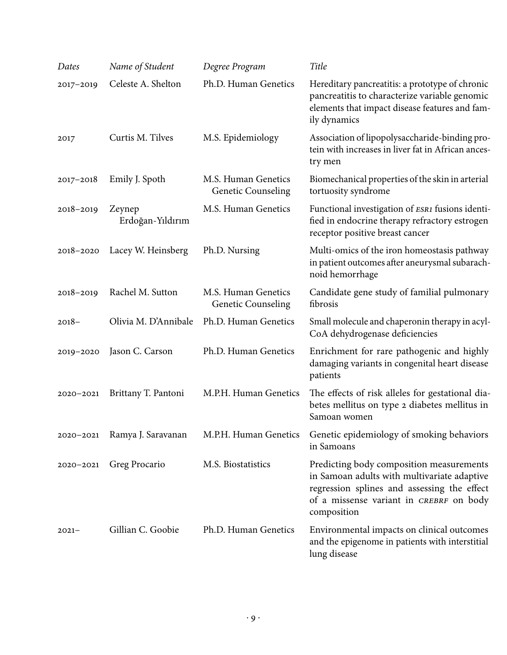| Dates         | Name of Student            | Degree Program                                   | Title                                                                                                                                                                                            |
|---------------|----------------------------|--------------------------------------------------|--------------------------------------------------------------------------------------------------------------------------------------------------------------------------------------------------|
| 2017-2019     | Celeste A. Shelton         | Ph.D. Human Genetics                             | Hereditary pancreatitis: a prototype of chronic<br>pancreatitis to characterize variable genomic<br>elements that impact disease features and fam-<br>ily dynamics                               |
| 2017          | Curtis M. Tilves           | M.S. Epidemiology                                | Association of lipopolysaccharide-binding pro-<br>tein with increases in liver fat in African ances-<br>try men                                                                                  |
| $2017 - 2018$ | Emily J. Spoth             | M.S. Human Genetics<br><b>Genetic Counseling</b> | Biomechanical properties of the skin in arterial<br>tortuosity syndrome                                                                                                                          |
| 2018-2019     | Zeynep<br>Erdoğan-Yıldırım | M.S. Human Genetics                              | Functional investigation of ESR1 fusions identi-<br>fied in endocrine therapy refractory estrogen<br>receptor positive breast cancer                                                             |
| 2018-2020     | Lacey W. Heinsberg         | Ph.D. Nursing                                    | Multi-omics of the iron homeostasis pathway<br>in patient outcomes after aneurysmal subarach-<br>noid hemorrhage                                                                                 |
| 2018-2019     | Rachel M. Sutton           | M.S. Human Genetics<br><b>Genetic Counseling</b> | Candidate gene study of familial pulmonary<br>fibrosis                                                                                                                                           |
| $2018-$       | Olivia M. D'Annibale       | Ph.D. Human Genetics                             | Small molecule and chaperonin therapy in acyl-<br>CoA dehydrogenase deficiencies                                                                                                                 |
| 2019-2020     | Jason C. Carson            | Ph.D. Human Genetics                             | Enrichment for rare pathogenic and highly<br>damaging variants in congenital heart disease<br>patients                                                                                           |
| 2020-2021     | Brittany T. Pantoni        | M.P.H. Human Genetics                            | The effects of risk alleles for gestational dia-<br>betes mellitus on type 2 diabetes mellitus in<br>Samoan women                                                                                |
| 2020-2021     | Ramya J. Saravanan         | M.P.H. Human Genetics                            | Genetic epidemiology of smoking behaviors<br>in Samoans                                                                                                                                          |
| 2020-2021     | Greg Procario              | M.S. Biostatistics                               | Predicting body composition measurements<br>in Samoan adults with multivariate adaptive<br>regression splines and assessing the effect<br>of a missense variant in CREBRF on body<br>composition |
| $2021 -$      | Gillian C. Goobie          | Ph.D. Human Genetics                             | Environmental impacts on clinical outcomes<br>and the epigenome in patients with interstitial<br>lung disease                                                                                    |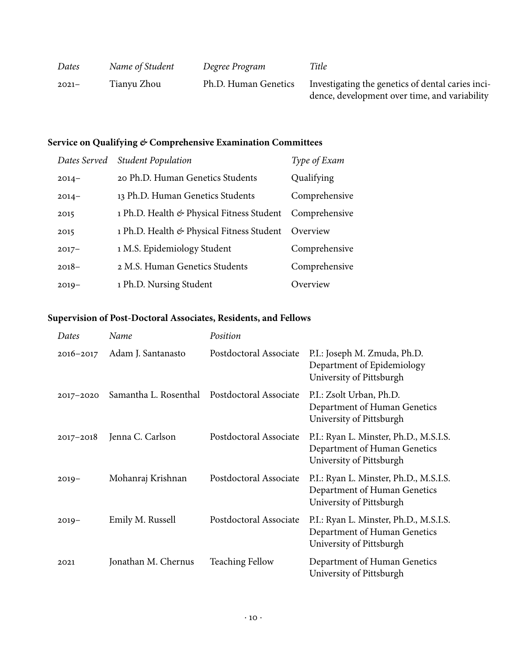| Dates    | Name of Student | Degree Program       | Title                                             |
|----------|-----------------|----------------------|---------------------------------------------------|
| $2021 -$ | Tianyu Zhou     | Ph.D. Human Genetics | Investigating the genetics of dental caries inci- |
|          |                 |                      | dence, development over time, and variability     |

# **Service on Qualifying & Comprehensive Examination Committees**

| Dates Served | <b>Student Population</b>                               | Type of Exam  |
|--------------|---------------------------------------------------------|---------------|
| $2014-$      | 20 Ph.D. Human Genetics Students                        | Qualifying    |
| $2014-$      | 13 Ph.D. Human Genetics Students                        | Comprehensive |
| 2015         | 1 Ph.D. Health & Physical Fitness Student Comprehensive |               |
| 2015         | 1 Ph.D. Health & Physical Fitness Student Overview      |               |
| $2017-$      | 1 M.S. Epidemiology Student                             | Comprehensive |
| $2018-$      | 2 M.S. Human Genetics Students                          | Comprehensive |
| $2019-$      | 1 Ph.D. Nursing Student                                 | Overview      |

## **Supervision of Post-Doctoral Associates, Residents, and Fellows**

| Dates         | Name                                         | Position               |                                                                                                    |
|---------------|----------------------------------------------|------------------------|----------------------------------------------------------------------------------------------------|
| $2016 - 2017$ | Adam J. Santanasto                           | Postdoctoral Associate | P.I.: Joseph M. Zmuda, Ph.D.<br>Department of Epidemiology<br>University of Pittsburgh             |
| 2017-2020     | Samantha L. Rosenthal Postdoctoral Associate |                        | P.I.: Zsolt Urban, Ph.D.<br>Department of Human Genetics<br>University of Pittsburgh               |
| $2017 - 2018$ | Jenna C. Carlson                             | Postdoctoral Associate | P.I.: Ryan L. Minster, Ph.D., M.S.I.S.<br>Department of Human Genetics<br>University of Pittsburgh |
| $2019-$       | Mohanraj Krishnan                            | Postdoctoral Associate | P.I.: Ryan L. Minster, Ph.D., M.S.I.S.<br>Department of Human Genetics<br>University of Pittsburgh |
| $2019-$       | Emily M. Russell                             | Postdoctoral Associate | P.I.: Ryan L. Minster, Ph.D., M.S.I.S.<br>Department of Human Genetics<br>University of Pittsburgh |
| 2021          | Jonathan M. Chernus                          | <b>Teaching Fellow</b> | Department of Human Genetics<br>University of Pittsburgh                                           |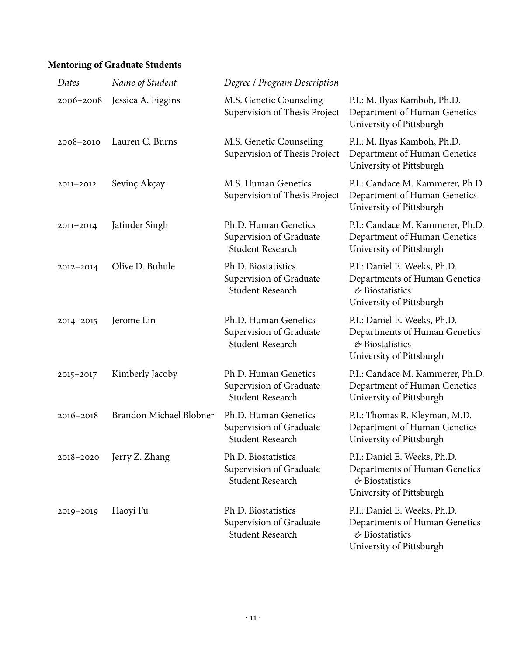# **Mentoring of Graduate Students**

| Dates         | Name of Student         | Degree / Program Description                                               |                                                                                                              |
|---------------|-------------------------|----------------------------------------------------------------------------|--------------------------------------------------------------------------------------------------------------|
| 2006-2008     | Jessica A. Figgins      | M.S. Genetic Counseling<br>Supervision of Thesis Project                   | P.I.: M. Ilyas Kamboh, Ph.D.<br>Department of Human Genetics<br>University of Pittsburgh                     |
| 2008-2010     | Lauren C. Burns         | M.S. Genetic Counseling<br>Supervision of Thesis Project                   | P.I.: M. Ilyas Kamboh, Ph.D.<br>Department of Human Genetics<br>University of Pittsburgh                     |
| $2011 - 2012$ | Sevinç Akçay            | M.S. Human Genetics<br>Supervision of Thesis Project                       | P.I.: Candace M. Kammerer, Ph.D.<br>Department of Human Genetics<br>University of Pittsburgh                 |
| 2011-2014     | Jatinder Singh          | Ph.D. Human Genetics<br>Supervision of Graduate<br><b>Student Research</b> | P.I.: Candace M. Kammerer, Ph.D.<br>Department of Human Genetics<br>University of Pittsburgh                 |
| 2012-2014     | Olive D. Buhule         | Ph.D. Biostatistics<br>Supervision of Graduate<br><b>Student Research</b>  | P.I.: Daniel E. Weeks, Ph.D.<br>Departments of Human Genetics<br>& Biostatistics<br>University of Pittsburgh |
| 2014-2015     | Jerome Lin              | Ph.D. Human Genetics<br>Supervision of Graduate<br><b>Student Research</b> | P.I.: Daniel E. Weeks, Ph.D.<br>Departments of Human Genetics<br>& Biostatistics<br>University of Pittsburgh |
| 2015-2017     | Kimberly Jacoby         | Ph.D. Human Genetics<br>Supervision of Graduate<br><b>Student Research</b> | P.I.: Candace M. Kammerer, Ph.D.<br>Department of Human Genetics<br>University of Pittsburgh                 |
| $2016 - 2018$ | Brandon Michael Blobner | Ph.D. Human Genetics<br>Supervision of Graduate<br><b>Student Research</b> | P.I.: Thomas R. Kleyman, M.D.<br>Department of Human Genetics<br>University of Pittsburgh                    |
| 2018-2020     | Jerry Z. Zhang          | Ph.D. Biostatistics<br>Supervision of Graduate<br><b>Student Research</b>  | P.I.: Daniel E. Weeks, Ph.D.<br>Departments of Human Genetics<br>& Biostatistics<br>University of Pittsburgh |
| 2019-2019     | Haoyi Fu                | Ph.D. Biostatistics<br>Supervision of Graduate<br>Student Research         | P.I.: Daniel E. Weeks, Ph.D.<br>Departments of Human Genetics<br>& Biostatistics<br>University of Pittsburgh |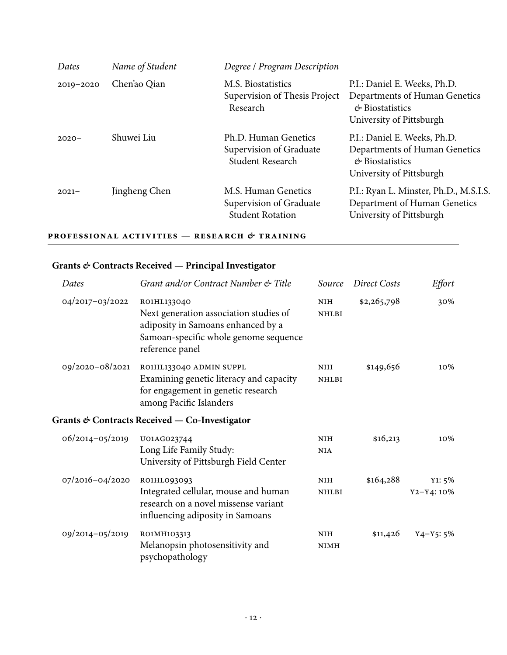| Dates     | Name of Student | Degree / Program Description                                               |                                                                                                                 |
|-----------|-----------------|----------------------------------------------------------------------------|-----------------------------------------------------------------------------------------------------------------|
| 2019-2020 | Chen'ao Qian    | M.S. Biostatistics<br>Supervision of Thesis Project<br>Research            | P.I.: Daniel E. Weeks, Ph.D.<br>Departments of Human Genetics<br>$&$ Biostatistics<br>University of Pittsburgh  |
| $2020 -$  | Shuwei Liu      | Ph.D. Human Genetics<br>Supervision of Graduate<br><b>Student Research</b> | P.I.: Daniel E. Weeks, Ph.D.<br>Departments of Human Genetics<br>$\&$ Biostatistics<br>University of Pittsburgh |
| $2021 -$  | Jingheng Chen   | M.S. Human Genetics<br>Supervision of Graduate<br><b>Student Rotation</b>  | P.I.: Ryan L. Minster, Ph.D., M.S.I.S.<br>Department of Human Genetics<br>University of Pittsburgh              |

### **professional activities — research & training**

# **Grants & Contracts Received — Principal Investigator**

| Dates           | Grant and/or Contract Number & Title                                                                                                                    | Source                     | Direct Costs | Effort                  |
|-----------------|---------------------------------------------------------------------------------------------------------------------------------------------------------|----------------------------|--------------|-------------------------|
| 04/2017-03/2022 | R01HL133040<br>Next generation association studies of<br>adiposity in Samoans enhanced by a<br>Samoan-specific whole genome sequence<br>reference panel | <b>NIH</b><br><b>NHLBI</b> | \$2,265,798  | 30%                     |
| 09/2020-08/2021 | RO1HL133040 ADMIN SUPPL<br>Examining genetic literacy and capacity<br>for engagement in genetic research<br>among Pacific Islanders                     | <b>NIH</b><br><b>NHLBI</b> | \$149,656    | 10%                     |
|                 | Grants & Contracts Received — Co-Investigator                                                                                                           |                            |              |                         |
| 06/2014-05/2019 | U01AG023744<br>Long Life Family Study:<br>University of Pittsburgh Field Center                                                                         | <b>NIH</b><br><b>NIA</b>   | \$16,213     | 10%                     |
| 07/2016-04/2020 | R01HL093093<br>Integrated cellular, mouse and human<br>research on a novel missense variant<br>influencing adiposity in Samoans                         | <b>NIH</b><br><b>NHLBI</b> | \$164,288    | Y1:5%<br>$Y2 - Y4:10\%$ |
| 09/2014-05/2019 | R01MH103313<br>Melanopsin photosensitivity and<br>psychopathology                                                                                       | <b>NIH</b><br><b>NIMH</b>  | \$11,426     | $Y4 - Y5:5%$            |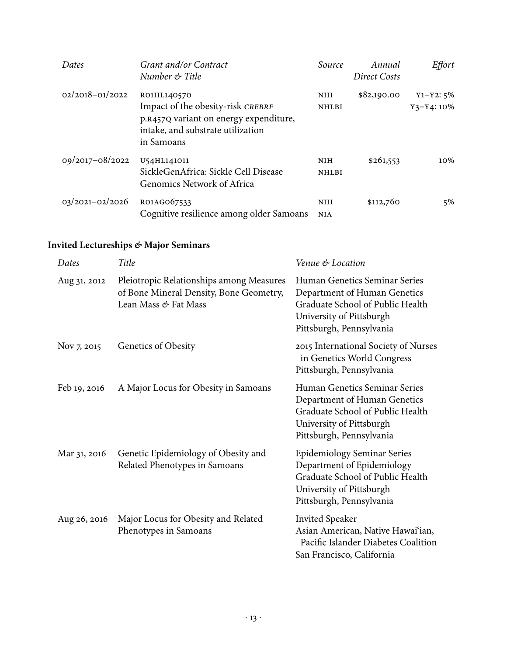| Dates               | Grant and/or Contract<br>Number & Title                                                                                                        | Source                     | Annual<br>Direct Costs | Effort                           |
|---------------------|------------------------------------------------------------------------------------------------------------------------------------------------|----------------------------|------------------------|----------------------------------|
| $02/2018 - 01/2022$ | R01HL140570<br>Impact of the obesity-risk CREBRF<br>p. R457Q variant on energy expenditure,<br>intake, and substrate utilization<br>in Samoans | <b>NIH</b><br><b>NHLBI</b> | \$82,190.00            | $Y1 - Y2: 5\%$<br>$Y3 - Y4:10\%$ |
| 09/2017-08/2022     | U54HL141011<br>SickleGenAfrica: Sickle Cell Disease<br>Genomics Network of Africa                                                              | <b>NIH</b><br><b>NHLBI</b> | \$261,553              | 10%                              |
| 03/2021-02/2026     | R01AG067533<br>Cognitive resilience among older Samoans                                                                                        | <b>NIH</b><br><b>NIA</b>   | \$112,760              | 5%                               |

# **Invited Lectureships & Major Seminars**

| Dates        | Title                                                                                                       | Venue & Location                                                                                                                                          |
|--------------|-------------------------------------------------------------------------------------------------------------|-----------------------------------------------------------------------------------------------------------------------------------------------------------|
| Aug 31, 2012 | Pleiotropic Relationships among Measures<br>of Bone Mineral Density, Bone Geometry,<br>Lean Mass & Fat Mass | Human Genetics Seminar Series<br>Department of Human Genetics<br>Graduate School of Public Health<br>University of Pittsburgh<br>Pittsburgh, Pennsylvania |
| Nov 7, 2015  | <b>Genetics of Obesity</b>                                                                                  | 2015 International Society of Nurses<br>in Genetics World Congress<br>Pittsburgh, Pennsylvania                                                            |
| Feb 19, 2016 | A Major Locus for Obesity in Samoans                                                                        | Human Genetics Seminar Series<br>Department of Human Genetics<br>Graduate School of Public Health<br>University of Pittsburgh<br>Pittsburgh, Pennsylvania |
| Mar 31, 2016 | Genetic Epidemiology of Obesity and<br>Related Phenotypes in Samoans                                        | Epidemiology Seminar Series<br>Department of Epidemiology<br>Graduate School of Public Health<br>University of Pittsburgh<br>Pittsburgh, Pennsylvania     |
| Aug 26, 2016 | Major Locus for Obesity and Related<br>Phenotypes in Samoans                                                | <b>Invited Speaker</b><br>Asian American, Native Hawai'ian,<br>Pacific Islander Diabetes Coalition<br>San Francisco, California                           |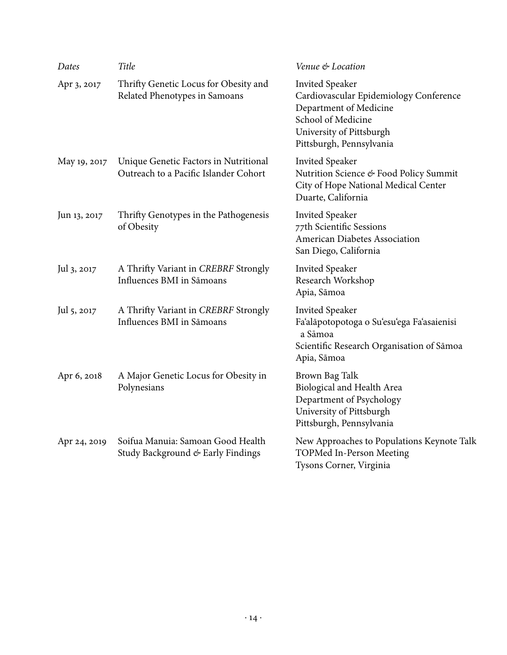| Dates        | Title                                                                          | Venue & Location                                                                                                                                                         |
|--------------|--------------------------------------------------------------------------------|--------------------------------------------------------------------------------------------------------------------------------------------------------------------------|
| Apr 3, 2017  | Thrifty Genetic Locus for Obesity and<br>Related Phenotypes in Samoans         | <b>Invited Speaker</b><br>Cardiovascular Epidemiology Conference<br>Department of Medicine<br>School of Medicine<br>University of Pittsburgh<br>Pittsburgh, Pennsylvania |
| May 19, 2017 | Unique Genetic Factors in Nutritional<br>Outreach to a Pacific Islander Cohort | <b>Invited Speaker</b><br>Nutrition Science & Food Policy Summit<br>City of Hope National Medical Center<br>Duarte, California                                           |
| Jun 13, 2017 | Thrifty Genotypes in the Pathogenesis<br>of Obesity                            | <b>Invited Speaker</b><br>77th Scientific Sessions<br><b>American Diabetes Association</b><br>San Diego, California                                                      |
| Jul 3, 2017  | A Thrifty Variant in CREBRF Strongly<br>Influences BMI in Sāmoans              | <b>Invited Speaker</b><br>Research Workshop<br>Apia, Sāmoa                                                                                                               |
| Jul 5, 2017  | A Thrifty Variant in CREBRF Strongly<br>Influences BMI in Sāmoans              | <b>Invited Speaker</b><br>Fa'alāpotopotoga o Su'esu'ega Fa'asaienisi<br>a Sāmoa<br>Scientific Research Organisation of Sāmoa<br>Apia, Sāmoa                              |
| Apr 6, 2018  | A Major Genetic Locus for Obesity in<br>Polynesians                            | Brown Bag Talk<br>Biological and Health Area<br>Department of Psychology<br>University of Pittsburgh<br>Pittsburgh, Pennsylvania                                         |
| Apr 24, 2019 | Soifua Manuia: Samoan Good Health<br>Study Background & Early Findings         | New Approaches to Populations Keynote Talk<br><b>TOPMed In-Person Meeting</b><br>Tysons Corner, Virginia                                                                 |
|              |                                                                                |                                                                                                                                                                          |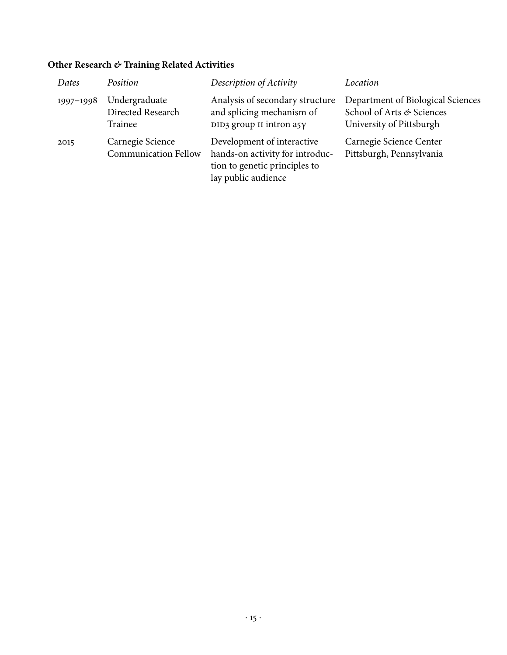# **Other Research & Training Related Activities**

| Dates     | Position                                        | Description of Activity                                                                                               | Location                                                                                   |
|-----------|-------------------------------------------------|-----------------------------------------------------------------------------------------------------------------------|--------------------------------------------------------------------------------------------|
| 1997-1998 | Undergraduate<br>Directed Research<br>Trainee   | Analysis of secondary structure<br>and splicing mechanism of<br>DID3 group II intron a5y                              | Department of Biological Sciences<br>School of Arts & Sciences<br>University of Pittsburgh |
| 2015      | Carnegie Science<br><b>Communication Fellow</b> | Development of interactive<br>hands-on activity for introduc-<br>tion to genetic principles to<br>lay public audience | Carnegie Science Center<br>Pittsburgh, Pennsylvania                                        |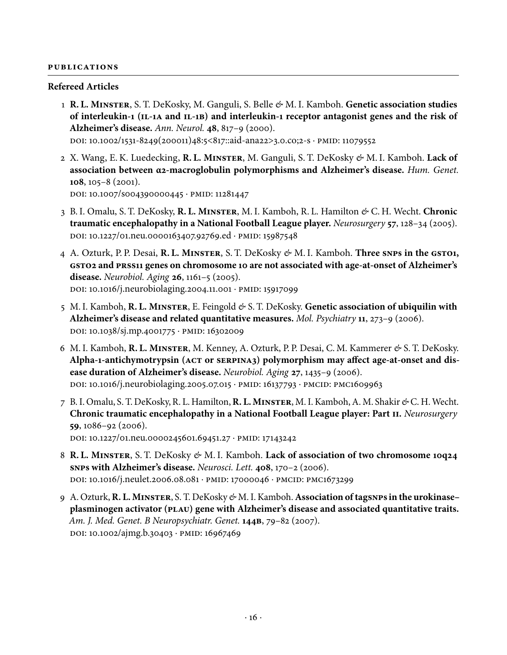#### **publications**

#### **Refereed Articles**

- 1 **R. L. Minster**, S. T. DeKosky, M. Ganguli, S. Belle & M. I. Kamboh. **Genetic association studies** of interleukin-1 (IL-1A and IL-1B) and interleukin-1 receptor antagonist genes and the risk of **Alzheimer's disease.** Ann. Neurol. **48**, 817–9 (2000). [doi: 10.1002/1531-8249\(200011\)48:5<817::aid-ana22>3.0.co;2-s](http://dx.doi.org/10.1002/1531-8249(200011)48:5%3C817::AID-ANA22%3E3.0.CO;2-S) · [pmid: 11079552](http://www.ncbi.nlm.nih.gov/pubmed/11079552)
- 2 X. Wang, E. K. Luedecking, **R. L. Minster**, M. Ganguli, S. T. DeKosky & M. I. Kamboh. **Lack of association between α2-macroglobulin polymorphisms and Alzheimer's disease.** Hum. Genet. **108**, 105–8 (2001).

[doi: 10.1007/s004390000445](http://dx.doi.org/10.1007/s004390000445) · [pmid: 11281447](http://www.ncbi.nlm.nih.gov/pubmed/11281447)

- 3 B. I. Omalu, S. T. DeKosky, **R. L. Minster**, M. I. Kamboh, R. L. Hamilton & C. H. Wecht. **Chronic traumatic encephalopathy in a National Football League player.** Neurosurgery **57**, 128–34 (2005). [doi: 10.1227/01.neu.0000163407.92769.ed](http://dx.doi.org/10.1227/01.neu.0000163407.92769.ed) · [pmid: 15987548](http://www.ncbi.nlm.nih.gov/pubmed/15987548)
- 4 A. Ozturk, P. P. Desai, **R. L. Minster**, S. T. DeKosky & M. I. Kamboh. **Three snps in the gsto1, gsto2 and prss11 genes on chromosome 10 are not associated with age-at-onset of Alzheimer's disease.** Neurobiol. Aging **26**, 1161–5 (2005). [doi: 10.1016/j.neurobiolaging.2004.11.001](http://dx.doi.org/10.1016/j.neurobiolaging.2004.11.001) · [pmid: 15917099](http://www.ncbi.nlm.nih.gov/pubmed/15917099)
- 5 M. I. Kamboh, **R. L. Minster**, E. Feingold & S. T. DeKosky. **Genetic association of ubiquilin with Alzheimer's disease and related quantitative measures.** Mol. Psychiatry **11**, 273–9 (2006). [doi: 10.1038/sj.mp.4001775](http:/dx.doi.org/10.1038/sj.mp.4001775) · [pmid: 16302009](http://www.ncbi.nlm.nih.gov/pubmed/16302009)
- 6 M. I. Kamboh, **R. L. Minster**, M. Kenney, A. Ozturk, P. P. Desai, C. M. Kammerer & S. T. DeKosky. Alpha-1-antichymotrypsin (ACT or SERPINA3) polymorphism may affect age-at-onset and dis**ease duration of Alzheimer's disease.** Neurobiol. Aging **27**, 1435–9 (2006). [doi: 10.1016/j.neurobiolaging.2005.07.015](http://dx.doi.org/10.1016/j.neurobiolaging.2005.07.015) · [pmid: 16137793](http://www.ncbi.nlm.nih.gov/pubmed/16137793) · pmcid: [pmc1609963](http://www.ncbi.nlm.nih.gov/pmc/articles/PMC1609963/)
- 7 B. I. Omalu, S. T. DeKosky, R. L. Hamilton,**R. L. Minster**, M. I. Kamboh, A. M. Shakir & C. H.Wecht. **Chronic traumatic encephalopathy in a National Football League player: Part ii.** Neurosurgery **59**, 1086–92 (2006).

[doi: 10.1227/01.neu.0000245601.69451.27](http://dx.doi.org/10.1227/01.neu.0000245601.69451.27) · [pmid: 17143242](http://www.ncbi.nlm.nih.gov/pubmed/17143242)

- 8 **R. L. Minster**, S. T. DeKosky & M. I. Kamboh. **Lack of association of two chromosome 10q24 snps with Alzheimer's disease.** Neurosci. Lett. **408**, 170–2 (2006). [doi: 10.1016/j.neulet.2006.08.081](http://dx.doi.org/10.1016/j.neulet.2006.08.081) · [pmid: 17000046](http://www.ncbi.nlm.nih.gov/pubmed/17000046) · pmcid: [pmc1673299](http://www.ncbi.nlm.nih.gov/pmc/articles/PMC1673299/)
- 9 A. Ozturk,**R. L. Minster**, S. T. DeKosky & M. I. Kamboh. **Association of tagsnps in the urokinase– plasminogen activator (plau) gene with Alzheimer's disease and associated quantitative traits.** Am. J. Med. Genet. B Neuropsychiatr. Genet. **144b**, 79–82 (2007). [doi: 10.1002/ajmg.b.30403](http://dx.doi.org/10.1002/ajmg.b.30403) · [pmid: 16967469](http://www.ncbi.nlm.nih.gov/pubmed/16967469)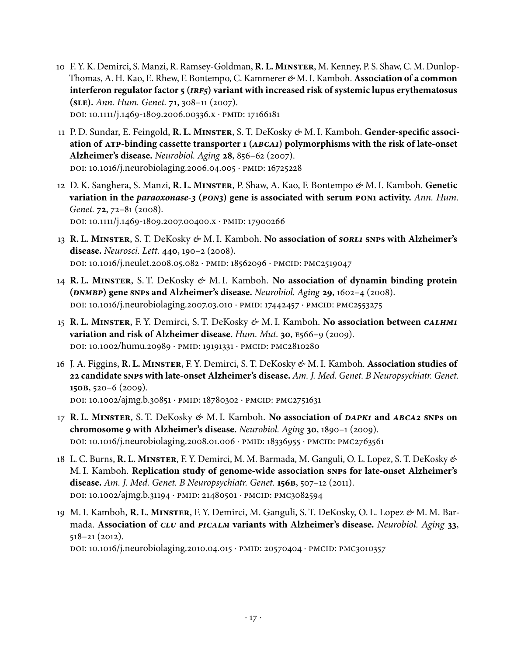- 10 F. Y. K. Demirci, S. Manzi, R. Ramsey-Goldman, **R. L. Minster**, M. Kenney, P. S. Shaw, C. M. Dunlop-Thomas, A. H. Kao, E. Rhew, F. Bontempo, C. Kammerer & M. I. Kamboh. **Association of a common** interferon regulator factor 5 (IRF5) variant with increased risk of systemic lupus erythematosus **(sle).** Ann. Hum. Genet. **71**, 308–11 (2007). [doi: 10.1111/j.1469-1809.2006.00336.x](http://dx.doi.org/10.1111/j.1469-1809.2006.00336.x) · [pmid: 17166181](http://www.ncbi.nlm.nih.gov/pubmed/17166181)
- 11 P.D. Sundar, E. Feingold, R. L. MINSTER, S. T. DeKosky & M. I. Kamboh. Gender-specific associ**ation of atp-binding cassette transporter 1 (abca1) polymorphisms with the risk of late-onset Alzheimer's disease.** Neurobiol. Aging **28**, 856–62 (2007). [doi: 10.1016/j.neurobiolaging.2006.04.005](http://dx.doi.org/10.1016/j.neurobiolaging.2006.04.005) · [pmid: 16725228](http://www.ncbi.nlm.nih.gov/pubmed/16725228)
- 12 D. K. Sanghera, S. Manzi, **R. L. Minster**, P. Shaw, A. Kao, F. Bontempo & M. I. Kamboh. **Genetic variation in the paraoxonase-3 (pon3) gene is associated with serum pon1 activity.** Ann. Hum. Genet. **72**, 72–81 (2008). [doi: 10.1111/j.1469-1809.2007.00400.x](http://dx.doi.org/10.1111/j.1469-1809.2007.00400.x) · [pmid: 17900266](http://www.ncbi.nlm.nih.gov/pubmed/17900266)

13 **R. L. Minster**, S. T. DeKosky & M. I. Kamboh. **No association of sorl1 snps with Alzheimer's disease.** Neurosci. Lett. **440**, 190–2 (2008). [doi: 10.1016/j.neulet.2008.05.082](http://dx.doi.org/10.1016/j.neulet.2008.05.082) · [pmid: 18562096](http://www.ncbi.nlm.nih.gov/pubmed/18562096) · pmcid: [pmc2519047](http://www.ncbi.nlm.nih.gov/pmc/articles/PMC2519047/)

- 14 **R. L. Minster**, S. T. DeKosky & M. I. Kamboh. **No association of dynamin binding protein (dnmbp) gene snps and Alzheimer's disease.** Neurobiol. Aging **29**, 1602–4 (2008). [doi: 10.1016/j.neurobiolaging.2007.03.010](http://dx.doi.org/10.1016/j.neurobiolaging.2007.03.010) · [pmid: 17442457](http://www.ncbi.nlm.nih.gov/pubmed/17442457) · pmcid: [pmc2553275](http://www.ncbi.nlm.nih.gov/pmc/articles/PMC2553275/)
- 15 **R. L. Minster**, F. Y. Demirci, S. T. DeKosky & M. I. Kamboh. **No association between calhm1 variation and risk of Alzheimer disease.** Hum. Mut. **30**, e566–9 (2009). [doi: 10.1002/humu.20989](http://dx.doi.org/10.1002/humu.20989) · [pmid: 19191331](http://www.ncbi.nlm.nih.gov/pubmed/19191331) · pmcid: [pmc2810280](http://www.ncbi.nlm.nih.gov/pmc/articles/PMC2810280/)
- 16 J. A. Figgins, **R. L. Minster**, F. Y. Demirci, S. T. DeKosky & M. I. Kamboh. **Association studies of 22 candidate snps with late-onset Alzheimer's disease.** Am. J. Med. Genet. B Neuropsychiatr. Genet. **150b**, 520–6 (2009). [doi: 10.1002/ajmg.b.30851](http://dx.doi.org/10.1002/ajmg.b.30851) · [pmid: 18780302](http://www.ncbi.nlm.nih.gov/pubmed/18780302) · pmcid: [pmc2751631](http://www.ncbi.nlm.nih.gov/pmc/articles/PMC2751631/)
- 17 **R. L. Minster**, S. T. DeKosky & M. I. Kamboh. **No association of dapk1 and abca2 snps on chromosome 9 with Alzheimer's disease.** Neurobiol. Aging **30**, 1890–1 (2009). DOI: 10.1016/j.neurobiolaging.2008.01.006 · PMID: 18336955 · PMCID: PMC2763561
- 18 L. C. Burns, **R. L. Minster**, F. Y. Demirci, M. M. Barmada, M. Ganguli, O. L. Lopez, S. T. DeKosky & M. I. Kamboh. **Replication study of genome-wide association snps for late-onset Alzheimer's disease.** Am. J. Med. Genet. B Neuropsychiatr. Genet. **156b**, 507–12 (2011). [doi: 10.1002/ajmg.b.31194](http://dx.doi.org/10.1002/ajmg.b.31194) · [pmid: 21480501](http://www.ncbi.nlm.nih.gov/pubmed/21480501) · pmcid: [pmc3082594](http://www.ncbi.nlm.nih.gov/pmc/articles/PMC3082594)
- 19 M. I. Kamboh, **R. L. Minster**, F. Y. Demirci, M. Ganguli, S. T. DeKosky, O. L. Lopez & M. M. Barmada. **Association of clu and picalm variants with Alzheimer's disease.** Neurobiol. Aging **33**, 518–21 (2012).

[doi: 10.1016/j.neurobiolaging.2010.04.015](http://dx.doi.org/10.1016/j.neurobiolaging.2010.04.015) · [pmid: 20570404](http://www.ncbi.nlm.nih.gov/pubmed/20570404) · pmcid: [pmc3010357](http://www.ncbi.nlm.nih.gov/pmc/articles/PMC3010357/)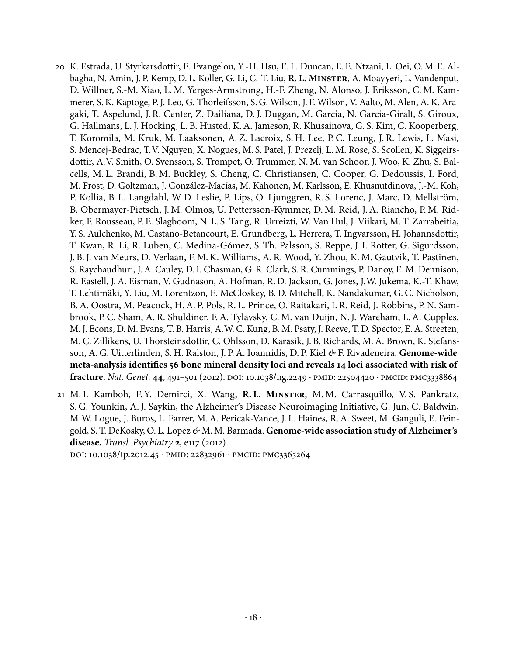- 20 K. Estrada, U. Styrkarsdottir, E. Evangelou, Y.-H. Hsu, E. L. Duncan, E. E. Ntzani, L. Oei, O. M. E. Albagha, N. Amin, J. P. Kemp, D. L. Koller, G. Li, C.-T. Liu, **R. L. Minster**, A. Moayyeri, L. Vandenput, D. Willner, S.-M. Xiao, L. M. Yerges-Armstrong, H.-F. Zheng, N. Alonso, J. Eriksson, C. M. Kammerer, S. K. Kaptoge, P. J. Leo, G. Thorleifsson, S. G. Wilson, J. F. Wilson, V. Aalto, M. Alen, A. K. Aragaki, T. Aspelund, J. R. Center, Z. Dailiana, D. J. Duggan, M. Garcia, N. Garcia-Giralt, S. Giroux, G. Hallmans, L. J. Hocking, L. B. Husted, K. A. Jameson, R. Khusainova, G. S. Kim, C. Kooperberg, T. Koromila, M. Kruk, M. Laaksonen, A. Z. Lacroix, S. H. Lee, P. C. Leung, J. R. Lewis, L. Masi, S. Mencej-Bedrac, T.V. Nguyen, X. Nogues, M. S. Patel, J. Prezelj, L. M. Rose, S. Scollen, K. Siggeirsdottir, A.V. Smith, O. Svensson, S. Trompet, O. Trummer, N. M. van Schoor, J. Woo, K. Zhu, S. Balcells, M. L. Brandi, B. M. Buckley, S. Cheng, C. Christiansen, C. Cooper, G. Dedoussis, I. Ford, M. Frost, D. Goltzman, J. González-Macías, M. Kähönen, M. Karlsson, E. Khusnutdinova, J.-M. Koh, P. Kollia, B. L. Langdahl, W. D. Leslie, P. Lips, Ö. Ljunggren, R. S. Lorenc, J. Marc, D. Mellström, B. Obermayer-Pietsch, J. M. Olmos, U. Pettersson-Kymmer, D. M. Reid, J. A. Riancho, P. M. Ridker, F. Rousseau, P. E. Slagboom, N. L. S. Tang, R. Urreizti, W. Van Hul, J. Viikari, M. T. Zarrabeitia, Y. S. Aulchenko, M. Castano-Betancourt, E. Grundberg, L. Herrera, T. Ingvarsson, H. Johannsdottir, T. Kwan, R. Li, R. Luben, C. Medina-Gómez, S. Th. Palsson, S. Reppe, J. I. Rotter, G. Sigurdsson, J. B. J. van Meurs, D. Verlaan, F. M. K. Williams, A. R. Wood, Y. Zhou, K. M. Gautvik, T. Pastinen, S. Raychaudhuri, J. A. Cauley, D. I. Chasman, G. R. Clark, S. R. Cummings, P. Danoy, E. M. Dennison, R. Eastell, J. A. Eisman, V. Gudnason, A. Hofman, R. D. Jackson, G. Jones, J.W. Jukema, K.-T. Khaw, T. Lehtimäki, Y. Liu, M. Lorentzon, E. McCloskey, B. D. Mitchell, K. Nandakumar, G. C. Nicholson, B. A. Oostra, M. Peacock, H. A. P. Pols, R. L. Prince, O. Raitakari, I. R. Reid, J. Robbins, P. N. Sambrook, P. C. Sham, A. R. Shuldiner, F. A. Tylavsky, C. M. van Duijn, N. J. Wareham, L. A. Cupples, M. J. Econs, D. M. Evans, T. B. Harris, A.W. C. Kung, B. M. Psaty, J. Reeve, T. D. Spector, E. A. Streeten, M. C. Zillikens, U. Thorsteinsdottir, C. Ohlsson, D. Karasik, J. B. Richards, M. A. Brown, K. Stefansson, A. G. Uitterlinden, S. H. Ralston, J. P. A. Ioannidis, D. P. Kiel & F. Rivadeneira. **Genome-wide** meta-analysis identifies 56 bone mineral density loci and reveals 14 loci associated with risk of fracture. Nat. Genet. 44, 491-501 (2012). DOI: 10.1038/ng.2249 · PMID: 22504420 · PMCID: PMC3338864
- 21 M. I. Kamboh, F. Y. Demirci, X. Wang, **R. L. Minster**, M. M. Carrasquillo, V. S. Pankratz, S. G. Younkin, A. J. Saykin, the Alzheimer's Disease Neuroimaging Initiative, G. Jun, C. Baldwin, M.W. Logue, J. Buros, L. Farrer, M. A. Pericak-Vance, J. L. Haines, R. A. Sweet, M. Ganguli, E. Feingold, S. T. DeKosky, O. L. Lopez & M. M. Barmada. **Genome-wide association study of Alzheimer's disease.** Transl. Psychiatry **2**, e117 (2012).

[doi: 10.1038/tp.2012.45](http://dx.doi.org/10.1038/tp.2012.45) · [pmid: 22832961](http://www.ncbi.nlm.nih.gov/pubmed/22832961) · pmcid: [pmc3365264](http://www.ncbi.nlm.nih.gov/pmc/articles/PMC3365264)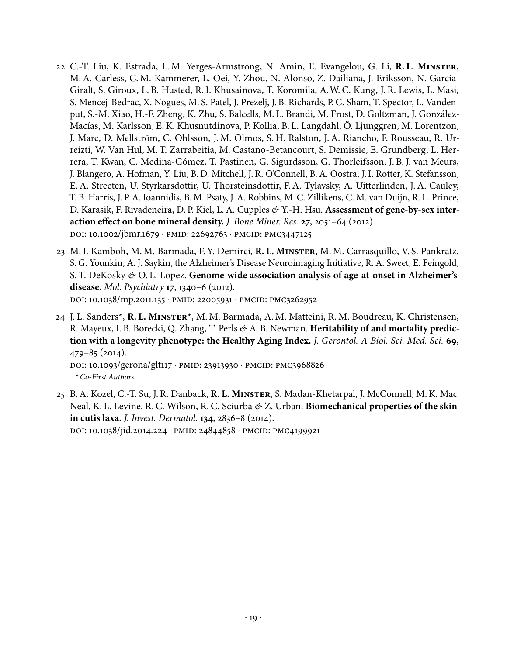- 22 C.-T. Liu, K. Estrada, L. M. Yerges-Armstrong, N. Amin, E. Evangelou, G. Li, **R. L. Minster**, M. A. Carless, C. M. Kammerer, L. Oei, Y. Zhou, N. Alonso, Z. Dailiana, J. Eriksson, N. García-Giralt, S. Giroux, L. B. Husted, R. I. Khusainova, T. Koromila, A.W. C. Kung, J. R. Lewis, L. Masi, S. Mencej-Bedrac, X. Nogues, M. S. Patel, J. Prezelj, J. B. Richards, P. C. Sham, T. Spector, L. Vandenput, S.-M. Xiao, H.-F. Zheng, K. Zhu, S. Balcells, M. L. Brandi, M. Frost, D. Goltzman, J. González-Macías, M. Karlsson, E. K. Khusnutdinova, P. Kollia, B. L. Langdahl, Ö. Ljunggren, M. Lorentzon, J. Marc, D. Mellström, C. Ohlsson, J. M. Olmos, S. H. Ralston, J. A. Riancho, F. Rousseau, R. Urreizti, W. Van Hul, M. T. Zarrabeitia, M. Castano-Betancourt, S. Demissie, E. Grundberg, L. Herrera, T. Kwan, C. Medina-Gómez, T. Pastinen, G. Sigurdsson, G. Thorleifsson, J. B. J. van Meurs, J. Blangero, A. Hofman, Y. Liu, B. D. Mitchell, J. R. O'Connell, B. A. Oostra, J. I. Rotter, K. Stefansson, E. A. Streeten, U. Styrkarsdottir, U. Thorsteinsdottir, F. A. Tylavsky, A. Uitterlinden, J. A. Cauley, T. B. Harris, J. P. A. Ioannidis, B. M. Psaty, J. A. Robbins, M. C. Zillikens, C. M. van Duijn, R. L. Prince, D. Karasik, F. Rivadeneira, D. P. Kiel, L. A. Cupples & Y.-H. Hsu. **Assessment of gene-by-sex interaction effect on bone mineral density.** J. Bone Miner. Res. 27, 2051–64 (2012). [doi: 10.1002/jbmr.1679](http://dx.doi.org/10.1002/jbmr.1679) · [pmid: 22692763](http://www.ncbi.nlm.nih.gov/pubmed/22692763) · pmcid: [pmc3447125](http://www.ncbi.nlm.nih.gov/pmc/articles/PMC3447125/)
- 23 M. I. Kamboh, M. M. Barmada, F. Y. Demirci, **R. L. Minster**, M. M. Carrasquillo, V. S. Pankratz, S. G. Younkin, A. J. Saykin, the Alzheimer's Disease Neuroimaging Initiative, R. A. Sweet, E. Feingold, S. T. DeKosky & O. L. Lopez. **Genome-wide association analysis of age-at-onset in Alzheimer's disease.** Mol. Psychiatry **17**, 1340–6 (2012). [doi: 10.1038/mp.2011.135](http://dx.doi.org/10.1038/mp.2011.135) · [pmid: 22005931](http://www.ncbi.nlm.nih.gov/pubmed/22005931) · pmcid: [pmc3262952](http://www.ncbi.nlm.nih.gov/pmc/articles/PMC3262952)
- 24 J. L. Sanders\*, **R. L. Minster**\*, M. M. Barmada, A. M. Matteini, R. M. Boudreau, K. Christensen, R. Mayeux, I. B. Borecki, Q. Zhang, T. Perls & A. B. Newman. **Heritability of and mortality prediction with a longevity phenotype: the Healthy Aging Index.** J. Gerontol. A Biol. Sci. Med. Sci. **69**, 479–85 (2014). [doi: 10.1093/gerona/glt117](http://dx.doi.org/10.1093/gerona/glt117) · [pmid: 23913930](http://www.ncbi.nlm.nih.gov/pubmed/23913930) · pmcid: [pmc3968826](http://www.ncbi.nlm.nih.gov/pmc/articles/PMC3968826/)

25 B. A. Kozel, C.-T. Su, J. R. Danback, **R. L. Minster**, S. Madan-Khetarpal, J. McConnell, M. K. Mac Neal, K. L. Levine, R. C. Wilson, R. C. Sciurba & Z. Urban. **Biomechanical properties of the skin in cutis laxa.** J. Invest. Dermatol. **134**, 2836–8 (2014). [doi: 10.1038/jid.2014.224](http://dx.doi.org/10.1038/jid.2014.224) · [pmid: 24844858](http://www.ncbi.nlm.nih.gov/pubmed/24844858) · pmcid: [pmc4199921](http://www.ncbi.nlm.nih.gov/pmc/articles/PMC4199921)

<sup>\*</sup> Co-First Authors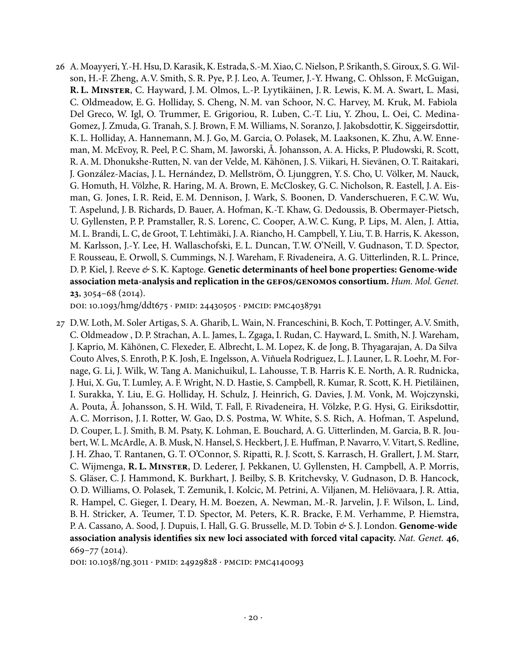26 A. Moayyeri,Y.-H. Hsu, D. Karasik, K. Estrada, S.-M.Xiao, C. Nielson, P. Srikanth, S. Giroux, S. G.Wilson, H.-F. Zheng, A.V. Smith, S. R. Pye, P. J. Leo, A. Teumer, J.-Y. Hwang, C. Ohlsson, F. McGuigan, **R. L. Minster**, C. Hayward, J. M. Olmos, L.-P. Lyytikäinen, J. R. Lewis, K. M. A. Swart, L. Masi, C. Oldmeadow, E. G. Holliday, S. Cheng, N. M. van Schoor, N. C. Harvey, M. Kruk, M. Fabiola Del Greco, W. Igl, O. Trummer, E. Grigoriou, R. Luben, C.-T. Liu, Y. Zhou, L. Oei, C. Medina-Gomez, J. Zmuda, G. Tranah, S. J. Brown, F. M. Williams, N. Soranzo, J. Jakobsdottir, K. Siggeirsdottir, K. L. Holliday, A. Hannemann, M. J. Go, M. Garcia, O. Polasek, M. Laaksonen, K. Zhu, A.W. Enneman, M. McEvoy, R. Peel, P. C. Sham, M. Jaworski, Å. Johansson, A. A. Hicks, P. Pludowski, R. Scott, R. A. M. Dhonukshe-Rutten, N. van der Velde, M. Kähönen, J. S. Viikari, H. Sievänen, O. T. Raitakari, J. González-Macías, J. L. Hernández, D. Mellström, Ö. Ljunggren, Y. S. Cho, U. Völker, M. Nauck, G. Homuth, H. Völzhe, R. Haring, M. A. Brown, E. McCloskey, G. C. Nicholson, R. Eastell, J. A. Eisman, G. Jones, I. R. Reid, E. M. Dennison, J. Wark, S. Boonen, D. Vanderschueren, F. C.W. Wu, T. Aspelund, J. B. Richards, D. Bauer, A. Hofman, K.-T. Khaw, G. Dedoussis, B. Obermayer-Pietsch, U. Gyllensten, P. P. Pramstaller, R. S. Lorenc, C. Cooper, A.W. C. Kung, P. Lips, M. Alen, J. Attia, M. L. Brandi, L. C, de Groot, T. Lehtimäki, J. A. Riancho, H. Campbell, Y. Liu, T. B. Harris, K. Akesson, M. Karlsson, J.-Y. Lee, H. Wallaschofski, E. L. Duncan, T.W. O'Neill, V. Gudnason, T. D. Spector, F. Rousseau, E. Orwoll, S. Cummings, N. J. Wareham, F. Rivadeneira, A. G. Uitterlinden, R. L. Prince, D. P. Kiel, J. Reeve & S. K. Kaptoge. Genetic determinants of heel bone properties: Genome-wide **association meta-analysis and replication in the gefos/genomos consortium.** Hum. Mol. Genet. **23**, 3054–68 (2014).

[doi: 10.1093/hmg/ddt675](http://dx.doi.org/10.1093/hmg/ddt675) · [pmid: 24430505](http://www.ncbi.nlm.nih.gov/pubmed/24430505) · pmcid: [pmc4038791](http://www.ncbi.nlm.nih.gov/pmc/articles/PMC4038791)

27 D.W. Loth, M. Soler Artigas, S. A. Gharib, L. Wain, N. Franceschini, B. Koch, T. Pottinger, A.V. Smith, C. Oldmeadow , D. P. Strachan, A. L. James, L. Zgaga, I. Rudan, C. Hayward, L. Smith, N. J. Wareham, J. Kaprio, M. Kähönen, C. Flexeder, E. Albrecht, L. M. Lopez, K. de Jong, B. Thyagarajan, A. Da Silva Couto Alves, S. Enroth, P. K. Josh, E. Ingelsson, A. Viñuela Rodriguez, L. J. Launer, L. R. Loehr, M. Fornage, G. Li, J. Wilk, W. Tang A. Manichuikul, L. Lahousse, T. B. Harris K. E. North, A. R. Rudnicka, J. Hui, X. Gu, T. Lumley, A. F. Wright, N. D. Hastie, S. Campbell, R. Kumar, R. Scott, K. H. Pietiläinen, I. Surakka, Y. Liu, E. G. Holliday, H. Schulz, J. Heinrich, G. Davies, J. M. Vonk, M. Wojczynski, A. Pouta, Å. Johansson, S. H. Wild, T. Fall, F. Rivadeneira, H. Völzke, P. G. Hysi, G. Eiriksdottir, A. C. Morrison, J. I. Rotter, W. Gao, D. S. Postma, W. White, S. S. Rich, A. Hofman, T. Aspelund, D. Couper, L. J. Smith, B. M. Psaty, K. Lohman, E. Bouchard, A. G. Uitterlinden, M. Garcia, B. R. Joubert, W. L. McArdle, A. B. Musk, N. Hansel, S. Heckbert, J. E. Huffman, P. Navarro, V. Vitart, S. Redline, J. H. Zhao, T. Rantanen, G. T. O'Connor, S. Ripatti, R. J. Scott, S. Karrasch, H. Grallert, J. M. Starr, C. Wijmenga, **R. L. Minster**, D. Lederer, J. Pekkanen, U. Gyllensten, H. Campbell, A. P. Morris, S. Gläser, C. J. Hammond, K. Burkhart, J. Beilby, S. B. Kritchevsky, V. Gudnason, D. B. Hancock, O. D. Williams, O. Polasek, T. Zemunik, I. Kolcic, M. Petrini, A. Viljanen, M. Heliövaara, J. R. Attia, R. Hampel, C. Gieger, I. Deary, H. M. Boezen, A. Newman, M.-R. Jarvelin, J. F. Wilson, L. Lind, B. H. Stricker, A. Teumer, T. D. Spector, M. Peters, K. R. Bracke, F. M. Verhamme, P. Hiemstra, P. A. Cassano, A. Sood, J. Dupuis, I. Hall, G. G. Brusselle, M. D. Tobin & S. J. London. **Genome-wide** association analysis identifies six new loci associated with forced vital capacity. Nat. Genet. 46, 669–77 (2014).

[doi: 10.1038/ng.3011](http://dx.doi.org/10.1038/ng.3011) · [pmid: 24929828](http://www.ncbi.nlm.nih.gov/pubmed/24929828) · pmcid: [pmc4140093](http://www.ncbi.nlm.nih.gov/pmc/articles/PMC4140093/)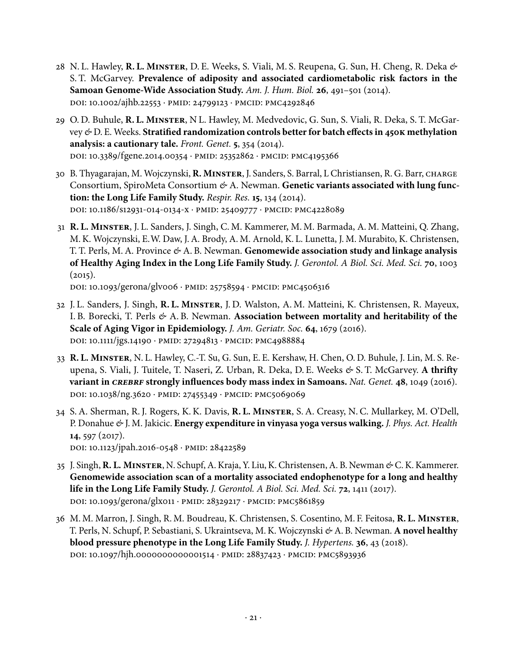- 28 N. L. Hawley, **R. L. Minster**, D. E. Weeks, S. Viali, M. S. Reupena, G. Sun, H. Cheng, R. Deka & S. T. McGarvey. **Prevalence of adiposity and associated cardiometabolic risk factors in the Samoan Genome-Wide Association Study.** Am. J. Hum. Biol. **26**, 491–501 (2014). [doi: 10.1002/ajhb.22553](http://dx.doi.org/10.1002/ajhb.22553) · [pmid: 24799123](http://www.ncbi.nlm.nih.gov/pubmed/24799123) · pmcid: [pmc4292846](http://www.ncbi.nlm.nih.gov/pmc/articles/PMC4292846/)
- 29 O. D. Buhule, **R. L. Minster**, N L. Hawley, M. Medvedovic, G. Sun, S. Viali, R. Deka, S. T. McGarvey & D. E. Weeks. Stratified randomization controls better for batch effects in 450K methylation **analysis: a cautionary tale.** Front. Genet. **5**, 354 (2014). [doi: 10.3389/fgene.2014.00354](http://dx.doi.org/10.3389/fgene.2014.00354) · [pmid: 25352862](http://www.ncbi.nlm.nih.gov/pubmed/25352862) · pmcid: [pmc4195366](http://www.ncbi.nlm.nih.gov/pmc/articles/PMC4195366/)
- 30 B. Thyagarajan, M. Wojczynski, **R. Minster**, J. Sanders, S. Barral, L Christiansen, R. G. Barr, charge Consortium, SpiroMeta Consortium & A. Newman. Genetic variants associated with lung func**tion: the Long Life Family Study.** Respir. Res. **15**, 134 (2014). [doi: 10.1186/s12931-014-0134-x](http://dx.doi.org/10.1186/s12931-014-0134-x) · [pmid: 25409777](http://www.ncbi.nlm.nih.gov/pubmed/25409777) · pmcid: [pmc4228089](http://www.ncbi.nlm.nih.gov/pmc/articles/PMC4228089/)
- 31 **R. L. Minster**, J. L. Sanders, J. Singh, C. M. Kammerer, M. M. Barmada, A. M. Matteini, Q. Zhang, M. K. Wojczynski, E.W. Daw, J. A. Brody, A. M. Arnold, K. L. Lunetta, J. M. Murabito, K. Christensen, T. T. Perls, M. A. Province & A. B. Newman. **Genomewide association study and linkage analysis of Healthy Aging Index in the Long Life Family Study.** J. Gerontol. A Biol. Sci. Med. Sci. **70**, 1003  $(2015).$

[doi: 10.1093/gerona/glv006](http://dx.doi.org/10.1093/gerona/glv006) · [pmid: 25758594](http://www.ncbi.nlm.nih.gov/pubmed/25758594) · pmcid: [pmc4506316](http://www.ncbi.nlm.nih.gov/pmc/articles/PMC4506316/)

- 32 J. L. Sanders, J. Singh, **R. L. Minster**, J. D. Walston, A. M. Matteini, K. Christensen, R. Mayeux, I. B. Borecki, T. Perls & A. B. Newman. Association between mortality and heritability of the **Scale of Aging Vigor in Epidemiology.** J. Am. Geriatr. Soc. **64**, 1679 (2016). [doi: 10.1111/jgs.14190](http://doi.org/10.1111/jgs.14190) · [pmid: 27294813](http://www.ncbi.nlm.nih.gov/pubmed/27294813) · pmcid: [pmc4988884](http://www.ncbi.nlm.nih.gov/pmc/articles/PMC4988884/)
- 33 **R. L. Minster**, N. L. Hawley, C.-T. Su, G. Sun, E. E. Kershaw, H. Chen, O. D. Buhule, J. Lin, M. S. Reupena, S. Viali, J. Tuitele, T. Naseri, Z. Urban, R. Deka, D. E. Weeks & S. T. McGarvey. A thrifty **variant in CREBRF strongly influences body mass index in Samoans.** Nat. Genet. 48, 1049 (2016). [doi: 10.1038/ng.3620](http://doi.org/10.1038/ng.3620) · [pmid: 27455349](http://www.ncbi.nlm.nih.gov/pubmed/27455349) · pmcid: [pmc5069069](http://www.ncbi.nlm.nih.gov/pmc/articles/PMC5069069/)
- 34 S. A. Sherman, R. J. Rogers, K. K. Davis, **R. L. Minster**, S. A. Creasy, N. C. Mullarkey, M. O'Dell, P. Donahue & J. M. Jakicic. **Energy expenditure in vinyasa yoga versus walking.** J. Phys. Act. Health **14**, 597 (2017). [doi: 10.1123/jpah.2016-0548](http://doi.org/10.1123/jpah.2016-0548) · [pmid: 28422589](http://www.ncbi.nlm.nih.gov/pubmed/28422589)
- 35 J. Singh, **R. L. Minster**, N. Schupf, A. Kraja, Y. Liu, K. Christensen, A. B. Newman & C. K. Kammerer. **Genomewide association scan of a mortality associated endophenotype for a long and healthy life in the Long Life Family Study.** J. Gerontol. A Biol. Sci. Med. Sci. **72**, 1411 (2017). DOI: 10.1093/gerona/glx011 · PMID: 28329217 · PMCID: PMC5861859
- 36 M. M. Marron, J. Singh, R. M. Boudreau, K. Christensen, S. Cosentino, M. F. Feitosa, **R. L. Minster**, T. Perls, N. Schupf, P. Sebastiani, S. Ukraintseva, M. K. Wojczynski & A. B. Newman. **A novel healthy blood pressure phenotype in the Long Life Family Study.** J. Hypertens. **36**, 43 (2018). [doi: 10.1097/hjh.0000000000001514](http://doi.org/10.1097/hjh.0000000000001514) · [pmid: 28837423](http://www.ncbi.nlm.nih.gov/pubmed/28837423) · pmcid: [pmc5893936](http://www.ncbi.nlm.nih.gov/pmc/articles/PMC5893936/)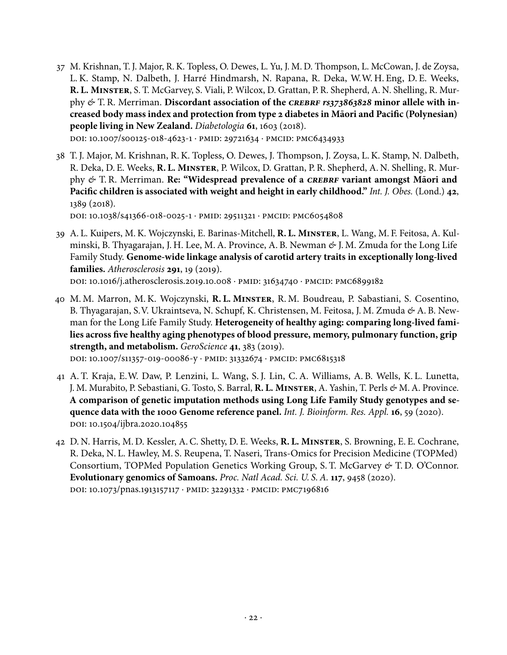- 37 M. Krishnan, T. J. Major, R. K. Topless, O. Dewes, L. Yu, J. M. D. Thompson, L. McCowan, J. de Zoysa, L. K. Stamp, N. Dalbeth, J. Harré Hindmarsh, N. Rapana, R. Deka, W.W. H. Eng, D. E. Weeks, **R. L. Minster**, S. T. McGarvey, S. Viali, P. Wilcox, D. Grattan, P. R. Shepherd, A. N. Shelling, R. Murphy & T. R. Merriman. Discordant association of the *CREBRF rs373863828* minor allele with increased body mass index and protection from type 2 diabetes in Maori and Pacific (Polynesian) **people living in New Zealand.** Diabetologia **61**, 1603 (2018). [doi: 10.1007/s00125-018-4623-1](http://doi.org/10.1007/s00125-018-4623-1) · [pmid: 29721634](http://www.ncbi.nlm.nih.gov/pubmed/29721634) · pmcid: [pmc6434933](http://www.ncbi.nlm.nih.gov/pmc/articles/PMC6434933/)
- 38 T. J. Major, M. Krishnan, R. K. Topless, O. Dewes, J. Thompson, J. Zoysa, L. K. Stamp, N. Dalbeth, R. Deka, D. E. Weeks, **R. L. Minster**, P. Wilcox, D. Grattan, P. R. Shepherd, A. N. Shelling, R. Murphy & T. R. Merriman. **Re: "Widespread prevalence of a** *CREBRF* **variant amongst Maori and** Pacific children is associated with weight and height in early childhood." Int. J. Obes. (Lond.) 42, 1389 (2018).

[doi: 10.1038/s41366-018-0025-1](http://doi.org/10.1038/s41366-018-0025-1) · [pmid: 29511321](http://www.ncbi.nlm.nih.gov/pubmed/29511321) · pmcid: [pmc6054808](http://www.ncbi.nlm.nih.gov/pmc/articles/PMC6054808/)

39 A. L. Kuipers, M. K. Wojczynski, E. Barinas-Mitchell, **R. L. Minster**, L. Wang, M. F. Feitosa, A. Kulminski, B. Thyagarajan, J. H. Lee, M. A. Province, A. B. Newman  $\mathfrak{G}$  J. M. Zmuda for the Long Life Family Study. **Genome-wide linkage analysis of carotid artery traits in exceptionally long-lived families.** Atherosclerosis **291**, 19 (2019).

[doi: 10.1016/j.atherosclerosis.2019.10.008](http://doi.org/10.1016/j.atherosclerosis.2019.10.008) · [pmid: 31634740](http://www.ncbi.nlm.nih.gov/pubmed/31634740) · pmcid: [pmc6899182](http://www.ncbi.nlm.nih.gov/pubmed/31634740)

- 40 M. M. Marron, M. K. Wojczynski, **R. L. Minster**, R. M. Boudreau, P. Sabastiani, S. Cosentino, B. Thyagarajan, S.V. Ukraintseva, N. Schupf, K. Christensen, M. Feitosa, J. M. Zmuda & A. B. Newman for the Long Life Family Study. **Heterogeneity of healthy aging: comparing long-lived fami**lies across five healthy aging phenotypes of blood pressure, memory, pulmonary function, grip **strength, and metabolism.** GeroScience **41**, 383 (2019). [doi: 10.1007/s11357-019-00086-y](http://doi.org/10.1007/s11357-019-00086-y) · [pmid: 31332674](http://www.ncbi.nlm.nih.gov/pubmed/31332674) · pmcid: [pmc6815318](http://www.ncbi.nlm.nih.gov/pmc/articles/PMC6815318/)
- 41 A. T. Kraja, E.W. Daw, P. Lenzini, L. Wang, S. J. Lin, C. A. Williams, A. B. Wells, K. L. Lunetta, J. M. Murabito, P. Sebastiani, G. Tosto, S. Barral, **R. L. Minster**, A. Yashin, T. Perls & M. A. Province. **A comparison of genetic imputation methods using Long Life Family Study genotypes and sequence data with the 1000 Genome reference panel.** Int. J. Bioinform. Res. Appl. **16**, 59 (2020). [doi: 10.1504/ijbra.2020.104855](http://doi.org/10.1504/ijbra.2020.104855)
- 42 D. N. Harris, M. D. Kessler, A. C. Shetty, D. E. Weeks, **R. L. Minster**, S. Browning, E. E. Cochrane, R. Deka, N. L. Hawley, M. S. Reupena, T. Naseri, Trans-Omics for Precision Medicine (TOPMed) Consortium, TOPMed Population Genetics Working Group, S. T. McGarvey & T. D. O'Connor. **Evolutionary genomics of Samoans.** Proc. Natl Acad. Sci. U. S. A. **117**, 9458 (2020). [doi: 10.1073/pnas.1913157117](http://doi.org/10.1073/pnas.1913157117) · [pmid: 32291332](http://www.ncbi.nlm.nih.gov/pubmed/32291332) · pmcid: [pmc7196816](https://www.ncbi.nlm.nih.gov/pmc/articles/PMC7196816/)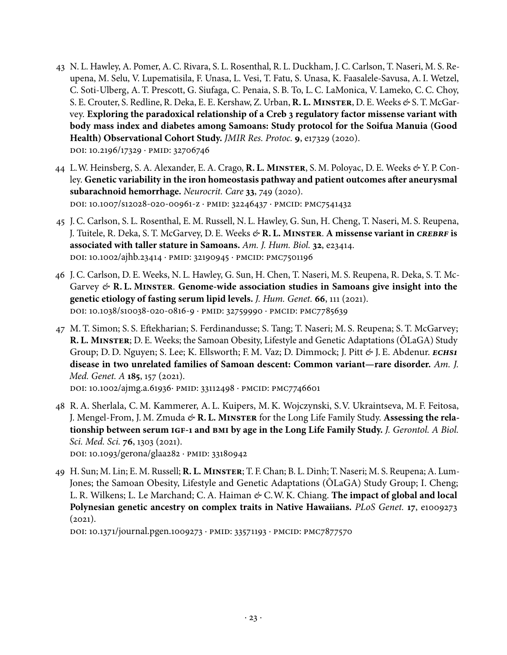- 43 N. L. Hawley, A. Pomer, A. C. Rivara, S. L. Rosenthal, R. L. Duckham, J. C. Carlson, T. Naseri, M. S. Reupena, M. Selu, V. Lupematisila, F. Unasa, L. Vesi, T. Fatu, S. Unasa, K. Faasalele-Savusa, A. I. Wetzel, C. Soti-Ulberg, A. T. Prescott, G. Siufaga, C. Penaia, S. B. To, L. C. LaMonica, V. Lameko, C. C. Choy, S. E. Crouter, S. Redline, R. Deka, E. E. Kershaw, Z. Urban, **R. L. Minster**, D. E. Weeks & S. T. McGarvey. **Exploring the paradoxical relationship of a Creb 3 regulatory factor missense variant with body mass index and diabetes among Samoans: Study protocol for the Soifua Manuia (Good Health) Observational Cohort Study.** JMIR Res. Protoc. **9**, e17329 (2020). [doi: 10.2196/17329](http://doi.org/10.2196/17329) · [pmid: 32706746](http://www.ncbi.nlm.nih.gov/pubmed/32706746)
- 44 L.W. Heinsberg, S. A. Alexander, E. A. Crago, **R. L. MINSTER**, S. M. Poloyac, D. E. Weeks & Y. P. Conley. Genetic variability in the iron homeostasis pathway and patient outcomes after aneurysmal **subarachnoid hemorrhage.** Neurocrit. Care **33**, 749 (2020). [doi: 10.1007/s12028-020-00961-z](http://doi.org/10.1007/s12028-020-00961-z) · [pmid: 32246437](http://www.ncbi.nlm.nih.gov/pubmed/32246437) · pmcid: [pmc7541432](http://www.ncbi.nlm.nih.gov/pubmed/32246437)
- 45 J. C. Carlson, S. L. Rosenthal, E. M. Russell, N. L. Hawley, G. Sun, H. Cheng, T. Naseri, M. S. Reupena, J. Tuitele, R. Deka, S. T. McGarvey, D. E. Weeks & **R. L. Minster**. **A missense variant in crebrf is associated with taller stature in Samoans.** Am. J. Hum. Biol. **32**, e23414. [doi: 10.1002/ajhb.23414](http://doi.org/10.1002/ajhb.23414) · [pmid: 32190945](http://www.ncbi.nlm.nih.gov/pubmed/32190945) · pmcid: [pmc7501196](http://www.ncbi.nlm.nih.gov/pubmed/32190945)
- 46 J. C. Carlson, D. E. Weeks, N. L. Hawley, G. Sun, H. Chen, T. Naseri, M. S. Reupena, R. Deka, S. T. Mc-Garvey & **R. L. Minster**. **Genome-wide association studies in Samoans give insight into the genetic etiology of fasting serum lipid levels.** J. Hum. Genet. **66**, 111 (2021). [doi: 10.1038/s10038-020-0816-9](http://doi.org/10.1038/s10038-020-0816-9) · [pmid: 32759990](http://www.ncbi.nlm.nih.gov/pubmed/32759990) · pmcid: [pmc7785639](http://www.ncbi.nlm.nih.gov/pubmed/32759990)
- 47 M. T. Simon; S. S. Eftekharian; S. Ferdinandusse; S. Tang; T. Naseri; M. S. Reupena; S. T. McGarvey; **R. L. Minster**; D. E. Weeks; the Samoan Obesity, Lifestyle and Genetic Adaptations (OLaGA) Study ¯ Group; D. D. Nguyen; S. Lee; K. Ellsworth; F. M. Vaz; D. Dimmock; J. Pitt & J. E. Abdenur. **echs1 disease in two unrelated families of Samoan descent: Common variant—rare disorder.** Am. J. Med. Genet. A **185**, 157 (2021).

DOI: 10.1002/ajmg.a.61936· PMID: 33112498 · PMCID: PMC7746601

- 48 R. A. Sherlala, C. M. Kammerer, A. L. Kuipers, M. K. Wojczynski, S.V. Ukraintseva, M. F. Feitosa, J. Mengel-From, J. M. Zmuda & **R. L. Minster** for the Long Life Family Study. **Assessing the relationship between serum igf-1 and bmi by age in the Long Life Family Study.** J. Gerontol. A Biol. Sci. Med. Sci. **76**, 1303 (2021). [doi: 10.1093/gerona/glaa282](http://doi.org/10.1093/gerona/glaa282) · [pmid: 33180942](http://www.ncbi.nlm.nih.gov/pubmed/33180942)
- 49 H. Sun; M. Lin; E. M. Russell; **R. L. Minster**; T. F. Chan; B. L. Dinh; T. Naseri; M. S. Reupena; A. Lum-Jones; the Samoan Obesity, Lifestyle and Genetic Adaptations ( $\overline{OLaGA}$ ) Study Group; I. Cheng; L. R. Wilkens; L. Le Marchand; C. A. Haiman & C. W. K. Chiang. The impact of global and local **Polynesian genetic ancestry on complex traits in Native Hawaiians.** PLoS Genet. **17**, e1009273  $(2021).$

[doi: 10.1371/journal.pgen.1009273](http://doi.org/10.1371/journal.pgen.1009273) · [pmid: 33571193](http://www.ncbi.nlm.nih.gov/pubmed/33571193) · pmcid: [pmc7877570](http://www.ncbi.nlm.nih.gov/pmc/articles/PMC7877570/)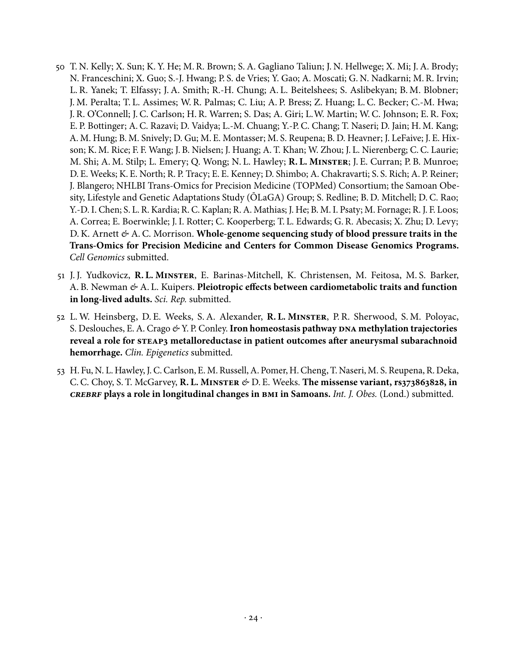- 50 T. N. Kelly; X. Sun; K. Y. He; M. R. Brown; S. A. Gagliano Taliun; J. N. Hellwege; X. Mi; J. A. Brody; N. Franceschini; X. Guo; S.-J. Hwang; P. S. de Vries; Y. Gao; A. Moscati; G. N. Nadkarni; M. R. Irvin; L. R. Yanek; T. Elfassy; J. A. Smith; R.-H. Chung; A. L. Beitelshees; S. Aslibekyan; B. M. Blobner; J. M. Peralta; T. L. Assimes; W. R. Palmas; C. Liu; A. P. Bress; Z. Huang; L. C. Becker; C.-M. Hwa; J. R. O'Connell; J. C. Carlson; H. R. Warren; S. Das; A. Giri; L.W. Martin; W. C. Johnson; E. R. Fox; E. P. Bottinger; A. C. Razavi; D. Vaidya; L.-M. Chuang; Y.-P. C. Chang; T. Naseri; D. Jain; H. M. Kang; A. M. Hung; B. M. Snively; D. Gu; M. E. Montasser; M. S. Reupena; B. D. Heavner; J. LeFaive; J. E. Hixson; K. M. Rice; F. F. Wang; J. B. Nielsen; J. Huang; A. T. Khan; W. Zhou; J. L. Nierenberg; C. C. Laurie; M. Shi; A. M. Stilp; L. Emery; Q. Wong; N. L. Hawley; **R. L. Minster**; J. E. Curran; P. B. Munroe; D. E. Weeks; K. E. North; R. P. Tracy; E. E. Kenney; D. Shimbo; A. Chakravarti; S. S. Rich; A. P. Reiner; J. Blangero; NHLBI Trans-Omics for Precision Medicine (TOPMed) Consortium; the Samoan Obesity, Lifestyle and Genetic Adaptations Study ( $\bar{O}$ LaGA) Group; S. Redline; B. D. Mitchell; D. C. Rao; Y.-D. I. Chen; S. L. R. Kardia; R. C. Kaplan; R. A. Mathias; J. He; B. M. I. Psaty; M. Fornage; R. J. F. Loos; A. Correa; E. Boerwinkle; J. I. Rotter; C. Kooperberg; T. L. Edwards; G. R. Abecasis; X. Zhu; D. Levy; D. K. Arnett & A. C. Morrison. Whole-genome sequencing study of blood pressure traits in the **Trans-Omics for Precision Medicine and Centers for Common Disease Genomics Programs.** Cell Genomics submitted.
- 51 J. J. Yudkovicz, **R. L. Minster**, E. Barinas-Mitchell, K. Christensen, M. Feitosa, M. S. Barker, A. B. Newman & A. L. Kuipers. **Pleiotropic effects between cardiometabolic traits and function in long-lived adults.** Sci. Rep. submitted.
- 52 L. W. Heinsberg, D. E. Weeks, S. A. Alexander, **R. L. Minster**, P. R. Sherwood, S. M. Poloyac, S. Deslouches, E. A. Crago & Y. P. Conley.**Iron homeostasis pathway dna methylation trajectories** reveal a role for **sTEAP3** metalloreductase in patient outcomes after aneurysmal subarachnoid **hemorrhage.** Clin. Epigenetics submitted.
- 53 H. Fu, N. L. Hawley, J. C. Carlson, E. M. Russell, A. Pomer, H. Cheng, T. Naseri, M. S. Reupena, R. Deka, C. C. Choy, S. T. McGarvey, **R. L. MINSTER** & D. E. Weeks. **The missense variant, rs373863828, in crebrf plays a role in longitudinal changes in bmi in Samoans.** Int. J. Obes. (Lond.) submitted.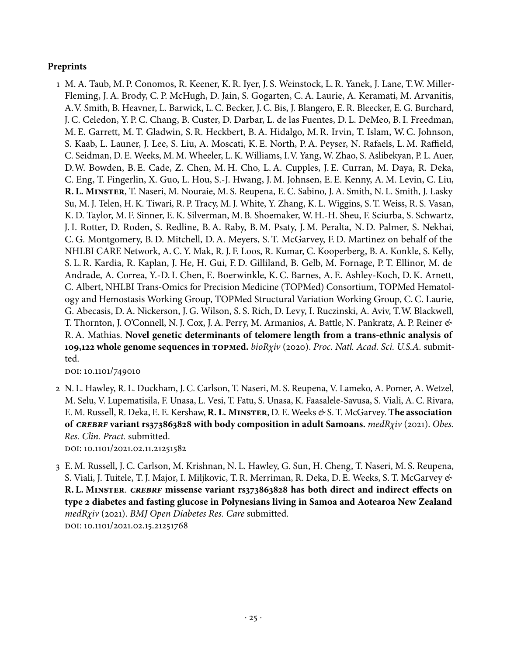## **Preprints**

1 M. A. Taub, M. P. Conomos, R. Keener, K. R. Iyer, J. S. Weinstock, L. R. Yanek, J. Lane, T.W. Miller-Fleming, J. A. Brody, C. P. McHugh, D. Jain, S. Gogarten, C. A. Laurie, A. Keramati, M. Arvanitis, A.V. Smith, B. Heavner, L. Barwick, L. C. Becker, J. C. Bis, J. Blangero, E. R. Bleecker, E. G. Burchard, J. C. Celedon, Y. P. C. Chang, B. Custer, D. Darbar, L. de las Fuentes, D. L. DeMeo, B. I. Freedman, M. E. Garrett, M. T. Gladwin, S. R. Heckbert, B. A. Hidalgo, M. R. Irvin, T. Islam, W. C. Johnson, S. Kaab, L. Launer, J. Lee, S. Liu, A. Moscati, K. E. North, P. A. Peyser, N. Rafaels, L. M. Raffield, C. Seidman, D. E. Weeks, M. M. Wheeler, L. K. Williams, I.V. Yang, W. Zhao, S. Aslibekyan, P. L. Auer, D.W. Bowden, B. E. Cade, Z. Chen, M. H. Cho, L. A. Cupples, J. E. Curran, M. Daya, R. Deka, C. Eng, T. Fingerlin, X. Guo, L. Hou, S.-J. Hwang, J. M. Johnsen, E. E. Kenny, A. M. Levin, C. Liu, **R. L. Minster**, T. Naseri, M. Nouraie, M. S. Reupena, E. C. Sabino, J. A. Smith, N. L. Smith, J. Lasky Su, M. J. Telen, H. K. Tiwari, R. P. Tracy, M. J. White, Y. Zhang, K. L. Wiggins, S. T. Weiss, R. S. Vasan, K. D. Taylor, M. F. Sinner, E. K. Silverman, M. B. Shoemaker, W. H.-H. Sheu, F. Sciurba, S. Schwartz, J. I. Rotter, D. Roden, S. Redline, B. A. Raby, B. M. Psaty, J. M. Peralta, N. D. Palmer, S. Nekhai, C. G. Montgomery, B. D. Mitchell, D. A. Meyers, S. T. McGarvey, F. D. Martinez on behalf of the NHLBI CARE Network, A. C. Y. Mak, R. J. F. Loos, R. Kumar, C. Kooperberg, B. A. Konkle, S. Kelly, S. L. R. Kardia, R. Kaplan, J. He, H. Gui, F. D. Gilliland, B. Gelb, M. Fornage, P. T. Ellinor, M. de Andrade, A. Correa, Y.-D. I. Chen, E. Boerwinkle, K. C. Barnes, A. E. Ashley-Koch, D. K. Arnett, C. Albert, NHLBI Trans-Omics for Precision Medicine (TOPMed) Consortium, TOPMed Hematology and Hemostasis Working Group, TOPMed Structural Variation Working Group, C. C. Laurie, G. Abecasis, D. A. Nickerson, J. G. Wilson, S. S. Rich, D. Levy, I. Ruczinski, A. Aviv, T.W. Blackwell, T. Thornton, J. O'Connell, N. J. Cox, J. A. Perry, M. Armanios, A. Battle, N. Pankratz, A. P. Reiner & R. A. Mathias. **Novel genetic determinants of telomere length from a trans-ethnic analysis of 109,122 whole genome sequences in topmed.** bioRχiv (2020). Proc. Natl. Acad. Sci. U.S.A. submitted.

[doi: 10.1101/749010](http://doi.org/10.1101/749010)

2 N. L. Hawley, R. L. Duckham, J. C. Carlson, T. Naseri, M. S. Reupena, V. Lameko, A. Pomer, A. Wetzel, M. Selu, V. Lupematisila, F. Unasa, L. Vesi, T. Fatu, S. Unasa, K. Faasalele-Savusa, S. Viali, A. C. Rivara, E. M. Russell, R. Deka, E. E. Kershaw, **R. L. Minster**, D. E. Weeks & S. T. McGarvey. **The association of crebrf variant rs373863828 with body composition in adult Samoans.** medRχiv (2021). Obes. Res. Clin. Pract. submitted.

[doi: 10.1101/2021.02.11.21251582](http://doi.org/10.1101/2021.02.11.21251582)

3 E. M. Russell, J. C. Carlson, M. Krishnan, N. L. Hawley, G. Sun, H. Cheng, T. Naseri, M. S. Reupena, S. Viali, J. Tuitele, T. J. Major, I. Miljkovic, T. R. Merriman, R. Deka, D. E. Weeks, S. T. McGarvey & **R. L. Minster**. **crebrf missense variant rs373863828 has both direct and indirect eects on type 2 diabetes and fasting glucose in Polynesians living in Samoa and Aotearoa New Zealand** medRχiν (2021). BMJ Open Diabetes Res. Care submitted. [doi: 10.1101/2021.02.15.21251768](http://doi.org/10.1101/2021.02.15.21251768)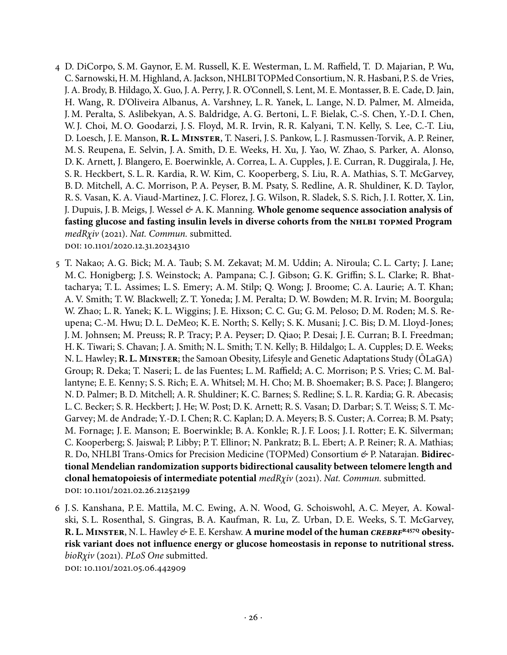- 4 D. DiCorpo, S. M. Gaynor, E. M. Russell, K. E. Westerman, L. M. Raffield, T. D. Majarian, P. Wu, C. Sarnowski, H. M. Highland, A. Jackson, NHLBI TOPMed Consortium, N. R. Hasbani, P. S. de Vries, J. A. Brody, B. Hildago, X. Guo, J. A. Perry, J. R. O'Connell, S. Lent, M. E. Montasser, B. E. Cade, D. Jain, H. Wang, R. D'Oliveira Albanus, A. Varshney, L. R. Yanek, L. Lange, N. D. Palmer, M. Almeida, J. M. Peralta, S. Aslibekyan, A. S. Baldridge, A. G. Bertoni, L. F. Bielak, C.-S. Chen, Y.-D.I. Chen, W. J. Choi, M. O. Goodarzi, J. S. Floyd, M. R. Irvin, R. R. Kalyani, T. N. Kelly, S. Lee, C.-T. Liu, D. Loesch, J. E. Manson, **R. L. Minster**, T. Naseri, J. S. Pankow, L. J. Rasmussen-Torvik, A. P. Reiner, M. S. Reupena, E. Selvin, J. A. Smith, D. E. Weeks, H. Xu, J. Yao, W. Zhao, S. Parker, A. Alonso, D. K. Arnett, J. Blangero, E. Boerwinkle, A. Correa, L. A. Cupples, J. E. Curran, R. Duggirala, J. He, S. R. Heckbert, S. L. R. Kardia, R. W. Kim, C. Kooperberg, S. Liu, R. A. Mathias, S. T. McGarvey, B. D. Mitchell, A. C. Morrison, P. A. Peyser, B. M. Psaty, S. Redline, A. R. Shuldiner, K. D. Taylor, R. S. Vasan, K. A. Viaud-Martinez, J. C. Florez, J. G. Wilson, R. Sladek, S. S. Rich, J. I. Rotter, X. Lin, J. Dupuis, J. B. Meigs, J. Wessel & A. K. Manning. **Whole genome sequence association analysis of** fasting glucose and fasting insulin levels in diverse cohorts from the NHLBI TOPMed Program medRχiv (2021). Nat. Commun. submitted. [doi: 10.1101/2020.12.31.20234310](http://doi.org/10.1101/2020.12.31.20234310)
- 5 T. Nakao; A. G. Bick; M. A. Taub; S. M. Zekavat; M. M. Uddin; A. Niroula; C. L. Carty; J. Lane; M. C. Honigberg; J. S. Weinstock; A. Pampana; C. J. Gibson; G. K. Griffin; S. L. Clarke; R. Bhattacharya; T. L. Assimes; L. S. Emery; A. M. Stilp; Q. Wong; J. Broome; C. A. Laurie; A. T. Khan; A. V. Smith; T. W. Blackwell; Z. T. Yoneda; J. M. Peralta; D. W. Bowden; M. R. Irvin; M. Boorgula; W. Zhao; L. R. Yanek; K. L. Wiggins; J. E. Hixson; C. C. Gu; G. M. Peloso; D. M. Roden; M. S. Reupena; C.-M. Hwu; D. L. DeMeo; K. E. North; S. Kelly; S. K. Musani; J. C. Bis; D. M. Lloyd-Jones; J. M. Johnsen; M. Preuss; R. P. Tracy; P. A. Peyser; D. Qiao; P. Desai; J. E. Curran; B. I. Freedman; H. K. Tiwari; S. Chavan; J. A. Smith; N. L. Smith; T. N. Kelly; B. Hildalgo; L. A. Cupples; D. E. Weeks; N. L. Hawley; **R. L. Minster**; the Samoan Obesity, Lifesyle and Genetic Adaptations Study (OLaGA) ¯ Group; R. Deka; T. Naseri; L. de las Fuentes; L. M. Raffield; A. C. Morrison; P. S. Vries; C. M. Ballantyne; E. E. Kenny; S. S. Rich; E. A. Whitsel; M. H. Cho; M. B. Shoemaker; B. S. Pace; J. Blangero; N. D. Palmer; B. D. Mitchell; A. R. Shuldiner; K. C. Barnes; S. Redline; S. L. R. Kardia; G. R. Abecasis; L. C. Becker; S. R. Heckbert; J. He; W. Post; D. K. Arnett; R. S. Vasan; D. Darbar; S. T. Weiss; S. T. Mc-Garvey; M. de Andrade; Y.-D.I. Chen; R. C. Kaplan; D. A. Meyers; B. S. Custer; A. Correa; B. M. Psaty; M. Fornage; J. E. Manson; E. Boerwinkle; B. A. Konkle; R. J. F. Loos; J. I. Rotter; E. K. Silverman; C. Kooperberg; S. Jaiswal; P. Libby; P. T. Ellinor; N. Pankratz; B. L. Ebert; A. P. Reiner; R. A. Mathias; R. Do, NHLBI Trans-Omics for Precision Medicine (TOPMed) Consortium & P. Natarajan. **Bidirectional Mendelian randomization supports bidirectional causality between telomere length and clonal hematopoiesis of intermediate potential** medRχiv (2021). Nat. Commun. submitted. [doi: 10.1101/2021.02.26.21252199](http://doi.org/10.1101/2021.02.26.21252199)
- 6 J. S. Kanshana, P. E. Mattila, M. C. Ewing, A. N. Wood, G. Schoiswohl, A. C. Meyer, A. Kowalski, S. L. Rosenthal, S. Gingras, B. A. Kaufman, R. Lu, Z. Urban, D. E. Weeks, S. T. McGarvey, R. L. MINSTER, N. L. Hawley & E. E. Kershaw. A murine model of the human CREBRF<sup>R457Q</sup> obesityrisk variant does not influence energy or glucose homeostasis in reponse to nutritional stress. bioRχiv (2021). PLoS One submitted.

[doi: 10.1101/2021.05.06.442909](http://doi.org/10.1101/2021.05.06.442909)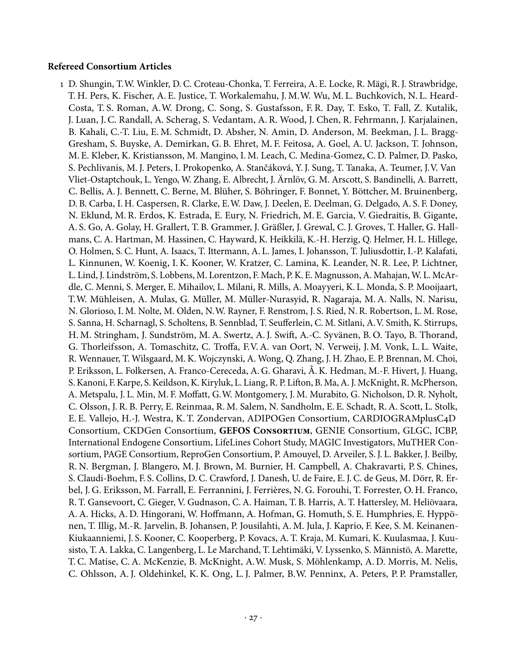### **Refereed Consortium Articles**

1 D. Shungin, T.W. Winkler, D. C. Croteau-Chonka, T. Ferreira, A. E. Locke, R. Mägi, R. J. Strawbridge, T. H. Pers, K. Fischer, A. E. Justice, T. Workalemahu, J. M.W. Wu, M. L. Buchkovich, N. L. Heard-Costa, T. S. Roman, A.W. Drong, C. Song, S. Gustafsson, F. R. Day, T. Esko, T. Fall, Z. Kutalik, J. Luan, J. C. Randall, A. Scherag, S. Vedantam, A. R. Wood, J. Chen, R. Fehrmann, J. Karjalainen, B. Kahali, C.-T. Liu, E. M. Schmidt, D. Absher, N. Amin, D. Anderson, M. Beekman, J. L. Bragg-Gresham, S. Buyske, A. Demirkan, G. B. Ehret, M. F. Feitosa, A. Goel, A. U. Jackson, T. Johnson, M. E. Kleber, K. Kristiansson, M. Mangino, I. M. Leach, C. Medina-Gomez, C. D. Palmer, D. Pasko, S. Pechlivanis, M. J. Peters, I. Prokopenko, A. Stančáková, Y. J. Sung, T. Tanaka, A. Teumer, J.V. Van Vliet-Ostaptchouk, L. Yengo, W. Zhang, E. Albrecht, J. Ärnlöv, G. M. Arscott, S. Bandinelli, A. Barrett, C. Bellis, A. J. Bennett, C. Berne, M. Blüher, S. Böhringer, F. Bonnet, Y. Böttcher, M. Bruinenberg, D. B. Carba, I. H. Caspersen, R. Clarke, E.W. Daw, J. Deelen, E. Deelman, G. Delgado, A. S. F. Doney, N. Eklund, M. R. Erdos, K. Estrada, E. Eury, N. Friedrich, M. E. Garcia, V. Giedraitis, B. Gigante, A. S. Go, A. Golay, H. Grallert, T. B. Grammer, J. Gräßler, J. Grewal, C. J. Groves, T. Haller, G. Hallmans, C. A. Hartman, M. Hassinen, C. Hayward, K. Heikkilä, K.-H. Herzig, Q. Helmer, H. L. Hillege, O. Holmen, S. C. Hunt, A. Isaacs, T. Ittermann, A. L. James, I. Johansson, T. Juliusdottir, I.-P. Kalafati, L. Kinnunen, W. Koenig, I. K. Kooner, W. Kratzer, C. Lamina, K. Leander, N. R. Lee, P. Lichtner, L. Lind, J. Lindström, S. Lobbens, M. Lorentzon, F. Mach, P. K. E. Magnusson, A. Mahajan, W. L. McArdle, C. Menni, S. Merger, E. Mihailov, L. Milani, R. Mills, A. Moayyeri, K. L. Monda, S. P. Mooijaart, T.W. Mühleisen, A. Mulas, G. Müller, M. Müller-Nurasyid, R. Nagaraja, M. A. Nalls, N. Narisu, N. Glorioso, I. M. Nolte, M. Olden, N.W. Rayner, F. Renstrom, J. S. Ried, N. R. Robertson, L. M. Rose, S. Sanna, H. Scharnagl, S. Scholtens, B. Sennblad, T. Seufferlein, C. M. Sitlani, A. V. Smith, K. Stirrups, H. M. Stringham, J. Sundström, M. A. Swertz, A. J. Swift, A.-C. Syvänen, B. O. Tayo, B. Thorand, G. Thorleifsson, A. Tomaschitz, C. Troffa, F.V. A. van Oort, N. Verweij, J. M. Vonk, L. L. Waite, R. Wennauer, T. Wilsgaard, M. K. Wojczynski, A. Wong, Q. Zhang, J. H. Zhao, E. P. Brennan, M. Choi, P. Eriksson, L. Folkersen, A. Franco-Cereceda, A. G. Gharavi, Å. K. Hedman, M.-F. Hivert, J. Huang, S. Kanoni, F. Karpe, S. Keildson, K. Kiryluk, L. Liang, R. P. Lifton, B. Ma, A. J. McKnight, R. McPherson, A. Metspalu, J. L. Min, M. F. Moffatt, G. W. Montgomery, J. M. Murabito, G. Nicholson, D. R. Nyholt, C. Olsson, J. R. B. Perry, E. Reinmaa, R. M. Salem, N. Sandholm, E. E. Schadt, R. A. Scott, L. Stolk, E. E. Vallejo, H.-J. Westra, K. T. Zondervan, ADIPOGen Consortium, CARDIOGRAMplusC4D Consortium, CKDGen Consortium, **GEFOS Consortium**, GENIE Consortium, GLGC, ICBP, International Endogene Consortium, LifeLines Cohort Study, MAGIC Investigators, MuTHER Consortium, PAGE Consortium, ReproGen Consortium, P. Amouyel, D. Arveiler, S. J. L. Bakker, J. Beilby, R. N. Bergman, J. Blangero, M. J. Brown, M. Burnier, H. Campbell, A. Chakravarti, P. S. Chines, S. Claudi-Boehm, F. S. Collins, D. C. Crawford, J. Danesh, U. de Faire, E. J. C. de Geus, M. Dörr, R. Erbel, J. G. Eriksson, M. Farrall, E. Ferrannini, J. Ferrières, N. G. Forouhi, T. Forrester, O. H. Franco, R. T. Gansevoort, C. Gieger, V. Gudnason, C. A. Haiman, T. B. Harris, A. T. Hattersley, M. Heliövaara, A. A. Hicks, A. D. Hingorani, W. Hoffmann, A. Hofman, G. Homuth, S. E. Humphries, E. Hyppönen, T. Illig, M.-R. Jarvelin, B. Johansen, P. Jousilahti, A. M. Jula, J. Kaprio, F. Kee, S. M. Keinanen-Kiukaanniemi, J. S. Kooner, C. Kooperberg, P. Kovacs, A. T. Kraja, M. Kumari, K. Kuulasmaa, J. Kuusisto, T. A. Lakka, C. Langenberg, L. Le Marchand, T. Lehtimäki, V. Lyssenko, S. Männistö, A. Marette, T. C. Matise, C. A. McKenzie, B. McKnight, A.W. Musk, S. Möhlenkamp, A. D. Morris, M. Nelis, C. Ohlsson, A. J. Oldehinkel, K. K. Ong, L. J. Palmer, B.W. Penninx, A. Peters, P. P. Pramstaller,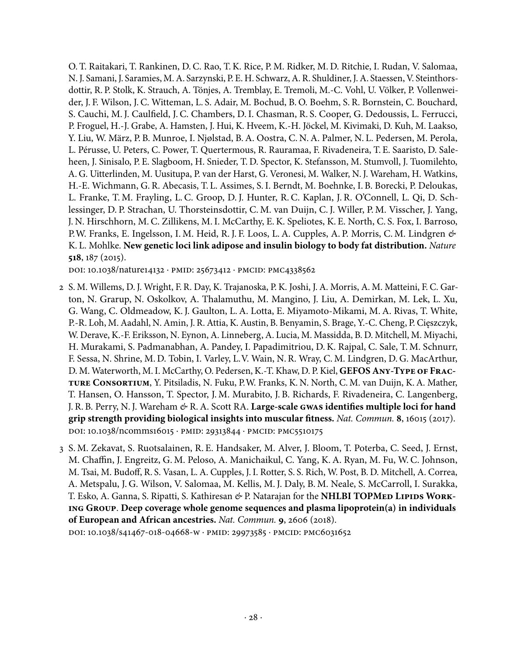O. T. Raitakari, T. Rankinen, D. C. Rao, T. K. Rice, P. M. Ridker, M. D. Ritchie, I. Rudan, V. Salomaa, N. J. Samani, J. Saramies, M. A. Sarzynski, P. E. H. Schwarz, A. R. Shuldiner, J. A. Staessen, V. Steinthorsdottir, R. P. Stolk, K. Strauch, A. Tönjes, A. Tremblay, E. Tremoli, M.-C. Vohl, U. Völker, P. Vollenweider, J. F. Wilson, J. C. Witteman, L. S. Adair, M. Bochud, B. O. Boehm, S. R. Bornstein, C. Bouchard, S. Cauchi, M. J. Caulfield, J. C. Chambers, D. I. Chasman, R. S. Cooper, G. Dedoussis, L. Ferrucci, P. Froguel, H.-J. Grabe, A. Hamsten, J. Hui, K. Hveem, K.-H. Jöckel, M. Kivimaki, D. Kuh, M. Laakso, Y. Liu, W. März, P. B. Munroe, I. Njølstad, B. A. Oostra, C. N. A. Palmer, N. L. Pedersen, M. Perola, L. Pérusse, U. Peters, C. Power, T. Quertermous, R. Rauramaa, F. Rivadeneira, T. E. Saaristo, D. Saleheen, J. Sinisalo, P. E. Slagboom, H. Snieder, T. D. Spector, K. Stefansson, M. Stumvoll, J. Tuomilehto, A. G. Uitterlinden, M. Uusitupa, P. van der Harst, G. Veronesi, M. Walker, N. J. Wareham, H. Watkins, H.-E. Wichmann, G. R. Abecasis, T. L. Assimes, S. I. Berndt, M. Boehnke, I. B. Borecki, P. Deloukas, L. Franke, T. M. Frayling, L. C. Groop, D. J. Hunter, R. C. Kaplan, J. R. O'Connell, L. Qi, D. Schlessinger, D. P. Strachan, U. Thorsteinsdottir, C. M. van Duijn, C. J. Willer, P. M. Visscher, J. Yang, J. N. Hirschhorn, M. C. Zillikens, M. I. McCarthy, E. K. Speliotes, K. E. North, C. S. Fox, I. Barroso, P.W. Franks, E. Ingelsson, I. M. Heid, R. J. F. Loos, L. A. Cupples, A. P. Morris, C. M. Lindgren & K. L. Mohlke. **New genetic loci link adipose and insulin biology to body fat distribution.** Nature **518**, 187 (2015).

DOI: 10.1038/nature14132 · PMID: 25673412 · PMCID: PMC4338562

- 2 S. M. Willems, D. J. Wright, F. R. Day, K. Trajanoska, P. K. Joshi, J. A. Morris, A. M. Matteini, F. C. Garton, N. Grarup, N. Oskolkov, A. Thalamuthu, M. Mangino, J. Liu, A. Demirkan, M. Lek, L. Xu, G. Wang, C. Oldmeadow, K. J. Gaulton, L. A. Lotta, E. Miyamoto-Mikami, M. A. Rivas, T. White, P.-R. Loh, M. Aadahl, N. Amin, J. R. Attia, K. Austin, B. Benyamin, S. Brage, Y.-C. Cheng, P. Cięszczyk, W. Derave, K.-F. Eriksson, N. Eynon, A. Linneberg, A. Lucia, M. Massidda, B. D. Mitchell, M. Miyachi, H. Murakami, S. Padmanabhan, A. Pandey, I. Papadimitriou, D. K. Rajpal, C. Sale, T. M. Schnurr, F. Sessa, N. Shrine, M. D. Tobin, I. Varley, L.V. Wain, N. R. Wray, C. M. Lindgren, D. G. MacArthur, D. M. Waterworth, M. I. McCarthy, O. Pedersen, K.-T. Khaw, D. P. Kiel, **GEFOS Any-Type of Fracture Consortium**, Y. Pitsiladis, N. Fuku, P.W. Franks, K. N. North, C. M. van Duijn, K. A. Mather, T. Hansen, O. Hansson, T. Spector, J. M. Murabito, J. B. Richards, F. Rivadeneira, C. Langenberg, J. R. B. Perry, N. J. Wareham & R. A. Scott RA. **Large-scale gwas identies multiple loci for hand grip strength providing biological insights into muscular tness.** Nat. Commun. **8**, 16015 (2017). DOI: 10.1038/ncomms16015 · PMID: 29313844 · PMCID: PMC5510175
- 3 S. M. Zekavat, S. Ruotsalainen, R. E. Handsaker, M. Alver, J. Bloom, T. Poterba, C. Seed, J. Ernst, M. Chaffin, J. Engreitz, G. M. Peloso, A. Manichaikul, C. Yang, K. A. Ryan, M. Fu, W. C. Johnson, M. Tsai, M. Budoff, R. S. Vasan, L. A. Cupples, J. I. Rotter, S. S. Rich, W. Post, B. D. Mitchell, A. Correa, A. Metspalu, J. G. Wilson, V. Salomaa, M. Kellis, M. J. Daly, B. M. Neale, S. McCarroll, I. Surakka, T. Esko, A. Ganna, S. Ripatti, S. Kathiresan & P. Natarajan for the **NHLBI TOPMED LIPIDS WORKing Group**. **Deep coverage whole genome sequences and plasma lipoprotein(a) in individuals of European and African ancestries.** Nat. Commun. **9**, 2606 (2018). [doi: 10.1038/s41467-018-04668-w](http://doi.org/10.1038/s41467-018-04668-w) · [pmid: 29973585](http://www.ncbi.nlm.nih.gov/pubmed/29973585) · pmcid: [pmc6031652](http://www.ncbi.nlm.nih.gov/pmc/articles/PMC6031652/)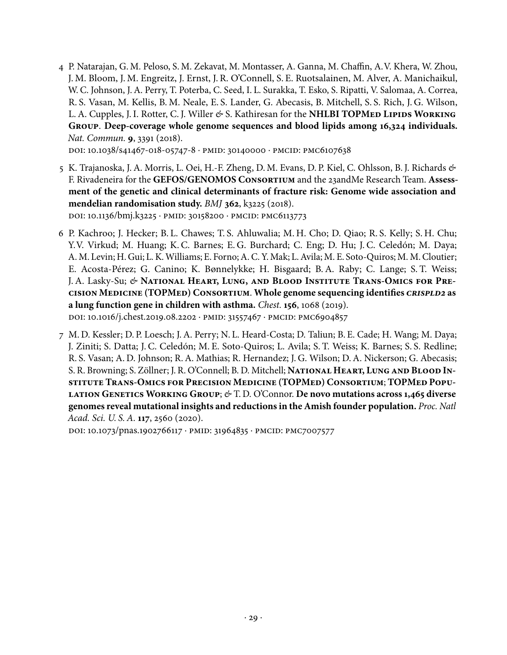4 P. Natarajan, G. M. Peloso, S. M. Zekavat, M. Montasser, A. Ganna, M. Chaffin, A. V. Khera, W. Zhou, J. M. Bloom, J. M. Engreitz, J. Ernst, J. R. O'Connell, S. E. Ruotsalainen, M. Alver, A. Manichaikul, W. C. Johnson, J. A. Perry, T. Poterba, C. Seed, I. L. Surakka, T. Esko, S. Ripatti, V. Salomaa, A. Correa, R. S. Vasan, M. Kellis, B. M. Neale, E. S. Lander, G. Abecasis, B. Mitchell, S. S. Rich, J. G. Wilson, L. A. Cupples, J. I. Rotter, C. J. Willer & S. Kathiresan for the **NHLBI TOPMed Lipids Working Group**. **Deep-coverage whole genome sequences and blood lipids among 16,324 individuals.** Nat. Commun. **9**, 3391 (2018).

[doi: 10.1038/s41467-018-05747-8](http://doi.org/10.1038/s41467-018-05747-8) · [pmid: 30140000](http://www.ncbi.nlm.nih.gov/pubmed/30140000) · pmcid: [pmc6107638](http://www.ncbi.nlm.nih.gov/pmc/articles/PMC6107638/)

- 5 K. Trajanoska, J. A. Morris, L. Oei, H.-F. Zheng, D. M. Evans, D. P. Kiel, C. Ohlsson, B. J. Richards & F. Rivadeneira for the **GEFOS/GENOMOS Consortium** and the 23andMe Research Team. **Assessment of the genetic and clinical determinants of fracture risk: Genome wide association and mendelian randomisation study.** BMJ **362**, k3225 (2018). [doi: 10.1136/bmj.k3225](http://doi.org/10.1136/bmj.k3225) · [pmid: 30158200](http://www.ncbi.nlm.nih.gov/pubmed/30158200) · pmcid: [pmc6113773](http://www.ncbi.nlm.nih.gov/pmc/articles/PMC6113773/)
- 6 P. Kachroo; J. Hecker; B. L. Chawes; T. S. Ahluwalia; M. H. Cho; D. Qiao; R. S. Kelly; S. H. Chu; Y.V. Virkud; M. Huang; K. C. Barnes; E. G. Burchard; C. Eng; D. Hu; J. C. Celedón; M. Daya; A. M. Levin; H. Gui; L. K. Williams; E. Forno; A. C. Y. Mak; L. Avila; M. E. Soto-Quiros; M. M. Cloutier; E. Acosta-Pérez; G. Canino; K. Bønnelykke; H. Bisgaard; B. A. Raby; C. Lange; S. T. Weiss; J. A. Lasky-Su; & **National Heart, Lung, and Blood Institute Trans-Omics for Precision Medicine (TOPMed) Consortium**. **Whole genome sequencing identies crispld2 as a lung function gene in children with asthma.** Chest. **156**, 1068 (2019). [doi: 10.1016/j.chest.2019.08.2202](http://doi.org/10.1016/j.chest.2019.08.2202) · [pmid: 31557467](http://www.ncbi.nlm.nih.gov/pubmed/31557467) · pmcid: [pmc6904857](http://www.ncbi.nlm.nih.gov/pmc/articles/PMC6904857/)
- 7 M. D. Kessler; D. P. Loesch; J. A. Perry; N. L. Heard-Costa; D. Taliun; B. E. Cade; H. Wang; M. Daya; J. Ziniti; S. Datta; J. C. Celedón; M. E. Soto-Quiros; L. Avila; S. T. Weiss; K. Barnes; S. S. Redline; R. S. Vasan; A. D. Johnson; R. A. Mathias; R. Hernandez; J. G. Wilson; D. A. Nickerson; G. Abecasis; S. R. Browning; S. Zöllner; J. R. O'Connell; B. D. Mitchell; **National Heart, Lung and Blood Institute Trans-Omics for Precision Medicine (TOPMed) Consortium**; **TOPMed Population Genetics Working Group**; & T. D. O'Connor. **De novo mutations across 1,465 diverse genomes reveal mutational insights and reductions in the Amish founder population.** Proc. Natl Acad. Sci. U. S. A. **117**, 2560 (2020).

[doi: 10.1073/pnas.1902766117](http://doi.org/10.1073/pnas.1902766117) · [pmid: 31964835](http://www.ncbi.nlm.nih.gov/pubmed/31964835) · pmcid: [pmc7007577](http://www.ncbi.nlm.nih.gov/pmc/articles/PMC7007577/)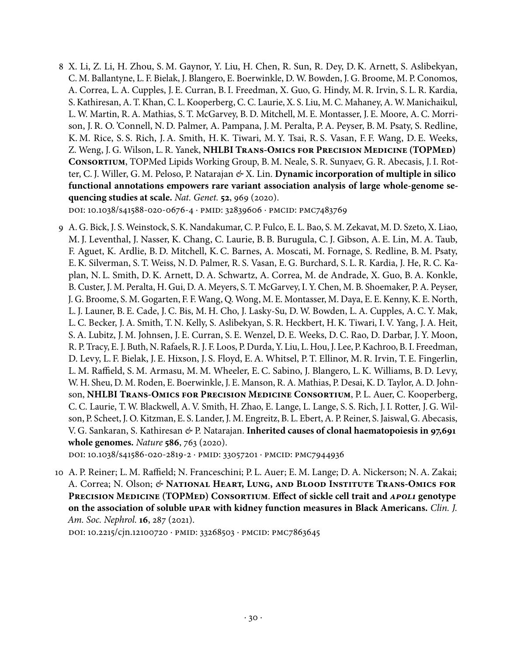- 8 X. Li, Z. Li, H. Zhou, S. M. Gaynor, Y. Liu, H. Chen, R. Sun, R. Dey, D. K. Arnett, S. Aslibekyan, C. M. Ballantyne, L. F. Bielak, J. Blangero, E. Boerwinkle, D. W. Bowden, J. G. Broome, M. P. Conomos, A. Correa, L. A. Cupples, J. E. Curran, B. I. Freedman, X. Guo, G. Hindy, M. R. Irvin, S. L. R. Kardia, S. Kathiresan, A. T. Khan, C. L. Kooperberg, C. C. Laurie, X. S. Liu, M. C. Mahaney, A. W. Manichaikul, L. W. Martin, R. A. Mathias, S. T. McGarvey, B. D. Mitchell, M. E. Montasser, J. E. Moore, A. C. Morrison, J. R. O. 'Connell, N. D. Palmer, A. Pampana, J. M. Peralta, P. A. Peyser, B. M. Psaty, S. Redline, K. M. Rice, S. S. Rich, J. A. Smith, H. K. Tiwari, M. Y. Tsai, R. S. Vasan, F. F. Wang, D. E. Weeks, Z. Weng, J. G. Wilson, L. R. Yanek, **NHLBI Trans-Omics for Precision Medicine (TOPMed) Consortium**, TOPMed Lipids Working Group, B. M. Neale, S. R. Sunyaev, G. R. Abecasis, J. I. Rotter, C. J. Willer, G. M. Peloso, P. Natarajan & X. Lin. **Dynamic incorporation of multiple in silico functional annotations empowers rare variant association analysis of large whole-genome sequencing studies at scale.** Nat. Genet. **52**, 969 (2020). [doi: 10.1038/s41588-020-0676-4](http://doi.org/10.1038/s41588-020-0676-4) · [pmid: 32839606](http://www.ncbi.nlm.nih.gov/pubmed/32839606) · pmcid: [pmc7483769](http://www.ncbi.nlm.nih.gov/pmc/articles/PMC7483769/)
- 9 A. G. Bick, J. S. Weinstock, S. K. Nandakumar, C. P. Fulco, E. L. Bao, S. M. Zekavat, M. D. Szeto, X. Liao, M. J. Leventhal, J. Nasser, K. Chang, C. Laurie, B. B. Burugula, C. J. Gibson, A. E. Lin, M. A. Taub, F. Aguet, K. Ardlie, B. D. Mitchell, K. C. Barnes, A. Moscati, M. Fornage, S. Redline, B. M. Psaty, E. K. Silverman, S. T. Weiss, N. D. Palmer, R. S. Vasan, E. G. Burchard, S. L. R. Kardia, J. He, R. C. Kaplan, N. L. Smith, D. K. Arnett, D. A. Schwartz, A. Correa, M. de Andrade, X. Guo, B. A. Konkle, B. Custer, J. M. Peralta, H. Gui, D. A. Meyers, S. T. McGarvey, I. Y. Chen, M. B. Shoemaker, P. A. Peyser, J. G. Broome, S. M. Gogarten, F. F. Wang, Q. Wong, M. E. Montasser, M. Daya, E. E. Kenny, K. E. North, L. J. Launer, B. E. Cade, J. C. Bis, M. H. Cho, J. Lasky-Su, D. W. Bowden, L. A. Cupples, A. C. Y. Mak, L. C. Becker, J. A. Smith, T. N. Kelly, S. Aslibekyan, S. R. Heckbert, H. K. Tiwari, I. V. Yang, J. A. Heit, S. A. Lubitz, J. M. Johnsen, J. E. Curran, S. E. Wenzel, D. E. Weeks, D. C. Rao, D. Darbar, J. Y. Moon, R. P. Tracy, E. J. Buth, N. Rafaels, R. J. F. Loos, P. Durda, Y. Liu, L. Hou, J. Lee, P. Kachroo, B. I. Freedman, D. Levy, L. F. Bielak, J. E. Hixson, J. S. Floyd, E. A. Whitsel, P. T. Ellinor, M. R. Irvin, T. E. Fingerlin, L. M. Raffield, S. M. Armasu, M. M. Wheeler, E. C. Sabino, J. Blangero, L. K. Williams, B. D. Levy, W. H. Sheu, D. M. Roden, E. Boerwinkle, J. E. Manson, R. A. Mathias, P. Desai, K. D. Taylor, A. D. Johnson, **NHLBI Trans-Omics for Precision Medicine Consortium**, P. L. Auer, C. Kooperberg, C. C. Laurie, T. W. Blackwell, A. V. Smith, H. Zhao, E. Lange, L. Lange, S. S. Rich, J. I. Rotter, J. G. Wilson, P. Scheet, J. O. Kitzman, E. S. Lander, J. M. Engreitz, B. L. Ebert, A. P. Reiner, S. Jaiswal, G. Abecasis, V. G. Sankaran, S. Kathiresan & P. Natarajan. **Inherited causes of clonal haematopoiesis in 97,691 whole genomes.** Nature **586**, 763 (2020).

[doi: 10.1038/s41586-020-2819-2](http://doi.org/10.1038/s41586-020-2819-2) · [pmid: 33057201](http://www.ncbi.nlm.nih.gov/pubmed/33057201) · pmcid: [pmc7944936](http://www.ncbi.nlm.nih.gov/pmc/articles/PMC7944936/)

10 A. P. Reiner; L. M. Raffield; N. Franceschini; P. L. Auer; E. M. Lange; D. A. Nickerson; N. A. Zakai; A. Correa; N. Olson; & **National Heart, Lung, and Blood Institute Trans-Omics for PRECISION MEDICINE (TOPMED) CONSORTIUM. Effect of sickle cell trait and** *APOL1* **genotype on the association of soluble upar with kidney function measures in Black Americans.** Clin. J. Am. Soc. Nephrol. **16**, 287 (2021).

[doi: 10.2215/cjn.12100720](http://doi.org/10.2215/cjn.12100720) · [pmid: 33268503](http://www.ncbi.nlm.nih.gov/pubmed/33268503) · pmcid: [pmc7863645](http://www.ncbi.nlm.nih.gov/pmc/articles/PMC7863645/)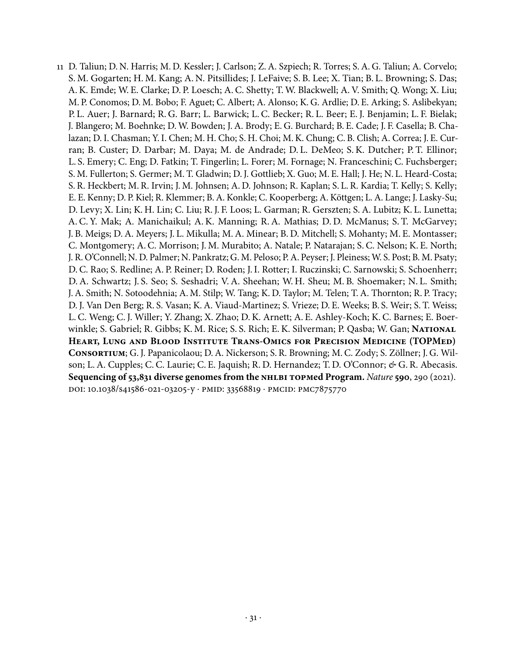11 D. Taliun; D. N. Harris; M. D. Kessler; J. Carlson; Z. A. Szpiech; R. Torres; S. A. G. Taliun; A. Corvelo; S. M. Gogarten; H. M. Kang; A. N. Pitsillides; J. LeFaive; S. B. Lee; X. Tian; B. L. Browning; S. Das; A. K. Emde; W. E. Clarke; D. P. Loesch; A. C. Shetty; T. W. Blackwell; A. V. Smith; Q. Wong; X. Liu; M. P. Conomos; D. M. Bobo; F. Aguet; C. Albert; A. Alonso; K. G. Ardlie; D. E. Arking; S. Aslibekyan; P. L. Auer; J. Barnard; R. G. Barr; L. Barwick; L. C. Becker; R. L. Beer; E. J. Benjamin; L. F. Bielak; J. Blangero; M. Boehnke; D. W. Bowden; J. A. Brody; E. G. Burchard; B. E. Cade; J. F. Casella; B. Chalazan; D. I. Chasman; Y. I. Chen; M. H. Cho; S. H. Choi; M. K. Chung; C. B. Clish; A. Correa; J. E. Curran; B. Custer; D. Darbar; M. Daya; M. de Andrade; D. L. DeMeo; S. K. Dutcher; P. T. Ellinor; L. S. Emery; C. Eng; D. Fatkin; T. Fingerlin; L. Forer; M. Fornage; N. Franceschini; C. Fuchsberger; S. M. Fullerton; S. Germer; M. T. Gladwin; D. J. Gottlieb; X. Guo; M. E. Hall; J. He; N. L. Heard-Costa; S. R. Heckbert; M. R. Irvin; J. M. Johnsen; A. D. Johnson; R. Kaplan; S. L. R. Kardia; T. Kelly; S. Kelly; E. E. Kenny; D. P. Kiel; R. Klemmer; B. A. Konkle; C. Kooperberg; A. Köttgen; L. A. Lange; J. Lasky-Su; D. Levy; X. Lin; K. H. Lin; C. Liu; R. J. F. Loos; L. Garman; R. Gerszten; S. A. Lubitz; K. L. Lunetta; A. C. Y. Mak; A. Manichaikul; A. K. Manning; R. A. Mathias; D. D. McManus; S. T. McGarvey; J. B. Meigs; D. A. Meyers; J. L. Mikulla; M. A. Minear; B. D. Mitchell; S. Mohanty; M. E. Montasser; C. Montgomery; A. C. Morrison; J. M. Murabito; A. Natale; P. Natarajan; S. C. Nelson; K. E. North; J. R. O'Connell; N. D. Palmer; N. Pankratz; G. M. Peloso; P. A. Peyser; J. Pleiness; W. S. Post; B. M. Psaty; D. C. Rao; S. Redline; A. P. Reiner; D. Roden; J. I. Rotter; I. Ruczinski; C. Sarnowski; S. Schoenherr; D. A. Schwartz; J. S. Seo; S. Seshadri; V. A. Sheehan; W. H. Sheu; M. B. Shoemaker; N. L. Smith; J. A. Smith; N. Sotoodehnia; A. M. Stilp; W. Tang; K. D. Taylor; M. Telen; T. A. Thornton; R. P. Tracy; D. J. Van Den Berg; R. S. Vasan; K. A. Viaud-Martinez; S. Vrieze; D. E. Weeks; B. S. Weir; S. T. Weiss; L. C. Weng; C. J. Willer; Y. Zhang; X. Zhao; D. K. Arnett; A. E. Ashley-Koch; K. C. Barnes; E. Boerwinkle; S. Gabriel; R. Gibbs; K. M. Rice; S. S. Rich; E. K. Silverman; P. Qasba; W. Gan; **National Heart, Lung and Blood Institute Trans-Omics for Precision Medicine (TOPMed) Consortium**; G. J. Papanicolaou; D. A. Nickerson; S. R. Browning; M. C. Zody; S. Zöllner; J. G. Wilson; L. A. Cupples; C. C. Laurie; C. E. Jaquish; R. D. Hernandez; T. D. O'Connor; & G. R. Abecasis. Sequencing of 53,831 diverse genomes from the NHLBI TOPMed Program. Nature 590, 290 (2021). [doi: 10.1038/s41586-021-03205-y](http://doi.org/10.1038/s41586-021-03205-y) · [pmid: 33568819](http://www.ncbi.nlm.nih.gov/pubmed/33568819) · pmcid: [pmc7875770](http://www.ncbi.nlm.nih.gov/pmc/articles/PMC7875770/)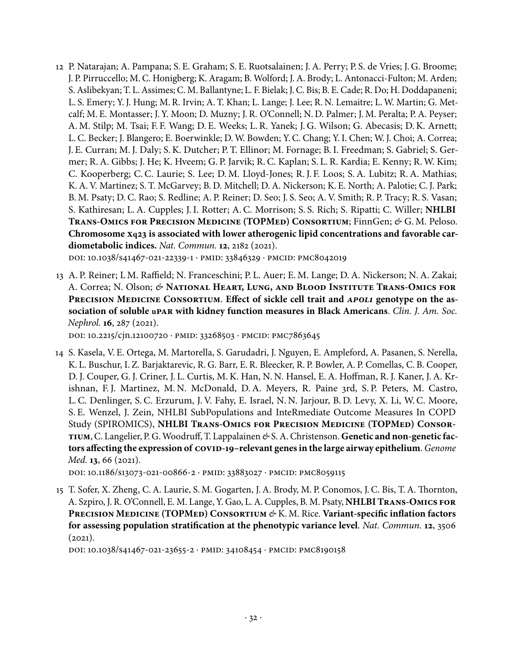12 P. Natarajan; A. Pampana; S. E. Graham; S. E. Ruotsalainen; J. A. Perry; P. S. de Vries; J. G. Broome; J. P. Pirruccello; M. C. Honigberg; K. Aragam; B. Wolford; J. A. Brody; L. Antonacci-Fulton; M. Arden; S. Aslibekyan; T. L. Assimes; C. M. Ballantyne; L. F. Bielak; J. C. Bis; B. E. Cade; R. Do; H. Doddapaneni; L. S. Emery; Y. J. Hung; M. R. Irvin; A. T. Khan; L. Lange; J. Lee; R. N. Lemaitre; L. W. Martin; G. Metcalf; M. E. Montasser; J. Y. Moon; D. Muzny; J. R. O'Connell; N. D. Palmer; J. M. Peralta; P. A. Peyser; A. M. Stilp; M. Tsai; F. F. Wang; D. E. Weeks; L. R. Yanek; J. G. Wilson; G. Abecasis; D. K. Arnett; L. C. Becker; J. Blangero; E. Boerwinkle; D. W. Bowden; Y. C. Chang; Y. I. Chen; W. J. Choi; A. Correa; J. E. Curran; M. J. Daly; S. K. Dutcher; P. T. Ellinor; M. Fornage; B. I. Freedman; S. Gabriel; S. Germer; R. A. Gibbs; J. He; K. Hveem; G. P. Jarvik; R. C. Kaplan; S. L. R. Kardia; E. Kenny; R. W. Kim; C. Kooperberg; C. C. Laurie; S. Lee; D. M. Lloyd-Jones; R. J. F. Loos; S. A. Lubitz; R. A. Mathias; K. A. V. Martinez; S. T. McGarvey; B. D. Mitchell; D. A. Nickerson; K. E. North; A. Palotie; C. J. Park; B. M. Psaty; D. C. Rao; S. Redline; A. P. Reiner; D. Seo; J. S. Seo; A. V. Smith; R. P. Tracy; R. S. Vasan; S. Kathiresan; L. A. Cupples; J. I. Rotter; A. C. Morrison; S. S. Rich; S. Ripatti; C. Willer; **NHLBI Trans-Omics for Precision Medicine (TOPMed) Consortium**; FinnGen; & G. M. Peloso. **Chromosome xq23 is associated with lower atherogenic lipid concentrations and favorable cardiometabolic indices.** Nat. Commun. **12**, 2182 (2021).

[doi: 10.1038/s41467-021-22339-1](http://doi.org/10.1038/s41467-021-22339-1) · [pmid: 33846329](http://www.ncbi.nlm.nih.gov/pubmed/33846329) · pmcid: [pmc8042019](http://www.ncbi.nlm.nih.gov/pmc/articles/PMC8042019/)

13 A. P. Reiner; L M. Raffield; N. Franceschini; P. L. Auer; E. M. Lange; D. A. Nickerson; N. A. Zakai; A. Correa; N. Olson; & **National Heart, Lung, and Blood Institute Trans-Omics for PRECISION MEDICINE CONSORTIUM. Effect of sickle cell trait and** *APOL1* **genotype on the association of soluble upar with kidney function measures in Black Americans**. Clin. J. Am. Soc. Nephrol. **16**, 287 (2021).

[doi: 10.2215/cjn.12100720](http://doi.org/10.2215/cjn.12100720) · [pmid: 33268503](http://www.ncbi.nlm.nih.gov/pubmed/33268503) · pmcid: [pmc7863645](http://www.ncbi.nlm.nih.gov/pmc/articles/PMC7863645/)

14 S. Kasela, V. E. Ortega, M. Martorella, S. Garudadri, J. Nguyen, E. Ampleford, A. Pasanen, S. Nerella, K. L. Buschur, I. Z. Barjaktarevic, R. G. Barr, E. R. Bleecker, R. P. Bowler, A. P. Comellas, C. B. Cooper, D. J. Couper, G. J. Criner, J. L. Curtis, M. K. Han, N. N. Hansel, E. A. Hoffman, R. J. Kaner, J. A. Krishnan, F. J. Martinez, M. N. McDonald, D. A. Meyers, R. Paine 3rd, S. P. Peters, M. Castro, L. C. Denlinger, S. C. Erzurum, J. V. Fahy, E. Israel, N. N. Jarjour, B. D. Levy, X. Li, W. C. Moore, S. E. Wenzel, J. Zein, NHLBI SubPopulations and InteRmediate Outcome Measures In COPD Study (SPIROMICS), **NHLBI Trans-Omics for Precision Medicine (TOPMed) Consor-**TIUM, C. Langelier, P. G. Woodruff, T. Lappalainen & S. A. Christenson. Genetic and non-genetic factors affecting the expression of COVID-19-relevant genes in the large airway epithelium. Genome Med. **13**, 66 (2021).

[doi: 10.1186/s13073-021-00866-2](http://doi.org/10.1186/s13073-021-00866-2) · [pmid: 33883027](http://www.ncbi.nlm.nih.gov/pubmed/33883027) · pmcid: [pmc8059115](http://www.ncbi.nlm.nih.gov/pmc/articles/PMC8059115/)

15 T. Sofer, X. Zheng, C. A. Laurie, S. M. Gogarten, J. A. Brody, M. P. Conomos, J. C. Bis, T. A. Thornton, A. Szpiro, J. R. O'Connell, E. M. Lange, Y. Gao, L. A. Cupples, B. M. Psaty, **NHLBI Trans-Omics for** PRECISION MEDICINE (TOPMED) CONSORTIUM & K. M. Rice. Variant-specific inflation factors for assessing population stratification at the phenotypic variance level. Nat. Commun. 12, 3506  $(2021).$ 

[doi: 10.1038/s41467-021-23655-2](http://doi.org/10.1038/s41467-021-23655-2) · [pmid: 34108454](http://www.ncbi.nlm.nih.gov/pubmed/34108454) · pmcid: [pmc8190158](http://www.ncbi.nlm.nih.gov/pmc/articles/PMC8190158/)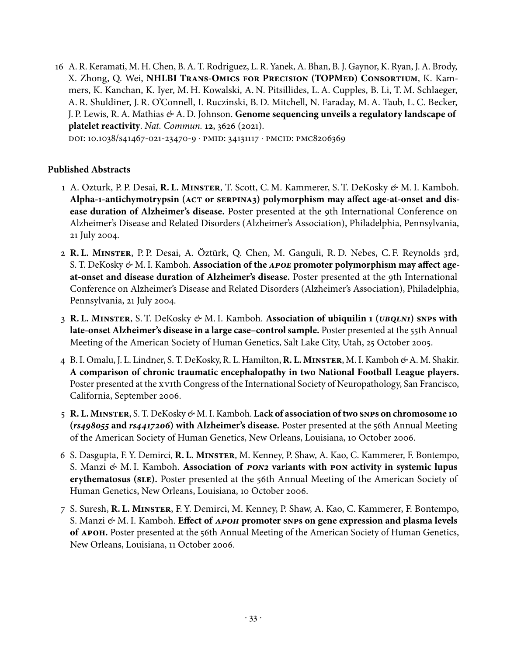16 A. R. Keramati, M. H. Chen, B. A. T. Rodriguez, L. R. Yanek, A. Bhan, B. J. Gaynor, K. Ryan, J. A. Brody, X. Zhong, Q. Wei, **NHLBI Trans-Omics for Precision (TOPMed) Consortium**, K. Kammers, K. Kanchan, K. Iyer, M. H. Kowalski, A. N. Pitsillides, L. A. Cupples, B. Li, T. M. Schlaeger, A. R. Shuldiner, J. R. O'Connell, I. Ruczinski, B. D. Mitchell, N. Faraday, M. A. Taub, L. C. Becker, J. P. Lewis, R. A. Mathias & A. D. Johnson. **Genome sequencing unveils a regulatory landscape of platelet reactivity**. Nat. Commun. **12**, 3626 (2021).

[doi: 10.1038/s41467-021-23470-9](http://doi.org/10.1038/s41467-021-23470-9) · [pmid: 34131117](http://www.ncbi.nlm.nih.gov/pubmed/34131117) · pmcid: [pmc8206369](http://www.ncbi.nlm.nih.gov/pmc/articles/PMC8206369/)

### **Published Abstracts**

- 1 A. Ozturk, P. P. Desai, **R. L. Minster**, T. Scott, C. M. Kammerer, S. T. DeKosky & M. I. Kamboh. Alpha-1-antichymotrypsin (ACT or SERPINA3) polymorphism may affect age-at-onset and dis**ease duration of Alzheimer's disease.** Poster presented at the 9th International Conference on Alzheimer's Disease and Related Disorders (Alzheimer's Association), Philadelphia, Pennsylvania, 21 July 2004.
- 2 **R. L. Minster**, P. P. Desai, A. Öztürk, Q. Chen, M. Ganguli, R. D. Nebes, C. F. Reynolds 3rd, S. T. DeKosky & M. I. Kamboh. Association of the *APOE* promoter polymorphism may affect age**at-onset and disease duration of Alzheimer's disease.** Poster presented at the 9th International Conference on Alzheimer's Disease and Related Disorders (Alzheimer's Association), Philadelphia, Pennsylvania, 21 July 2004.
- 3 **R. L. Minster**, S. T. DeKosky & M. I. Kamboh. **Association of ubiquilin 1 (ubqln1) snps with late-onset Alzheimer's disease in a large case–control sample.** Poster presented at the 55th Annual Meeting of the American Society of Human Genetics, Salt Lake City, Utah, 25 October 2005.
- 4 B. I. Omalu, J. L. Lindner, S. T. DeKosky, R. L. Hamilton,**R. L. Minster**, M. I. Kamboh & A. M. Shakir. **A comparison of chronic traumatic encephalopathy in two National Football League players.** Poster presented at the xvith Congress of the International Society of Neuropathology, San Francisco, California, September 2006.
- 5 **R. L. Minster**, S. T. DeKosky & M. I. Kamboh. **Lack of association of two snps on chromosome 10 (rs498055 and rs4417206) with Alzheimer's disease.** Poster presented at the 56th Annual Meeting of the American Society of Human Genetics, New Orleans, Louisiana, 10 October 2006.
- 6 S. Dasgupta, F. Y. Demirci, **R. L. Minster**, M. Kenney, P. Shaw, A. Kao, C. Kammerer, F. Bontempo, S. Manzi & M. I. Kamboh. **Association of pon2 variants with pon activity in systemic lupus erythematosus (sle).** Poster presented at the 56th Annual Meeting of the American Society of Human Genetics, New Orleans, Louisiana, 10 October 2006.
- 7 S. Suresh, **R. L. Minster**, F. Y. Demirci, M. Kenney, P. Shaw, A. Kao, C. Kammerer, F. Bontempo, S. Manzi *&* М. І. Kamboh. **Effect of** *APOH* **promoter sNPs on gene expression and plasma levels of apoh.** Poster presented at the 56th Annual Meeting of the American Society of Human Genetics, New Orleans, Louisiana, 11 October 2006.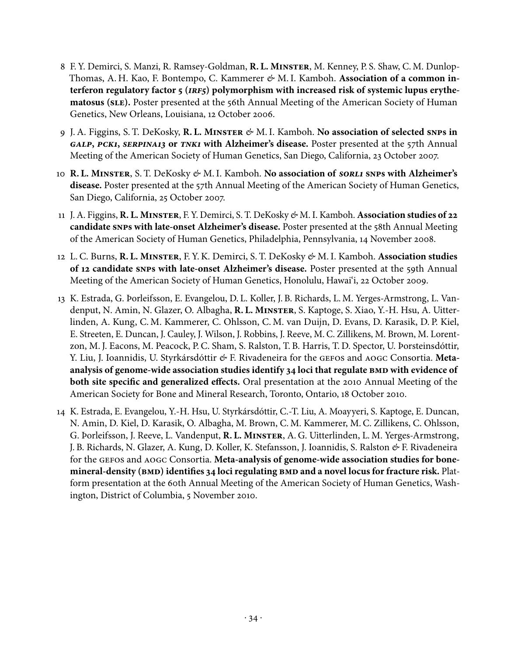- 8 F. Y. Demirci, S. Manzi, R. Ramsey-Goldman, **R. L. Minster**, M. Kenney, P. S. Shaw, C. M. Dunlop-Thomas, A. H. Kao, F. Bontempo, C. Kammerer & M. I. Kamboh. Association of a common interferon regulatory factor 5 (IRF5) polymorphism with increased risk of systemic lupus erythe**matosus (sle).** Poster presented at the 56th Annual Meeting of the American Society of Human Genetics, New Orleans, Louisiana, 12 October 2006.
- 9 J. A. Figgins, S. T. DeKosky, **R. L. Minster** & M. I. Kamboh. **No association of selected snps in galp, pck1, serpina13 or tnk1 with Alzheimer's disease.** Poster presented at the 57th Annual Meeting of the American Society of Human Genetics, San Diego, California, 23 October 2007.
- 10 **R. L. Minster**, S. T. DeKosky & M. I. Kamboh. **No association of sorl1 snps with Alzheimer's disease.** Poster presented at the 57th Annual Meeting of the American Society of Human Genetics, San Diego, California, 25 October 2007.
- 11 J. A. Figgins, **R. L. Minster**, F. Y. Demirci, S. T. DeKosky & M. I. Kamboh. **Association studies of 22 candidate snps with late-onset Alzheimer's disease.** Poster presented at the 58th Annual Meeting of the American Society of Human Genetics, Philadelphia, Pennsylvania, 14 November 2008.
- 12 L. C. Burns, **R. L. Minster**, F. Y. K. Demirci, S. T. DeKosky & M. I. Kamboh. **Association studies of 12 candidate snps with late-onset Alzheimer's disease.** Poster presented at the 59th Annual Meeting of the American Society of Human Genetics, Honolulu, Hawai'i, 22 October 2009.
- 13 K. Estrada, G. Þorleifsson, E. Evangelou, D. L. Koller, J. B. Richards, L. M. Yerges-Armstrong, L. Vandenput, N. Amin, N. Glazer, O. Albagha, **R. L. Minster**, S. Kaptoge, S. Xiao, Y.-H. Hsu, A. Uitterlinden, A. Kung, C. M. Kammerer, C. Ohlsson, C. M. van Duijn, D. Evans, D. Karasik, D. P. Kiel, E. Streeten, E. Duncan, J. Cauley, J. Wilson, J. Robbins, J. Reeve, M. C. Zillikens, M. Brown, M. Lorentzon, M. J. Eacons, M. Peacock, P. C. Sham, S. Ralston, T. B. Harris, T. D. Spector, U. Þorsteinsdóttir, Y. Liu, J. Ioannidis, U. Styrkársdóttir & F. Rivadeneira for the GEFOS and AOGC Consortia. Metaanalysis of genome-wide association studies identify 34 loci that regulate **BMD** with evidence of both site specific and generalized effects. Oral presentation at the 2010 Annual Meeting of the American Society for Bone and Mineral Research, Toronto, Ontario, 18 October 2010.
- 14 K. Estrada, E. Evangelou, Y.-H. Hsu, U. Styrkársdóttir, C.-T. Liu, A. Moayyeri, S. Kaptoge, E. Duncan, N. Amin, D. Kiel, D. Karasik, O. Albagha, M. Brown, C. M. Kammerer, M. C. Zillikens, C. Ohlsson, G. Þorleifsson, J. Reeve, L. Vandenput, **R. L. Minster**, A. G. Uitterlinden, L. M. Yerges-Armstrong, J. B. Richards, N. Glazer, A. Kung, D. Koller, K. Stefansson, J. Ioannidis, S. Ralston & F. Rivadeneira for the GEFOS and AOGC Consortia. Meta-analysis of genome-wide association studies for bonemineral-density (BMD) identifies 34 loci regulating BMD and a novel locus for fracture risk. Platform presentation at the 60th Annual Meeting of the American Society of Human Genetics, Washington, District of Columbia, 5 November 2010.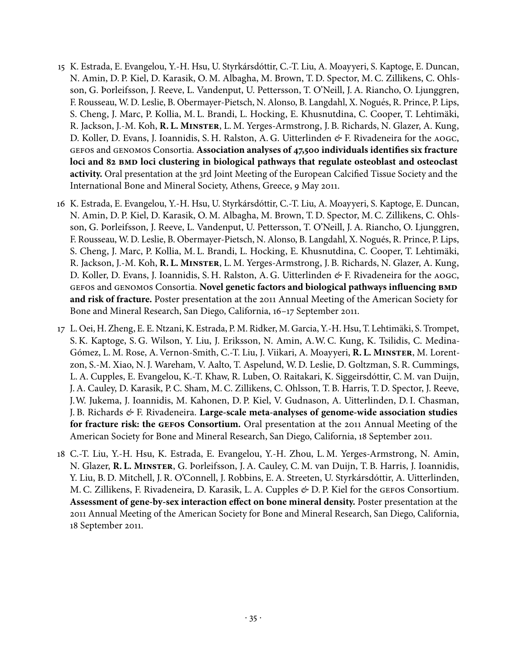- 15 K. Estrada, E. Evangelou, Y.-H. Hsu, U. Styrkársdóttir, C.-T. Liu, A. Moayyeri, S. Kaptoge, E. Duncan, N. Amin, D. P. Kiel, D. Karasik, O. M. Albagha, M. Brown, T. D. Spector, M. C. Zillikens, C. Ohlsson, G. Þorleifsson, J. Reeve, L. Vandenput, U. Pettersson, T. O'Neill, J. A. Riancho, O. Ljunggren, F. Rousseau, W. D. Leslie, B. Obermayer-Pietsch, N. Alonso, B. Langdahl, X. Nogues, R. Prince, P. Lips, ´ S. Cheng, J. Marc, P. Kollia, M. L. Brandi, L. Hocking, E. Khusnutdina, C. Cooper, T. Lehtimäki, R. Jackson, J.-M. Koh, **R. L. Minster**, L. M. Yerges-Armstrong, J. B. Richards, N. Glazer, A. Kung, D. Koller, D. Evans, J. Ioannidis, S. H. Ralston, A. G. Uitterlinden & F. Rivadeneira for the AOGC, GEFOS and GENOMOS Consortia. Association analyses of 47,500 individuals identifies six fracture loci and 82 **BMD** loci clustering in biological pathways that regulate osteoblast and osteoclast activity. Oral presentation at the 3rd Joint Meeting of the European Calcified Tissue Society and the International Bone and Mineral Society, Athens, Greece, 9 May 2011.
- 16 K. Estrada, E. Evangelou, Y.-H. Hsu, U. Styrkársdóttir, C.-T. Liu, A. Moayyeri, S. Kaptoge, E. Duncan, N. Amin, D. P. Kiel, D. Karasik, O. M. Albagha, M. Brown, T. D. Spector, M. C. Zillikens, C. Ohlsson, G. Þorleifsson, J. Reeve, L. Vandenput, U. Pettersson, T. O'Neill, J. A. Riancho, O. Ljunggren, F. Rousseau, W. D. Leslie, B. Obermayer-Pietsch, N. Alonso, B. Langdahl, X. Nogues, R. Prince, P. Lips, ´ S. Cheng, J. Marc, P. Kollia, M. L. Brandi, L. Hocking, E. Khusnutdina, C. Cooper, T. Lehtimaki, ¨ R. Jackson, J.-M. Koh, **R. L. Minster**, L. M. Yerges-Armstrong, J. B. Richards, N. Glazer, A. Kung, D. Koller, D. Evans, J. Ioannidis, S. H. Ralston, A. G. Uitterlinden & F. Rivadeneira for the AOGC, GEFOS and GENOMOS Consortia. Novel genetic factors and biological pathways influencing BMD **and risk of fracture.** Poster presentation at the 2011 Annual Meeting of the American Society for Bone and Mineral Research, San Diego, California, 16–17 September 2011.
- 17 L. Oei, H. Zheng, E. E. Ntzani, K. Estrada, P. M. Ridker, M. Garcia, Y.-H. Hsu, T. Lehtimäki, S. Trompet, S. K. Kaptoge, S. G. Wilson, Y. Liu, J. Eriksson, N. Amin, A.W. C. Kung, K. Tsilidis, C. Medina-Gómez, L. M. Rose, A. Vernon-Smith, C.-T. Liu, J. Viikari, A. Moayyeri, **R. L. Minster**, M. Lorentzon, S.-M. Xiao, N. J. Wareham, V. Aalto, T. Aspelund, W. D. Leslie, D. Goltzman, S. R. Cummings, L. A. Cupples, E. Evangelou, K.-T. Khaw, R. Luben, O. Raitakari, K. Siggeirsdóttir, C. M. van Duijn, J. A. Cauley, D. Karasik, P. C. Sham, M. C. Zillikens, C. Ohlsson, T. B. Harris, T. D. Spector, J. Reeve, J.W. Jukema, J. Ioannidis, M. Kahonen, D. P. Kiel, V. Gudnason, A. Uitterlinden, D. I. Chasman, J. B. Richards & F. Rivadeneira. **Large-scale meta-analyses of genome-wide association studies** for fracture risk: the GEFOS Consortium. Oral presentation at the 2011 Annual Meeting of the American Society for Bone and Mineral Research, San Diego, California, 18 September 2011.
- 18 C.-T. Liu, Y.-H. Hsu, K. Estrada, E. Evangelou, Y.-H. Zhou, L. M. Yerges-Armstrong, N. Amin, N. Glazer, **R. L. Minster**, G. Þorleifsson, J. A. Cauley, C. M. van Duijn, T. B. Harris, J. Ioannidis, Y. Liu, B. D. Mitchell, J. R. O'Connell, J. Robbins, E. A. Streeten, U. Styrkársdóttir, A. Uitterlinden, M. C. Zillikens, F. Rivadeneira, D. Karasik, L. A. Cupples & D. P. Kiel for the GEFOS Consortium. Assessment of gene-by-sex interaction effect on bone mineral density. Poster presentation at the 2011 Annual Meeting of the American Society for Bone and Mineral Research, San Diego, California, 18 September 2011.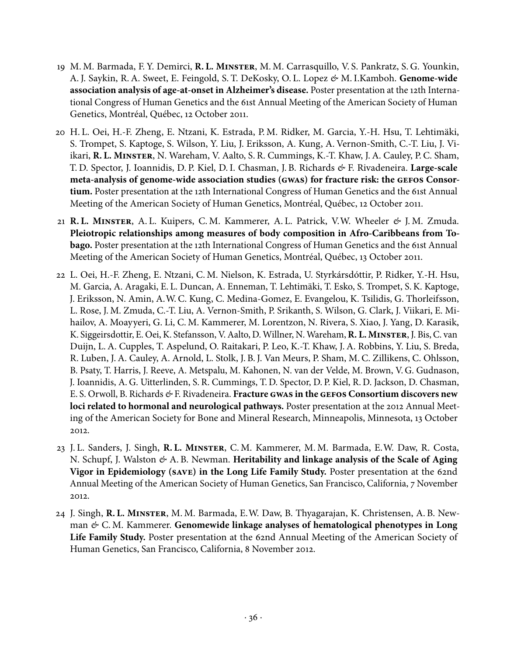- 19 M. M. Barmada, F. Y. Demirci, **R. L. Minster**, M. M. Carrasquillo, V. S. Pankratz, S. G. Younkin, A. J. Saykin, R. A. Sweet, E. Feingold, S. T. DeKosky, O. L. Lopez & M. I.Kamboh. **Genome-wide association analysis of age-at-onset in Alzheimer's disease.** Poster presentation at the 12th International Congress of Human Genetics and the 61st Annual Meeting of the American Society of Human Genetics, Montréal, Québec, 12 October 2011.
- 20 H. L. Oei, H.-F. Zheng, E. Ntzani, K. Estrada, P. M. Ridker, M. Garcia, Y.-H. Hsu, T. Lehtimäki, S. Trompet, S. Kaptoge, S. Wilson, Y. Liu, J. Eriksson, A. Kung, A. Vernon-Smith, C.-T. Liu, J. Viikari, **R. L. Minster**, N. Wareham, V. Aalto, S. R. Cummings, K.-T. Khaw, J. A. Cauley, P. C. Sham, T. D. Spector, J. Ioannidis, D. P. Kiel, D. I. Chasman, J. B. Richards & F. Rivadeneira. **Large-scale** meta-analysis of genome-wide association studies (GWAS) for fracture risk: the GEFOS Consor**tium.** Poster presentation at the 12th International Congress of Human Genetics and the 61st Annual Meeting of the American Society of Human Genetics, Montréal, Québec, 12 October 2011.
- 21 R.L. MINSTER, A.L. Kuipers, C.M. Kammerer, A.L. Patrick, V.W. Wheeler & J.M. Zmuda. **Pleiotropic relationships among measures of body composition in Afro-Caribbeans from Tobago.** Poster presentation at the 12th International Congress of Human Genetics and the 61st Annual Meeting of the American Society of Human Genetics, Montréal, Québec, 13 October 2011.
- 22 L. Oei, H.-F. Zheng, E. Ntzani, C. M. Nielson, K. Estrada, U. Styrkársdóttir, P. Ridker, Y.-H. Hsu, M. Garcia, A. Aragaki, E. L. Duncan, A. Enneman, T. Lehtimäki, T. Esko, S. Trompet, S. K. Kaptoge, J. Eriksson, N. Amin, A.W. C. Kung, C. Medina-Gomez, E. Evangelou, K. Tsilidis, G. Thorleifsson, L. Rose, J. M. Zmuda, C.-T. Liu, A. Vernon-Smith, P. Srikanth, S. Wilson, G. Clark, J. Viikari, E. Mihailov, A. Moayyeri, G. Li, C. M. Kammerer, M. Lorentzon, N. Rivera, S. Xiao, J. Yang, D. Karasik, K. Siggeirsdottir, E. Oei, K. Stefansson, V. Aalto, D. Willner, N. Wareham, **R. L. Minster**, J. Bis, C. van Duijn, L. A. Cupples, T. Aspelund, O. Raitakari, P. Leo, K.-T. Khaw, J. A. Robbins, Y. Liu, S. Breda, R. Luben, J. A. Cauley, A. Arnold, L. Stolk, J. B. J. Van Meurs, P. Sham, M. C. Zillikens, C. Ohlsson, B. Psaty, T. Harris, J. Reeve, A. Metspalu, M. Kahonen, N. van der Velde, M. Brown, V. G. Gudnason, J. Ioannidis, A. G. Uitterlinden, S. R. Cummings, T. D. Spector, D. P. Kiel, R. D. Jackson, D. Chasman, E. S. Orwoll, B. Richards & F. Rivadeneira. **Fracture gwas in the gefos Consortium discovers new loci related to hormonal and neurological pathways.** Poster presentation at the 2012 Annual Meeting of the American Society for Bone and Mineral Research, Minneapolis, Minnesota, 13 October 2012.
- 23 J. L. Sanders, J. Singh, **R. L. Minster**, C. M. Kammerer, M. M. Barmada, E.W. Daw, R. Costa, N. Schupf, J. Walston & A. B. Newman. **Heritability and linkage analysis of the Scale of Aging Vigor in Epidemiology (save) in the Long Life Family Study.** Poster presentation at the 62nd Annual Meeting of the American Society of Human Genetics, San Francisco, California, 7 November 2012.
- 24 J. Singh, **R. L. Minster**, M. M. Barmada, E.W. Daw, B. Thyagarajan, K. Christensen, A. B. Newman & C. M. Kammerer. **Genomewide linkage analyses of hematological phenotypes in Long Life Family Study.** Poster presentation at the 62nd Annual Meeting of the American Society of Human Genetics, San Francisco, California, 8 November 2012.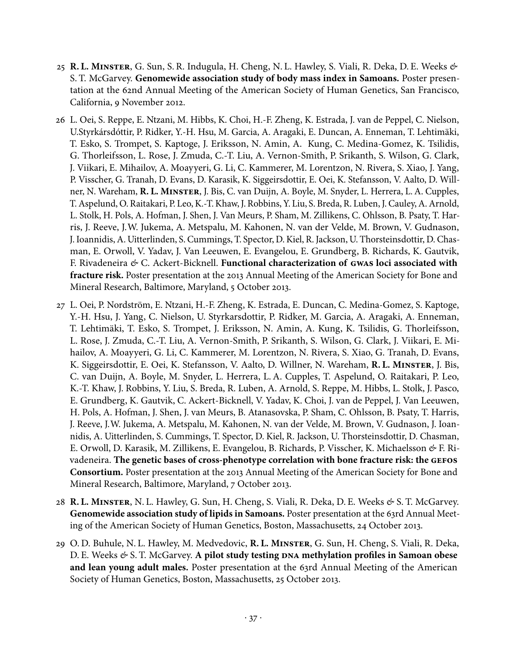- 25 **R. L. Minster**, G. Sun, S. R. Indugula, H. Cheng, N. L. Hawley, S. Viali, R. Deka, D. E. Weeks & S. T. McGarvey. **Genomewide association study of body mass index in Samoans.** Poster presentation at the 62nd Annual Meeting of the American Society of Human Genetics, San Francisco, California, 9 November 2012.
- 26 L. Oei, S. Reppe, E. Ntzani, M. Hibbs, K. Choi, H.-F. Zheng, K. Estrada, J. van de Peppel, C. Nielson, U.Styrkársdóttir, P. Ridker, Y.-H. Hsu, M. Garcia, A. Aragaki, E. Duncan, A. Enneman, T. Lehtimäki, T. Esko, S. Trompet, S. Kaptoge, J. Eriksson, N. Amin, A. Kung, C. Medina-Gomez, K. Tsilidis, G. Thorleifsson, L. Rose, J. Zmuda, C.-T. Liu, A. Vernon-Smith, P. Srikanth, S. Wilson, G. Clark, J. Viikari, E. Mihailov, A. Moayyeri, G. Li, C. Kammerer, M. Lorentzon, N. Rivera, S. Xiao, J. Yang, P. Visscher, G. Tranah, D. Evans, D. Karasik, K. Siggeirsdottir, E. Oei, K. Stefansson, V. Aalto, D. Willner, N. Wareham, **R. L. Minster**, J. Bis, C. van Duijn, A. Boyle, M. Snyder, L. Herrera, L. A. Cupples, T. Aspelund, O. Raitakari, P. Leo, K.-T. Khaw, J. Robbins, Y. Liu, S. Breda, R. Luben, J. Cauley, A. Arnold, L. Stolk, H. Pols, A. Hofman, J. Shen, J. Van Meurs, P. Sham, M. Zillikens, C. Ohlsson, B. Psaty, T. Harris, J. Reeve, J.W. Jukema, A. Metspalu, M. Kahonen, N. van der Velde, M. Brown, V. Gudnason, J. Ioannidis, A. Uitterlinden, S. Cummings, T. Spector, D. Kiel, R. Jackson, U. Thorsteinsdottir, D. Chasman, E. Orwoll, V. Yadav, J. Van Leeuwen, E. Evangelou, E. Grundberg, B. Richards, K. Gautvik, F. Rivadeneira & C. Ackert-Bicknell. **Functional characterization of gwas loci associated with fracture risk.** Poster presentation at the 2013 Annual Meeting of the American Society for Bone and Mineral Research, Baltimore, Maryland, 5 October 2013.
- 27 L. Oei, P. Nordström, E. Ntzani, H.-F. Zheng, K. Estrada, E. Duncan, C. Medina-Gomez, S. Kaptoge, Y.-H. Hsu, J. Yang, C. Nielson, U. Styrkarsdottir, P. Ridker, M. Garcia, A. Aragaki, A. Enneman, T. Lehtimäki, T. Esko, S. Trompet, J. Eriksson, N. Amin, A. Kung, K. Tsilidis, G. Thorleifsson, L. Rose, J. Zmuda, C.-T. Liu, A. Vernon-Smith, P. Srikanth, S. Wilson, G. Clark, J. Viikari, E. Mihailov, A. Moayyeri, G. Li, C. Kammerer, M. Lorentzon, N. Rivera, S. Xiao, G. Tranah, D. Evans, K. Siggeirsdottir, E. Oei, K. Stefansson, V. Aalto, D. Willner, N. Wareham, **R. L. Minster**, J. Bis, C. van Duijn, A. Boyle, M. Snyder, L. Herrera, L. A. Cupples, T. Aspelund, O. Raitakari, P. Leo, K.-T. Khaw, J. Robbins, Y. Liu, S. Breda, R. Luben, A. Arnold, S. Reppe, M. Hibbs, L. Stolk, J. Pasco, E. Grundberg, K. Gautvik, C. Ackert-Bicknell, V. Yadav, K. Choi, J. van de Peppel, J. Van Leeuwen, H. Pols, A. Hofman, J. Shen, J. van Meurs, B. Atanasovska, P. Sham, C. Ohlsson, B. Psaty, T. Harris, J. Reeve, J.W. Jukema, A. Metspalu, M. Kahonen, N. van der Velde, M. Brown, V. Gudnason, J. Ioannidis, A. Uitterlinden, S. Cummings, T. Spector, D. Kiel, R. Jackson, U. Thorsteinsdottir, D. Chasman, E. Orwoll, D. Karasik, M. Zillikens, E. Evangelou, B. Richards, P. Visscher, K. Michaelsson & F. Rivadeneira. The genetic bases of cross-phenotype correlation with bone fracture risk: the GEFOS **Consortium.** Poster presentation at the 2013 Annual Meeting of the American Society for Bone and Mineral Research, Baltimore, Maryland, 7 October 2013.
- 28 **R. L. MINSTER**, N. L. Hawley, G. Sun, H. Cheng, S. Viali, R. Deka, D. E. Weeks & S. T. McGarvey. **Genomewide association study of lipids in Samoans.** Poster presentation at the 63rd Annual Meeting of the American Society of Human Genetics, Boston, Massachusetts, 24 October 2013.
- 29 O. D. Buhule, N. L. Hawley, M. Medvedovic, **R. L. Minster**, G. Sun, H. Cheng, S. Viali, R. Deka, D. E. Weeks & S. T. McGarvey. A pilot study testing DNA methylation profiles in Samoan obese **and lean young adult males.** Poster presentation at the 63rd Annual Meeting of the American Society of Human Genetics, Boston, Massachusetts, 25 October 2013.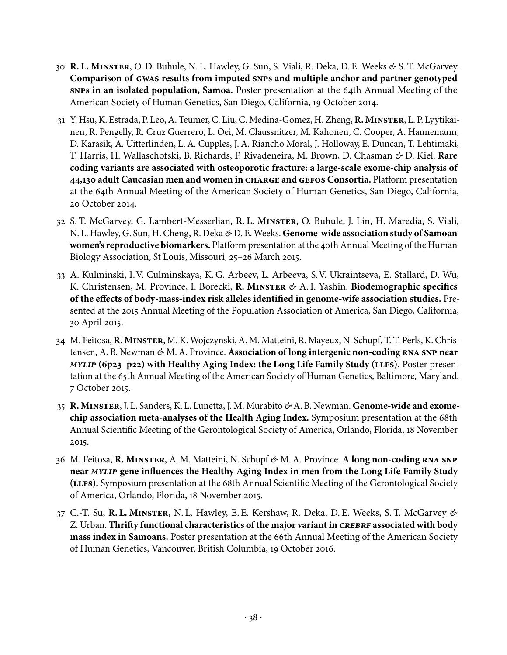- 30 **R. L. MINSTER**, O. D. Buhule, N. L. Hawley, G. Sun, S. Viali, R. Deka, D. E. Weeks & S. T. McGarvey. **Comparison of gwas results from imputed snps and multiple anchor and partner genotyped snps in an isolated population, Samoa.** Poster presentation at the 64th Annual Meeting of the American Society of Human Genetics, San Diego, California, 19 October 2014.
- 31 Y. Hsu, K. Estrada, P. Leo, A. Teumer, C. Liu, C. Medina-Gomez, H. Zheng, **R. Minster**, L. P. Lyytikäinen, R. Pengelly, R. Cruz Guerrero, L. Oei, M. Claussnitzer, M. Kahonen, C. Cooper, A. Hannemann, D. Karasik, A. Uitterlinden, L. A. Cupples, J. A. Riancho Moral, J. Holloway, E. Duncan, T. Lehtimäki, T. Harris, H. Wallaschofski, B. Richards, F. Rivadeneira, M. Brown, D. Chasman & D. Kiel. **Rare coding variants are associated with osteoporotic fracture: a large-scale exome-chip analysis of 44,130 adult Caucasian men and women in charge and gefos Consortia.** Platform presentation at the 64th Annual Meeting of the American Society of Human Genetics, San Diego, California, 20 October 2014.
- 32 S. T. McGarvey, G. Lambert-Messerlian, **R. L. Minster**, O. Buhule, J. Lin, H. Maredia, S. Viali, N. L. Hawley, G. Sun, H. Cheng, R. Deka & D. E. Weeks. Genome-wide association study of Samoan **women's reproductive biomarkers.** Platform presentation at the 40th Annual Meeting of the Human Biology Association, St Louis, Missouri, 25–26 March 2015.
- 33 A. Kulminski, I.V. Culminskaya, K. G. Arbeev, L. Arbeeva, S.V. Ukraintseva, E. Stallard, D. Wu, K. Christensen, M. Province, I. Borecki, R. MINSTER & A. I. Yashin. Biodemographic specifics of the effects of body-mass-index risk alleles identified in genome-wife association studies. Presented at the 2015 Annual Meeting of the Population Association of America, San Diego, California, 30 April 2015.
- 34 M. Feitosa, **R. Minster**, M. K. Wojczynski, A. M. Matteini, R. Mayeux, N. Schupf, T. T. Perls, K. Christensen, A. B. Newman & M. A. Province. **Association of long intergenic non-coding rna snp near myLIP** (6p23-p22) with Healthy Aging Index: the Long Life Family Study (LLFS). Poster presentation at the 65th Annual Meeting of the American Society of Human Genetics, Baltimore, Maryland. 7 October 2015.
- 35 **R. Minster**, J. L. Sanders, K. L. Lunetta, J. M. Murabito & A. B. Newman. **Genome-wide and exomechip association meta-analyses of the Health Aging Index.** Symposium presentation at the 68th Annual Scientific Meeting of the Gerontological Society of America, Orlando, Florida, 18 November 2015.
- 36 M. Feitosa, **R. Minster**, A. M. Matteini, N. Schupf & M. A. Province. **A long non-coding rna snp near** MYLIP gene influences the Healthy Aging Index in men from the Long Life Family Study **(LLFS).** Symposium presentation at the 68th Annual Scientific Meeting of the Gerontological Society of America, Orlando, Florida, 18 November 2015.
- 37 C.-T. Su, **R. L. Minster**, N. L. Hawley, E. E. Kershaw, R. Deka, D. E. Weeks, S. T. McGarvey & Z. Urban. Thrifty functional characteristics of the major variant in *CREBRF* associated with body **mass index in Samoans.** Poster presentation at the 66th Annual Meeting of the American Society of Human Genetics, Vancouver, British Columbia, 19 October 2016.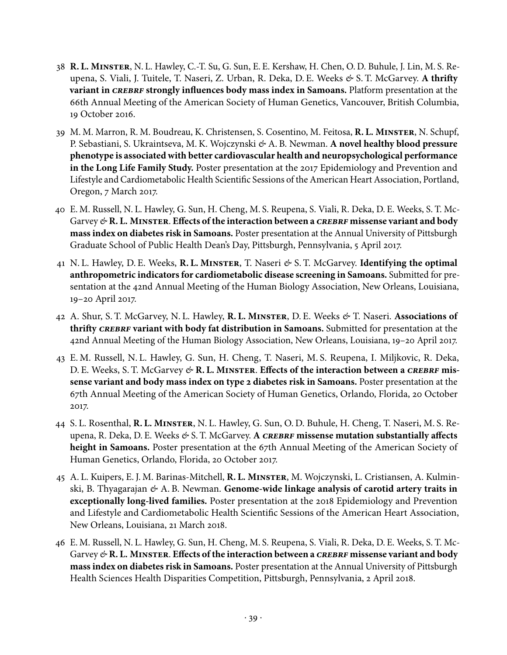- 38 **R. L. Minster**, N. L. Hawley, C.-T. Su, G. Sun, E. E. Kershaw, H. Chen, O. D. Buhule, J. Lin, M. S. Reupena, S. Viali, J. Tuitele, T. Naseri, Z. Urban, R. Deka, D. E. Weeks & S. T. McGarvey. A thrifty **variant in CREBRF** strongly influences body mass index in Samoans. Platform presentation at the 66th Annual Meeting of the American Society of Human Genetics, Vancouver, British Columbia, 19 October 2016.
- 39 M. M. Marron, R. M. Boudreau, K. Christensen, S. Cosentino, M. Feitosa, **R. L. Minster**, N. Schupf, P. Sebastiani, S. Ukraintseva, M. K. Wojczynski & A. B. Newman. **A novel healthy blood pressure phenotype is associated with better cardiovascular health and neuropsychological performance in the Long Life Family Study.** Poster presentation at the 2017 Epidemiology and Prevention and Lifestyle and Cardiometabolic Health Scientific Sessions of the American Heart Association, Portland, Oregon, 7 March 2017.
- 40 E. M. Russell, N. L. Hawley, G. Sun, H. Cheng, M. S. Reupena, S. Viali, R. Deka, D. E. Weeks, S. T. Mc-Garvey & R. L. MINSTER. Effects of the interaction between a *CREBRF* missense variant and body **mass index on diabetes risk in Samoans.** Poster presentation at the Annual University of Pittsburgh Graduate School of Public Health Dean's Day, Pittsburgh, Pennsylvania, 5 April 2017.
- 41 N. L. Hawley, D. E. Weeks, **R. L. Minster**, T. Naseri & S. T. McGarvey. **Identifying the optimal anthropometric indicators for cardiometabolic disease screening in Samoans.** Submitted for presentation at the 42nd Annual Meeting of the Human Biology Association, New Orleans, Louisiana, 19–20 April 2017.
- 42 A. Shur, S. T. McGarvey, N. L. Hawley, **R. L. Minster**, D. E. Weeks & T. Naseri. **Associations of thrifty CREBRF** variant with body fat distribution in Samoans. Submitted for presentation at the 42nd Annual Meeting of the Human Biology Association, New Orleans, Louisiana, 19–20 April 2017.
- 43 E. M. Russell, N. L. Hawley, G. Sun, H. Cheng, T. Naseri, M. S. Reupena, I. Miljkovic, R. Deka, D. E. Weeks, S. T. McGarvey & R. L. MINSTER. Effects of the interaction between a *CREBRF* mis**sense variant and body mass index on type 2 diabetes risk in Samoans.** Poster presentation at the 67th Annual Meeting of the American Society of Human Genetics, Orlando, Florida, 20 October 2017.
- 44 S. L. Rosenthal, **R. L. Minster**, N. L. Hawley, G. Sun, O. D. Buhule, H. Cheng, T. Naseri, M. S. Reupena, R. Deka, D. E. Weeks & S. T. McGarvey. A **CREBRF missense mutation substantially affects height in Samoans.** Poster presentation at the 67th Annual Meeting of the American Society of Human Genetics, Orlando, Florida, 20 October 2017.
- 45 A. L. Kuipers, E. J. M. Barinas-Mitchell, **R. L. Minster**, M. Wojczynski, L. Cristiansen, A. Kulminski, B. Thyagarajan & A. B. Newman. **Genome-wide linkage analysis of carotid artery traits in exceptionally long-lived families.** Poster presentation at the 2018 Epidemiology and Prevention and Lifestyle and Cardiometabolic Health Scientific Sessions of the American Heart Association, New Orleans, Louisiana, 21 March 2018.
- 46 E. M. Russell, N. L. Hawley, G. Sun, H. Cheng, M. S. Reupena, S. Viali, R. Deka, D. E. Weeks, S. T. Mc-Garvey & R. L. MINSTER. Effects of the interaction between a *CREBRF* missense variant and body **mass index on diabetes risk in Samoans.** Poster presentation at the Annual University of Pittsburgh Health Sciences Health Disparities Competition, Pittsburgh, Pennsylvania, 2 April 2018.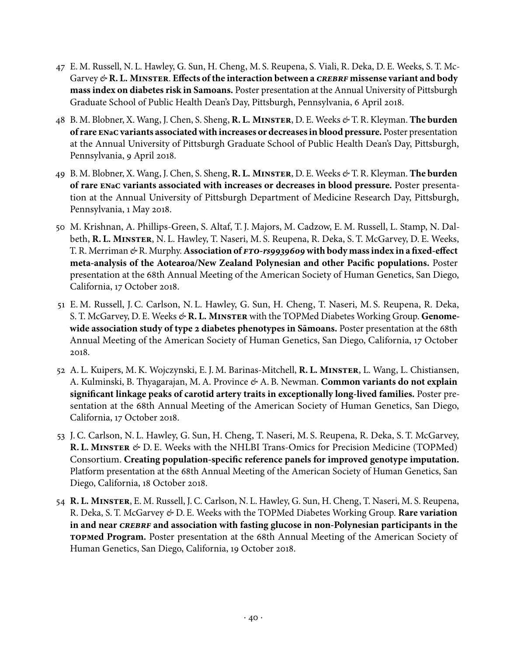- 47 E. M. Russell, N. L. Hawley, G. Sun, H. Cheng, M. S. Reupena, S. Viali, R. Deka, D. E. Weeks, S. T. Mc-Garvey & R. L. MINSTER. Effects of the interaction between a *CREBRF* missense variant and body **mass index on diabetes risk in Samoans.** Poster presentation at the Annual University of Pittsburgh Graduate School of Public Health Dean's Day, Pittsburgh, Pennsylvania, 6 April 2018.
- 48 B. M. Blobner, X. Wang, J. Chen, S. Sheng, **R. L. Minster**, D. E. Weeks & T. R. Kleyman. **The burden of rare enac variants associated with increases or decreases in blood pressure.** Poster presentation at the Annual University of Pittsburgh Graduate School of Public Health Dean's Day, Pittsburgh, Pennsylvania, 9 April 2018.
- 49 B. M. Blobner, X. Wang, J. Chen, S. Sheng, **R. L. Minster**, D. E. Weeks & T. R. Kleyman. **The burden of rare enac variants associated with increases or decreases in blood pressure.** Poster presentation at the Annual University of Pittsburgh Department of Medicine Research Day, Pittsburgh, Pennsylvania, 1 May 2018.
- 50 M. Krishnan, A. Phillips-Green, S. Altaf, T. J. Majors, M. Cadzow, E. M. Russell, L. Stamp, N. Dalbeth, **R. L. Minster**, N. L. Hawley, T. Naseri, M. S. Reupena, R. Deka, S. T. McGarvey, D. E. Weeks, T. R. Merriman & R. Murphy. Association of FTO-rs9939609 with body mass index in a fixed-effect **meta-analysis of the Aotearoa/New Zealand Polynesian and other Pacic populations.** Poster presentation at the 68th Annual Meeting of the American Society of Human Genetics, San Diego, California, 17 October 2018.
- 51 E. M. Russell, J. C. Carlson, N. L. Hawley, G. Sun, H. Cheng, T. Naseri, M. S. Reupena, R. Deka, S. T. McGarvey, D. E. Weeks & R. L. MINSTER with the TOPMed Diabetes Working Group. Genomewide association study of type 2 diabetes phenotypes in Samoans. Poster presentation at the 68th Annual Meeting of the American Society of Human Genetics, San Diego, California, 17 October 2018.
- 52 A. L. Kuipers, M. K. Wojczynski, E. J. M. Barinas-Mitchell, **R. L. Minster**, L. Wang, L. Chistiansen, A. Kulminski, B. Thyagarajan, M. A. Province & A. B. Newman. **Common variants do not explain signicant linkage peaks of carotid artery traits in exceptionally long-lived families.** Poster presentation at the 68th Annual Meeting of the American Society of Human Genetics, San Diego, California, 17 October 2018.
- 53 J. C. Carlson, N. L. Hawley, G. Sun, H. Cheng, T. Naseri, M. S. Reupena, R. Deka, S. T. McGarvey, **R. L. Minster** & D. E. Weeks with the NHLBI Trans-Omics for Precision Medicine (TOPMed) Consortium. Creating population-specific reference panels for improved genotype imputation. Platform presentation at the 68th Annual Meeting of the American Society of Human Genetics, San Diego, California, 18 October 2018.
- 54 **R. L. Minster**, E. M. Russell, J. C. Carlson, N. L. Hawley, G. Sun, H. Cheng, T. Naseri, M. S. Reupena, R. Deka, S. T. McGarvey & D. E. Weeks with the TOPMed Diabetes Working Group. **Rare variation in and near crebrf and association with fasting glucose in non-Polynesian participants in the topmed Program.** Poster presentation at the 68th Annual Meeting of the American Society of Human Genetics, San Diego, California, 19 October 2018.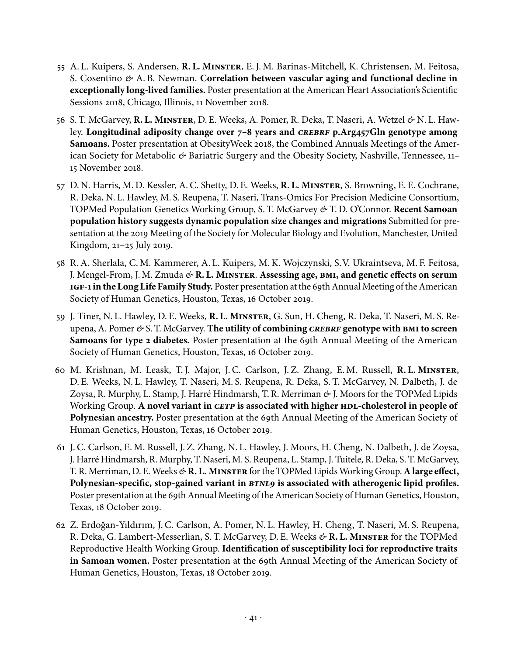- 55 A. L. Kuipers, S. Andersen, **R. L. Minster**, E. J. M. Barinas-Mitchell, K. Christensen, M. Feitosa, S. Cosentino & A. B. Newman. **Correlation between vascular aging and functional decline in** exceptionally long-lived families. Poster presentation at the American Heart Association's Scientific Sessions 2018, Chicago, Illinois, 11 November 2018.
- 56 S. T. McGarvey, R. L. MINSTER, D. E. Weeks, A. Pomer, R. Deka, T. Naseri, A. Wetzel & N. L. Hawley. Longitudinal adiposity change over 7-8 years and *CREBRF* p.Arg457Gln genotype among **Samoans.** Poster presentation at ObesityWeek 2018, the Combined Annuals Meetings of the American Society for Metabolic & Bariatric Surgery and the Obesity Society, Nashville, Tennessee, 11-15 November 2018.
- 57 D. N. Harris, M. D. Kessler, A. C. Shetty, D. E. Weeks, **R. L. Minster**, S. Browning, E. E. Cochrane, R. Deka, N. L. Hawley, M. S. Reupena, T. Naseri, Trans-Omics For Precision Medicine Consortium, TOPMed Population Genetics Working Group, S. T. McGarvey & T. D. O'Connor. **Recent Samoan population history suggests dynamic population size changes and migrations** Submitted for presentation at the 2019 Meeting of the Society for Molecular Biology and Evolution, Manchester, United Kingdom, 21–25 July 2019.
- 58 R. A. Sherlala, C. M. Kammerer, A. L. Kuipers, M. K. Wojczynski, S.V. Ukraintseva, M. F. Feitosa, J. Mengel-From, J. M. Zmuda & R. L. MINSTER. Assessing age, BMI, and genetic effects on serum **igf-1 in the Long Life Family Study.** Poster presentation at the 69th Annual Meeting of the American Society of Human Genetics, Houston, Texas, 16 October 2019.
- 59 J. Tiner, N. L. Hawley, D. E. Weeks, **R. L. Minster**, G. Sun, H. Cheng, R. Deka, T. Naseri, M. S. Reupena, A. Pomer  $\&$  S. T. McGarvey. The utility of combining *CREBRF* genotype with BMI to screen **Samoans for type 2 diabetes.** Poster presentation at the 69th Annual Meeting of the American Society of Human Genetics, Houston, Texas, 16 October 2019.
- 60 M. Krishnan, M. Leask, T. J. Major, J. C. Carlson, J. Z. Zhang, E. M. Russell, **R. L. Minster**, D. E. Weeks, N. L. Hawley, T. Naseri, M. S. Reupena, R. Deka, S. T. McGarvey, N. Dalbeth, J. de Zoysa, R. Murphy, L. Stamp, J. Harré Hindmarsh, T. R. Merriman & J. Moors for the TOPMed Lipids Working Group. A novel variant in CETP is associated with higher HDL-cholesterol in people of **Polynesian ancestry.** Poster presentation at the 69th Annual Meeting of the American Society of Human Genetics, Houston, Texas, 16 October 2019.
- 61 J. C. Carlson, E. M. Russell, J. Z. Zhang, N. L. Hawley, J. Moors, H. Cheng, N. Dalbeth, J. de Zoysa, J. Harré Hindmarsh, R. Murphy, T. Naseri, M. S. Reupena, L. Stamp, J. Tuitele, R. Deka, S. T. McGarvey, T. R. Merriman, D. E. Weeks & R. L. MINSTER for the TOPMed Lipids Working Group. A large effect, Polynesian-specific, stop-gained variant in **BTNL9** is associated with atherogenic lipid profiles. Poster presentation at the 69th Annual Meeting of the American Society of Human Genetics, Houston, Texas, 18 October 2019.
- 62 Z. Erdoğan-Yıldırım, J. C. Carlson, A. Pomer, N. L. Hawley, H. Cheng, T. Naseri, M. S. Reupena, R. Deka, G. Lambert-Messerlian, S. T. McGarvey, D. E. Weeks & R. L. MINSTER for the TOPMed Reproductive Health Working Group. **Identification of susceptibility loci for reproductive traits in Samoan women.** Poster presentation at the 69th Annual Meeting of the American Society of Human Genetics, Houston, Texas, 18 October 2019.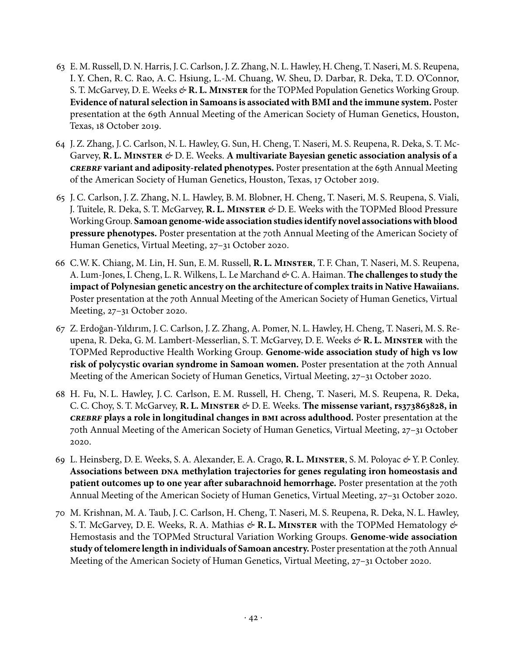- 63 E. M. Russell, D. N. Harris, J. C. Carlson, J. Z. Zhang, N. L. Hawley, H. Cheng, T. Naseri, M. S. Reupena, I. Y. Chen, R. C. Rao, A. C. Hsiung, L.-M. Chuang, W. Sheu, D. Darbar, R. Deka, T. D. O'Connor, S. T. McGarvey, D. E. Weeks & R. L. MINSTER for the TOPMed Population Genetics Working Group. **Evidence of natural selection in Samoans is associated with BMI and the immune system.** Poster presentation at the 69th Annual Meeting of the American Society of Human Genetics, Houston, Texas, 18 October 2019.
- 64 J. Z. Zhang, J. C. Carlson, N. L. Hawley, G. Sun, H. Cheng, T. Naseri, M. S. Reupena, R. Deka, S. T. Mc-Garvey, R. L. MINSTER & D. E. Weeks. A multivariate Bayesian genetic association analysis of a **crebrf variant and adiposity-related phenotypes.** Poster presentation at the 69th Annual Meeting of the American Society of Human Genetics, Houston, Texas, 17 October 2019.
- 65 J. C. Carlson, J. Z. Zhang, N. L. Hawley, B. M. Blobner, H. Cheng, T. Naseri, M. S. Reupena, S. Viali, J. Tuitele, R. Deka, S. T. McGarvey, **R. L. Minster** & D. E. Weeks with the TOPMed Blood Pressure Working Group. **Samoan genome-wide association studies identify novel associations with blood pressure phenotypes.** Poster presentation at the 70th Annual Meeting of the American Society of Human Genetics, Virtual Meeting, 27–31 October 2020.
- 66 C.W. K. Chiang, M. Lin, H. Sun, E. M. Russell, **R. L. Minster**, T. F. Chan, T. Naseri, M. S. Reupena, A. Lum-Jones, I. Cheng, L. R. Wilkens, L. Le Marchand & C. A. Haiman. **The challenges to study the impact of Polynesian genetic ancestry on the architecture of complex traits in Native Hawaiians.** Poster presentation at the 70th Annual Meeting of the American Society of Human Genetics, Virtual Meeting, 27–31 October 2020.
- 67 Z. Erdoğan-Yıldırım, J. C. Carlson, J. Z. Zhang, A. Pomer, N. L. Hawley, H. Cheng, T. Naseri, M. S. Reupena, R. Deka, G. M. Lambert-Messerlian, S. T. McGarvey, D. E. Weeks & R. L. MINSTER with the TOPMed Reproductive Health Working Group. **Genome-wide association study of high vs low risk of polycystic ovarian syndrome in Samoan women.** Poster presentation at the 70th Annual Meeting of the American Society of Human Genetics, Virtual Meeting, 27–31 October 2020.
- 68 H. Fu, N. L. Hawley, J. C. Carlson, E. M. Russell, H. Cheng, T. Naseri, M. S. Reupena, R. Deka, C. C. Choy, S. T. McGarvey, **R. L. MINSTER** & D. E. Weeks. The missense variant, rs373863828, in **crebrf plays a role in longitudinal changes in bmi across adulthood.** Poster presentation at the 70th Annual Meeting of the American Society of Human Genetics, Virtual Meeting, 27–31 October 2020.
- 69 L. Heinsberg, D. E. Weeks, S. A. Alexander, E. A. Crago, **R. L. Minster**, S. M. Poloyac & Y. P. Conley. **Associations between dna methylation trajectories for genes regulating iron homeostasis and patient outcomes up to one year after subarachnoid hemorrhage.** Poster presentation at the 70th Annual Meeting of the American Society of Human Genetics, Virtual Meeting, 27–31 October 2020.
- 70 M. Krishnan, M. A. Taub, J. C. Carlson, H. Cheng, T. Naseri, M. S. Reupena, R. Deka, N. L. Hawley, S. T. McGarvey, D. E. Weeks, R. A. Mathias & R. L. MINSTER with the TOPMed Hematology & Hemostasis and the TOPMed Structural Variation Working Groups. **Genome-wide association study of telomere length in individuals of Samoan ancestry.** Poster presentation at the 70th Annual Meeting of the American Society of Human Genetics, Virtual Meeting, 27–31 October 2020.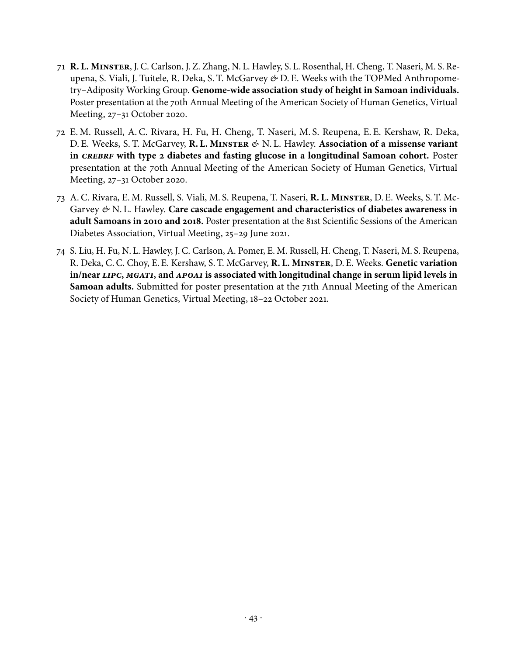- 71 **R. L. Minster**, J. C. Carlson, J. Z. Zhang, N. L. Hawley, S. L. Rosenthal, H. Cheng, T. Naseri, M. S. Reupena, S. Viali, J. Tuitele, R. Deka, S. T. McGarvey & D. E. Weeks with the TOPMed Anthropometry–Adiposity Working Group. **Genome-wide association study of height in Samoan individuals.** Poster presentation at the 70th Annual Meeting of the American Society of Human Genetics, Virtual Meeting, 27–31 October 2020.
- 72 E. M. Russell, A. C. Rivara, H. Fu, H. Cheng, T. Naseri, M. S. Reupena, E. E. Kershaw, R. Deka, D. E. Weeks, S. T. McGarvey, **R. L. MINSTER** & N. L. Hawley. Association of a missense variant in **CREBRF** with type 2 diabetes and fasting glucose in a longitudinal Samoan cohort. Poster presentation at the 70th Annual Meeting of the American Society of Human Genetics, Virtual Meeting, 27–31 October 2020.
- 73 A. C. Rivara, E. M. Russell, S. Viali, M. S. Reupena, T. Naseri, **R. L. Minster**, D. E. Weeks, S. T. Mc-Garvey & N. L. Hawley. **Care cascade engagement and characteristics of diabetes awareness in** adult Samoans in 2010 and 2018. Poster presentation at the 81st Scientific Sessions of the American Diabetes Association, Virtual Meeting, 25–29 June 2021.
- 74 S. Liu, H. Fu, N. L. Hawley, J. C. Carlson, A. Pomer, E. M. Russell, H. Cheng, T. Naseri, M. S. Reupena, R. Deka, C. C. Choy, E. E. Kershaw, S. T. McGarvey, **R. L. Minster**, D. E. Weeks. **Genetic variation in/near lipc, mgat1, and apoa1 is associated with longitudinal change in serum lipid levels in Samoan adults.** Submitted for poster presentation at the 71th Annual Meeting of the American Society of Human Genetics, Virtual Meeting, 18–22 October 2021.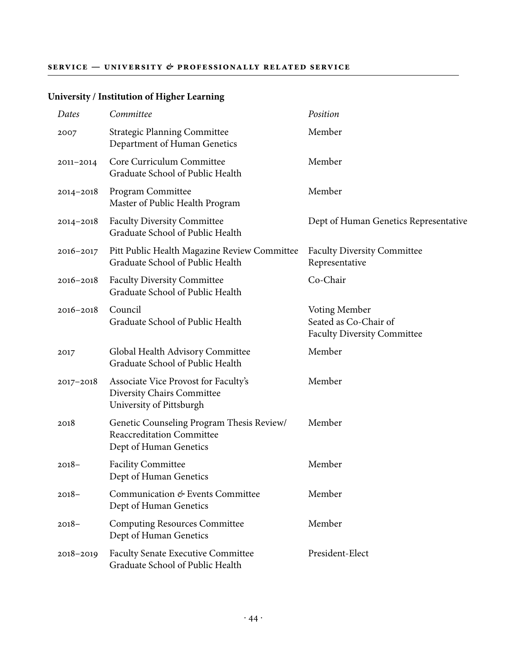### **service — university & professionally related service**

# **University / Institution of Higher Learning**

| Dates         | Committee                                                                                               | Position                                                                     |
|---------------|---------------------------------------------------------------------------------------------------------|------------------------------------------------------------------------------|
| 2007          | <b>Strategic Planning Committee</b><br>Department of Human Genetics                                     | Member                                                                       |
| 2011-2014     | Core Curriculum Committee<br>Graduate School of Public Health                                           | Member                                                                       |
| $2014 - 2018$ | Program Committee<br>Master of Public Health Program                                                    | Member                                                                       |
| $2014 - 2018$ | <b>Faculty Diversity Committee</b><br>Graduate School of Public Health                                  | Dept of Human Genetics Representative                                        |
| 2016-2017     | Pitt Public Health Magazine Review Committee<br>Graduate School of Public Health                        | <b>Faculty Diversity Committee</b><br>Representative                         |
| 2016-2018     | <b>Faculty Diversity Committee</b><br>Graduate School of Public Health                                  | Co-Chair                                                                     |
| 2016-2018     | Council<br>Graduate School of Public Health                                                             | Voting Member<br>Seated as Co-Chair of<br><b>Faculty Diversity Committee</b> |
| 2017          | Global Health Advisory Committee<br>Graduate School of Public Health                                    | Member                                                                       |
| $2017 - 2018$ | Associate Vice Provost for Faculty's<br><b>Diversity Chairs Committee</b><br>University of Pittsburgh   | Member                                                                       |
| 2018          | Genetic Counseling Program Thesis Review/<br><b>Reaccreditation Committee</b><br>Dept of Human Genetics | Member                                                                       |
| $2018-$       | <b>Facility Committee</b><br>Dept of Human Genetics                                                     | Member                                                                       |
| $2018-$       | Communication & Events Committee<br>Dept of Human Genetics                                              | Member                                                                       |
| $2018-$       | <b>Computing Resources Committee</b><br>Dept of Human Genetics                                          | Member                                                                       |
| 2018-2019     | <b>Faculty Senate Executive Committee</b><br>Graduate School of Public Health                           | President-Elect                                                              |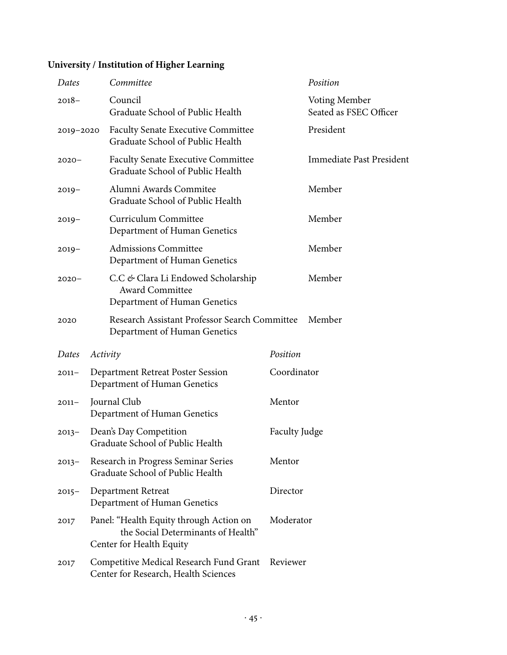# **University / Institution of Higher Learning**

| Dates     | Committee                                                                                                 | Position                                |
|-----------|-----------------------------------------------------------------------------------------------------------|-----------------------------------------|
| $2018-$   | Council<br>Graduate School of Public Health                                                               | Voting Member<br>Seated as FSEC Officer |
| 2019-2020 | <b>Faculty Senate Executive Committee</b><br>Graduate School of Public Health                             | President                               |
| $2020 -$  | <b>Faculty Senate Executive Committee</b><br>Graduate School of Public Health                             | Immediate Past President                |
| $2019-$   | Alumni Awards Commitee<br>Graduate School of Public Health                                                | Member                                  |
| $2019-$   | Curriculum Committee<br>Department of Human Genetics                                                      | Member                                  |
| $2019-$   | <b>Admissions Committee</b><br>Department of Human Genetics                                               | Member                                  |
| $2020 -$  | C.C & Clara Li Endowed Scholarship<br><b>Award Committee</b><br>Department of Human Genetics              | Member                                  |
| 2020      | <b>Research Assistant Professor Search Committee</b><br>Department of Human Genetics                      | Member                                  |
| Dates     | Activity                                                                                                  | Position                                |
| $2011 -$  | Department Retreat Poster Session<br>Department of Human Genetics                                         | Coordinator                             |
| $2011 -$  | Journal Club<br>Department of Human Genetics                                                              | Mentor                                  |
| $2013-$   | Dean's Day Competition<br>Graduate School of Public Health                                                | <b>Faculty Judge</b>                    |
| $2013 -$  | Research in Progress Seminar Series<br>Graduate School of Public Health                                   | Mentor                                  |
| $2015 -$  | <b>Department Retreat</b><br>Department of Human Genetics                                                 | Director                                |
| 2017      | Panel: "Health Equity through Action on<br>the Social Determinants of Health"<br>Center for Health Equity | Moderator                               |
| 2017      | Competitive Medical Research Fund Grant<br>Center for Research, Health Sciences                           | Reviewer                                |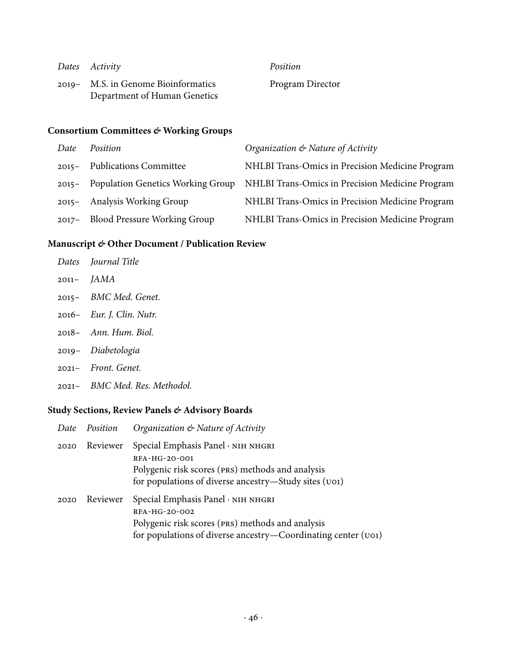| Dates Activity                       | Position         |
|--------------------------------------|------------------|
| 2019 – M.S. in Genome Bioinformatics | Program Director |
| Department of Human Genetics         |                  |

# **Consortium Committees & Working Groups**

| Date | Position                            | Organization & Nature of Activity                                                       |
|------|-------------------------------------|-----------------------------------------------------------------------------------------|
|      | 2015 – Publications Committee       | NHLBI Trans-Omics in Precision Medicine Program                                         |
|      |                                     | 2015- Population Genetics Working Group NHLBI Trans-Omics in Precision Medicine Program |
|      | 2015 - Analysis Working Group       | NHLBI Trans-Omics in Precision Medicine Program                                         |
|      | 2017 - Blood Pressure Working Group | NHLBI Trans-Omics in Precision Medicine Program                                         |

## **Manuscript & Other Document / Publication Review**

|               | Dates Journal Title   |
|---------------|-----------------------|
| $2011 - JAMA$ |                       |
|               | 2015- BMC Med. Genet. |

- 2016– Eur. J. Clin. Nutr.
- 2018– Ann. Hum. Biol.
- 2019– Diabetologia
- 2021– Front. Genet.
- 2021– BMC Med. Res. Methodol.

## **Study Sections, Review Panels & Advisory Boards**

| Date | Position | Organization & Nature of Activity                                                                                                                                        |
|------|----------|--------------------------------------------------------------------------------------------------------------------------------------------------------------------------|
| 2020 | Reviewer | Special Emphasis Panel · NIH NHGRI<br>RFA-HG-20-001<br>Polygenic risk scores (PRS) methods and analysis<br>for populations of diverse ancestry-Study sites (UO1)         |
| 2020 | Reviewer | Special Emphasis Panel · NIH NHGRI<br>RFA-HG-20-002<br>Polygenic risk scores (PRS) methods and analysis<br>for populations of diverse ancestry—Coordinating center (voi) |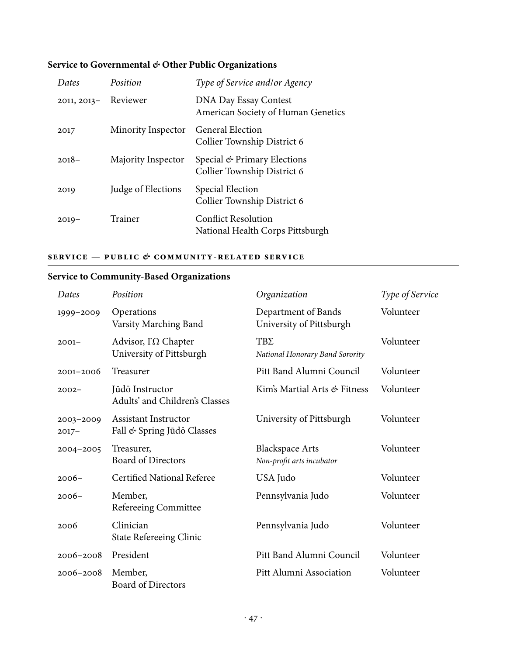# **Service to Governmental & Other Public Organizations**

| Dates       | Position           | Type of Service and/or Agency                                      |
|-------------|--------------------|--------------------------------------------------------------------|
| 2011, 2013- | Reviewer           | <b>DNA Day Essay Contest</b><br>American Society of Human Genetics |
| 2017        | Minority Inspector | <b>General Election</b><br>Collier Township District 6             |
| $2018-$     | Majority Inspector | Special $\&$ Primary Elections<br>Collier Township District 6      |
| 2019        | Judge of Elections | Special Election<br>Collier Township District 6                    |
| $2019-$     | Trainer            | <b>Conflict Resolution</b><br>National Health Corps Pittsburgh     |

### **service — public & community-related service**

## **Service to Community-Based Organizations**

| Dates                 | Position                                                    | Organization                                        | Type of Service |
|-----------------------|-------------------------------------------------------------|-----------------------------------------------------|-----------------|
| 1999-2009             | Operations<br>Varsity Marching Band                         | Department of Bands<br>University of Pittsburgh     | Volunteer       |
| $2001 -$              | Advisor, $\Gamma\Omega$ Chapter<br>University of Pittsburgh | $T B \Sigma$<br>National Honorary Band Sorority     | Volunteer       |
| $2001 - 2006$         | Treasurer                                                   | Pitt Band Alumni Council                            | Volunteer       |
| $2002 -$              | Jūdō Instructor<br>Adults' and Children's Classes           | Kim's Martial Arts & Fitness                        | Volunteer       |
| 2003-2009<br>$2017 -$ | <b>Assistant Instructor</b><br>Fall & Spring Jūdō Classes   | University of Pittsburgh                            | Volunteer       |
| 2004-2005             | Treasurer,<br><b>Board of Directors</b>                     | <b>Blackspace Arts</b><br>Non-profit arts incubator | Volunteer       |
| $2006-$               | Certified National Referee                                  | USA Judo                                            | Volunteer       |
| $2006-$               | Member,<br>Refereeing Committee                             | Pennsylvania Judo                                   | Volunteer       |
| 2006                  | Clinician<br><b>State Refereeing Clinic</b>                 | Pennsylvania Judo                                   | Volunteer       |
| $2006 - 2008$         | President                                                   | Pitt Band Alumni Council                            | Volunteer       |
| $2006 - 2008$         | Member,<br><b>Board of Directors</b>                        | Pitt Alumni Association                             | Volunteer       |